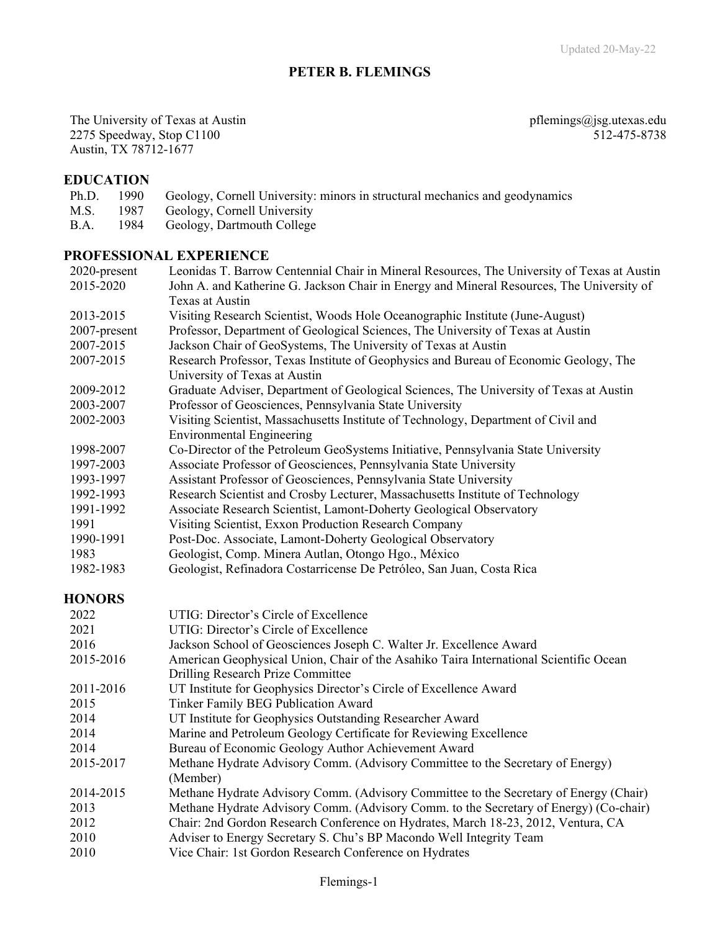## **PETER B. FLEMINGS**

The University of Texas at Austin **process** at a metal pflemings@jsg.utexas.edu 2275 Speedway, Stop C1100 512-475-8738 Austin, TX 78712-1677

### **EDUCATION**

- Ph.D. 1990 Geology, Cornell University: minors in structural mechanics and geodynamics
- M.S. 1987 Geology, Cornell University
- B.A. 1984 Geology, Dartmouth College

### **PROFESSIONAL EXPERIENCE**

| 2020-present  | Leonidas T. Barrow Centennial Chair in Mineral Resources, The University of Texas at Austin |
|---------------|---------------------------------------------------------------------------------------------|
| 2015-2020     | John A. and Katherine G. Jackson Chair in Energy and Mineral Resources, The University of   |
|               | Texas at Austin                                                                             |
| 2013-2015     | Visiting Research Scientist, Woods Hole Oceanographic Institute (June-August)               |
| 2007-present  | Professor, Department of Geological Sciences, The University of Texas at Austin             |
| 2007-2015     | Jackson Chair of GeoSystems, The University of Texas at Austin                              |
| 2007-2015     | Research Professor, Texas Institute of Geophysics and Bureau of Economic Geology, The       |
|               | University of Texas at Austin                                                               |
| 2009-2012     | Graduate Adviser, Department of Geological Sciences, The University of Texas at Austin      |
| 2003-2007     | Professor of Geosciences, Pennsylvania State University                                     |
| 2002-2003     | Visiting Scientist, Massachusetts Institute of Technology, Department of Civil and          |
|               | <b>Environmental Engineering</b>                                                            |
| 1998-2007     | Co-Director of the Petroleum GeoSystems Initiative, Pennsylvania State University           |
| 1997-2003     | Associate Professor of Geosciences, Pennsylvania State University                           |
| 1993-1997     | Assistant Professor of Geosciences, Pennsylvania State University                           |
| 1992-1993     | Research Scientist and Crosby Lecturer, Massachusetts Institute of Technology               |
| 1991-1992     | Associate Research Scientist, Lamont-Doherty Geological Observatory                         |
| 1991          | Visiting Scientist, Exxon Production Research Company                                       |
| 1990-1991     | Post-Doc. Associate, Lamont-Doherty Geological Observatory                                  |
| 1983          | Geologist, Comp. Minera Autlan, Otongo Hgo., México                                         |
| 1982-1983     | Geologist, Refinadora Costarricense De Petróleo, San Juan, Costa Rica                       |
| <b>HONORS</b> |                                                                                             |
| 2022          | UTIG: Director's Circle of Excellence                                                       |
| 2021          | UTIG: Director's Circle of Excellence                                                       |
| 2016          | Jackson School of Geosciences Joseph C. Walter Jr. Excellence Award                         |
| 2015-2016     | American Geophysical Union, Chair of the Asahiko Taira International Scientific Ocean       |
|               | Drilling Research Prize Committee                                                           |
| 2011-2016     | UT Institute for Geophysics Director's Circle of Excellence Award                           |
| 2015          | Tinker Family BEG Publication Award                                                         |
| 2014          | UT Institute for Geophysics Outstanding Researcher Award                                    |

- 2014 Marine and Petroleum Geology Certificate for Reviewing Excellence
- 2014 Bureau of Economic Geology Author Achievement Award
- 2015-2017 Methane Hydrate Advisory Comm. (Advisory Committee to the Secretary of Energy) (Member)
- 2014-2015 Methane Hydrate Advisory Comm. (Advisory Committee to the Secretary of Energy (Chair) 2013 Methane Hydrate Advisory Comm. (Advisory Comm. to the Secretary of Energy) (Co-chair)
- 2012 Chair: 2nd Gordon Research Conference on Hydrates, March 18-23, 2012, Ventura, CA
- 2010 Adviser to Energy Secretary S. Chu's BP Macondo Well Integrity Team
- 2010 Vice Chair: 1st Gordon Research Conference on Hydrates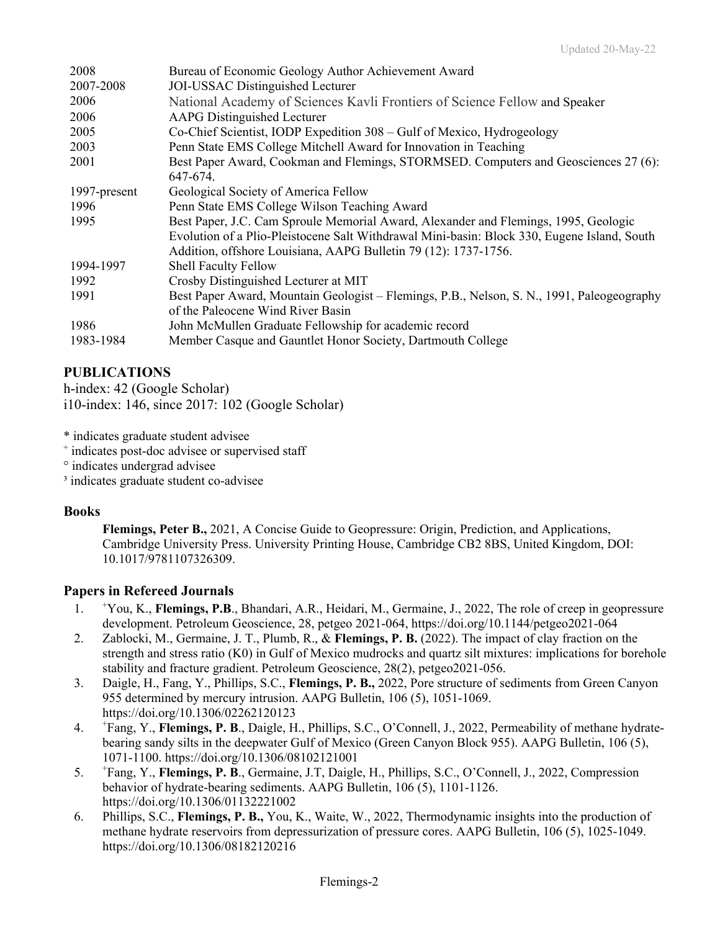| 2008         | Bureau of Economic Geology Author Achievement Award                                         |
|--------------|---------------------------------------------------------------------------------------------|
| 2007-2008    | JOI-USSAC Distinguished Lecturer                                                            |
| 2006         | National Academy of Sciences Kavli Frontiers of Science Fellow and Speaker                  |
| 2006         | <b>AAPG</b> Distinguished Lecturer                                                          |
| 2005         | Co-Chief Scientist, IODP Expedition 308 - Gulf of Mexico, Hydrogeology                      |
| 2003         | Penn State EMS College Mitchell Award for Innovation in Teaching                            |
| 2001         | Best Paper Award, Cookman and Flemings, STORMSED. Computers and Geosciences 27 (6):         |
|              | 647-674.                                                                                    |
| 1997-present | Geological Society of America Fellow                                                        |
| 1996         | Penn State EMS College Wilson Teaching Award                                                |
| 1995         | Best Paper, J.C. Cam Sproule Memorial Award, Alexander and Flemings, 1995, Geologic         |
|              | Evolution of a Plio-Pleistocene Salt Withdrawal Mini-basin: Block 330, Eugene Island, South |
|              | Addition, offshore Louisiana, AAPG Bulletin 79 (12): 1737-1756.                             |
| 1994-1997    | <b>Shell Faculty Fellow</b>                                                                 |
| 1992         | Crosby Distinguished Lecturer at MIT                                                        |
| 1991         | Best Paper Award, Mountain Geologist – Flemings, P.B., Nelson, S. N., 1991, Paleogeography  |
|              | of the Paleocene Wind River Basin                                                           |
| 1986         | John McMullen Graduate Fellowship for academic record                                       |
| 1983-1984    | Member Casque and Gauntlet Honor Society, Dartmouth College                                 |

# **PUBLICATIONS**

h-index: 42 (Google Scholar) i10-index: 146, since 2017: 102 (Google Scholar)

\* indicates graduate student advisee

+ indicates post-doc advisee or supervised staff

° indicates undergrad advisee

<sup>3</sup> indicates graduate student co-advisee

### **Books**

**Flemings, Peter B.,** 2021, A Concise Guide to Geopressure: Origin, Prediction, and Applications, Cambridge University Press. University Printing House, Cambridge CB2 8BS, United Kingdom, DOI: 10.1017/9781107326309.

### **Papers in Refereed Journals**

- $1<sub>1</sub>$ You, K., **Flemings, P.B**., Bhandari, A.R., Heidari, M., Germaine, J., 2022, The role of creep in geopressure development. Petroleum Geoscience, 28, petgeo 2021-064, https://doi.org/10.1144/petgeo2021-064
- 2. Zablocki, M., Germaine, J. T., Plumb, R., & **Flemings, P. B.** (2022). The impact of clay fraction on the strength and stress ratio (K0) in Gulf of Mexico mudrocks and quartz silt mixtures: implications for borehole stability and fracture gradient. Petroleum Geoscience, 28(2), petgeo2021-056.
- 3. Daigle, H., Fang, Y., Phillips, S.C., **Flemings, P. B.,** 2022, Pore structure of sediments from Green Canyon 955 determined by mercury intrusion. AAPG Bulletin, 106 (5), 1051-1069. https://doi.org/10.1306/02262120123
- $4.$ Fang, Y., **Flemings, P. B**., Daigle, H., Phillips, S.C., O'Connell, J., 2022, Permeability of methane hydratebearing sandy silts in the deepwater Gulf of Mexico (Green Canyon Block 955). AAPG Bulletin, 106 (5), 1071-1100. https://doi.org/10.1306/08102121001
- 5. <sup>+</sup> Fang, Y., **Flemings, P. B**., Germaine, J.T, Daigle, H., Phillips, S.C., O'Connell, J., 2022, Compression behavior of hydrate-bearing sediments. AAPG Bulletin, 106 (5), 1101-1126. https://doi.org/10.1306/01132221002
- 6. Phillips, S.C., **Flemings, P. B.,** You, K., Waite, W., 2022, Thermodynamic insights into the production of methane hydrate reservoirs from depressurization of pressure cores. AAPG Bulletin, 106 (5), 1025-1049. https://doi.org/10.1306/08182120216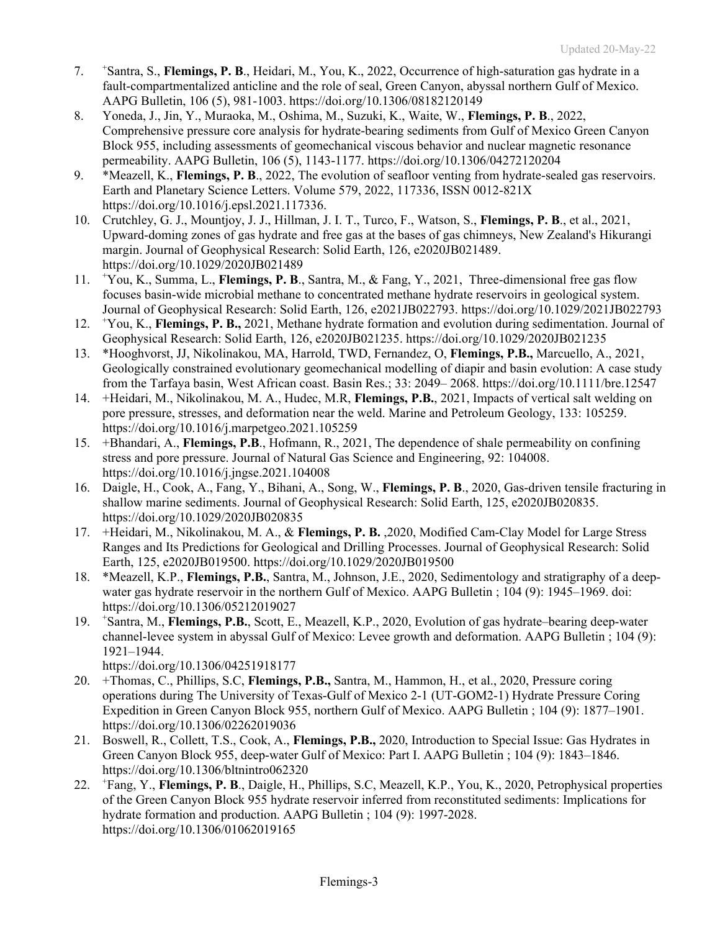- 7. <sup>+</sup> <sup>+</sup>Santra, S., **Flemings, P. B**., Heidari, M., You, K., 2022, Occurrence of high-saturation gas hydrate in a fault-compartmentalized anticline and the role of seal, Green Canyon, abyssal northern Gulf of Mexico. AAPG Bulletin, 106 (5), 981-1003. https://doi.org/10.1306/08182120149
- 8. Yoneda, J., Jin, Y., Muraoka, M., Oshima, M., Suzuki, K., Waite, W., **Flemings, P. B**., 2022, Comprehensive pressure core analysis for hydrate-bearing sediments from Gulf of Mexico Green Canyon Block 955, including assessments of geomechanical viscous behavior and nuclear magnetic resonance permeability. AAPG Bulletin, 106 (5), 1143-1177. https://doi.org/10.1306/04272120204
- 9. \*Meazell, K., **Flemings, P. B**., 2022, The evolution of seafloor venting from hydrate-sealed gas reservoirs. Earth and Planetary Science Letters. Volume 579, 2022, 117336, ISSN 0012-821X https://doi.org/10.1016/j.epsl.2021.117336.
- 10. Crutchley, G. J., Mountjoy, J. J., Hillman, J. I. T., Turco, F., Watson, S., **Flemings, P. B**., et al., 2021, Upward-doming zones of gas hydrate and free gas at the bases of gas chimneys, New Zealand's Hikurangi margin. Journal of Geophysical Research: Solid Earth, 126, e2020JB021489. https://doi.org/10.1029/2020JB021489
- 11. <sup>+</sup> You, K., Summa, L., **Flemings, P. B**., Santra, M., & Fang, Y., 2021, Three-dimensional free gas flow focuses basin-wide microbial methane to concentrated methane hydrate reservoirs in geological system. Journal of Geophysical Research: Solid Earth, 126, e2021JB022793. https://doi.org/10.1029/2021JB022793
- 12. <sup>+</sup> You, K., **Flemings, P. B.,** 2021, Methane hydrate formation and evolution during sedimentation. Journal of Geophysical Research: Solid Earth, 126, e2020JB021235. https://doi.org/10.1029/2020JB021235
- 13. \*Hooghvorst, JJ, Nikolinakou, MA, Harrold, TWD, Fernandez, O, **Flemings, P.B.,** Marcuello, A., 2021, Geologically constrained evolutionary geomechanical modelling of diapir and basin evolution: A case study from the Tarfaya basin, West African coast. Basin Res.; 33: 2049– 2068. https://doi.org/10.1111/bre.12547
- 14. +Heidari, M., Nikolinakou, M. A., Hudec, M.R, **Flemings, P.B.**, 2021, Impacts of vertical salt welding on pore pressure, stresses, and deformation near the weld. Marine and Petroleum Geology, 133: 105259. https://doi.org/10.1016/j.marpetgeo.2021.105259
- 15. +Bhandari, A., **Flemings, P.B**., Hofmann, R., 2021, The dependence of shale permeability on confining stress and pore pressure. Journal of Natural Gas Science and Engineering, 92: 104008. https://doi.org/10.1016/j.jngse.2021.104008
- 16. Daigle, H., Cook, A., Fang, Y., Bihani, A., Song, W., **Flemings, P. B.**, 2020, Gas-driven tensile fracturing in shallow marine sediments. Journal of Geophysical Research: Solid Earth, 125, e2020JB020835. https://doi.org/10.1029/2020JB020835
- 17. +Heidari, M., Nikolinakou, M. A., & **Flemings, P. B.** ,2020, Modified Cam‐Clay Model for Large Stress Ranges and Its Predictions for Geological and Drilling Processes. Journal of Geophysical Research: Solid Earth, 125, e2020JB019500. https://doi.org/10.1029/2020JB019500
- 18. \*Meazell, K.P., **Flemings, P.B.**, Santra, M., Johnson, J.E., 2020, Sedimentology and stratigraphy of a deepwater gas hydrate reservoir in the northern Gulf of Mexico. AAPG Bulletin ; 104 (9): 1945–1969. doi: https://doi.org/10.1306/05212019027
- 19. <sup>+</sup> Santra, M., **Flemings, P.B.**, Scott, E., Meazell, K.P., 2020, Evolution of gas hydrate–bearing deep-water channel-levee system in abyssal Gulf of Mexico: Levee growth and deformation. AAPG Bulletin ; 104 (9): 1921–1944.

https://doi.org/10.1306/04251918177

- 20. +Thomas, C., Phillips, S.C, **Flemings, P.B.,** Santra, M., Hammon, H., et al., 2020, Pressure coring operations during The University of Texas-Gulf of Mexico 2-1 (UT-GOM2-1) Hydrate Pressure Coring Expedition in Green Canyon Block 955, northern Gulf of Mexico. AAPG Bulletin ; 104 (9): 1877–1901. https://doi.org/10.1306/02262019036
- 21. Boswell, R., Collett, T.S., Cook, A., **Flemings, P.B.,** 2020, Introduction to Special Issue: Gas Hydrates in Green Canyon Block 955, deep-water Gulf of Mexico: Part I. AAPG Bulletin ; 104 (9): 1843–1846. https://doi.org/10.1306/bltnintro062320
- $22.$ Fang, Y., **Flemings, P. B**., Daigle, H., Phillips, S.C, Meazell, K.P., You, K., 2020, Petrophysical properties of the Green Canyon Block 955 hydrate reservoir inferred from reconstituted sediments: Implications for hydrate formation and production. AAPG Bulletin ; 104 (9): 1997-2028. https://doi.org/10.1306/01062019165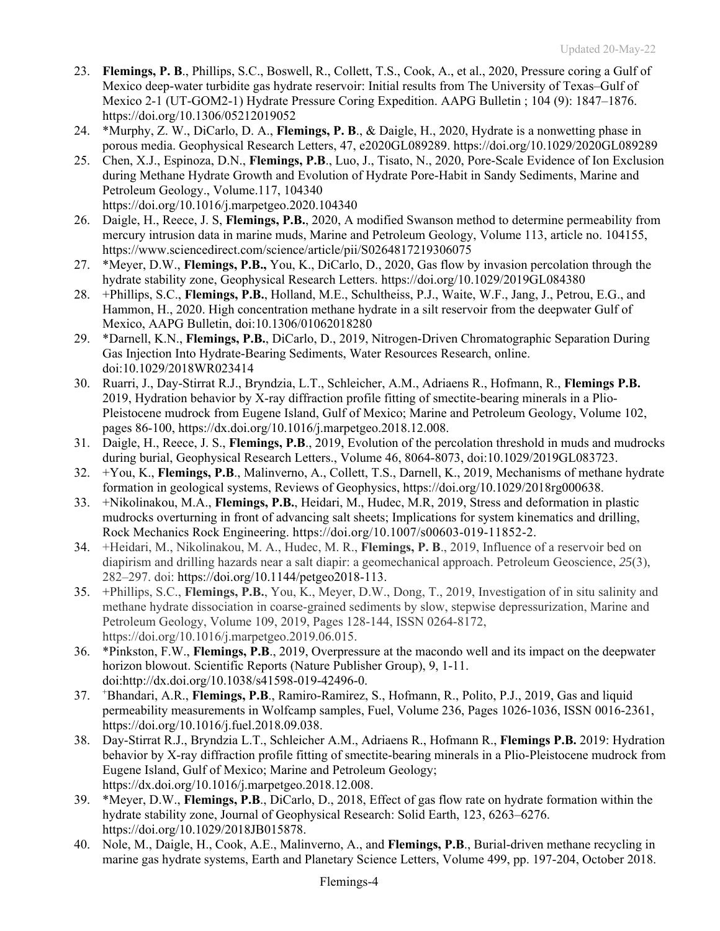- 23. **Flemings, P. B**., Phillips, S.C., Boswell, R., Collett, T.S., Cook, A., et al., 2020, Pressure coring a Gulf of Mexico deep-water turbidite gas hydrate reservoir: Initial results from The University of Texas–Gulf of Mexico 2-1 (UT-GOM2-1) Hydrate Pressure Coring Expedition. AAPG Bulletin ; 104 (9): 1847–1876. https://doi.org/10.1306/05212019052
- 24. \*Murphy, Z. W., DiCarlo, D. A., **Flemings, P. B**., & Daigle, H., 2020, Hydrate is a nonwetting phase in porous media. Geophysical Research Letters, 47, e2020GL089289. https://doi.org/10.1029/2020GL089289
- 25. Chen, X.J., Espinoza, D.N., **Flemings, P.B**., Luo, J., Tisato, N., 2020, Pore-Scale Evidence of Ion Exclusion during Methane Hydrate Growth and Evolution of Hydrate Pore-Habit in Sandy Sediments, Marine and Petroleum Geology., Volume.117, 104340 https://doi.org/10.1016/j.marpetgeo.2020.104340
- 26. Daigle, H., Reece, J. S, **Flemings, P.B.**, 2020, A modified Swanson method to determine permeability from mercury intrusion data in marine muds, Marine and Petroleum Geology, Volume 113, article no. 104155, https://www.sciencedirect.com/science/article/pii/S0264817219306075
- 27. \*Meyer, D.W., **Flemings, P.B.,** You, K., DiCarlo, D., 2020, Gas flow by invasion percolation through the hydrate stability zone, Geophysical Research Letters. https://doi.org/10.1029/2019GL084380
- 28. +Phillips, S.C., **Flemings, P.B.**, Holland, M.E., Schultheiss, P.J., Waite, W.F., Jang, J., Petrou, E.G., and Hammon, H., 2020. High concentration methane hydrate in a silt reservoir from the deepwater Gulf of Mexico, AAPG Bulletin, doi:10.1306/01062018280
- 29. \*Darnell, K.N., **Flemings, P.B.**, DiCarlo, D., 2019, Nitrogen‐Driven Chromatographic Separation During Gas Injection Into Hydrate‐Bearing Sediments, Water Resources Research, online. doi:10.1029/2018WR023414
- 30. Ruarri, J., Day-Stirrat R.J., Bryndzia, L.T., Schleicher, A.M., Adriaens R., Hofmann, R., **Flemings P.B.** 2019, Hydration behavior by X-ray diffraction profile fitting of smectite-bearing minerals in a Plio-Pleistocene mudrock from Eugene Island, Gulf of Mexico; Marine and Petroleum Geology, Volume 102, pages 86-100, https://dx.doi.org/10.1016/j.marpetgeo.2018.12.008.
- 31. Daigle, H., Reece, J. S., **Flemings, P.B**., 2019, Evolution of the percolation threshold in muds and mudrocks during burial, Geophysical Research Letters., Volume 46, 8064-8073, doi:10.1029/2019GL083723.
- 32. +You, K., **Flemings, P.B**., Malinverno, A., Collett, T.S., Darnell, K., 2019, Mechanisms of methane hydrate formation in geological systems, Reviews of Geophysics, https://doi.org/10.1029/2018rg000638.
- 33. +Nikolinakou, M.A., **Flemings, P.B.**, Heidari, M., Hudec, M.R, 2019, Stress and deformation in plastic mudrocks overturning in front of advancing salt sheets; Implications for system kinematics and drilling, Rock Mechanics Rock Engineering. https://doi.org/10.1007/s00603-019-11852-2.
- 34. +Heidari, M., Nikolinakou, M. A., Hudec, M. R., **Flemings, P. B**., 2019, Influence of a reservoir bed on diapirism and drilling hazards near a salt diapir: a geomechanical approach. Petroleum Geoscience, *25*(3), 282–297. doi: https://doi.org/10.1144/petgeo2018-113.
- 35. +Phillips, S.C., **Flemings, P.B.**, You, K., Meyer, D.W., Dong, T., 2019, Investigation of in situ salinity and methane hydrate dissociation in coarse-grained sediments by slow, stepwise depressurization, Marine and Petroleum Geology, Volume 109, 2019, Pages 128-144, ISSN 0264-8172, https://doi.org/10.1016/j.marpetgeo.2019.06.015.
- 36. \*Pinkston, F.W., **Flemings, P.B**., 2019, Overpressure at the macondo well and its impact on the deepwater horizon blowout. Scientific Reports (Nature Publisher Group), 9, 1-11. doi:http://dx.doi.org/10.1038/s41598-019-42496-0.
- $37.$ Bhandari, A.R., **Flemings, P.B**., Ramiro-Ramirez, S., Hofmann, R., Polito, P.J., 2019, Gas and liquid permeability measurements in Wolfcamp samples, Fuel, Volume 236, Pages 1026-1036, ISSN 0016-2361, https://doi.org/10.1016/j.fuel.2018.09.038.
- 38. Day-Stirrat R.J., Bryndzia L.T., Schleicher A.M., Adriaens R., Hofmann R., **Flemings P.B.** 2019: Hydration behavior by X-ray diffraction profile fitting of smectite-bearing minerals in a Plio-Pleistocene mudrock from Eugene Island, Gulf of Mexico; Marine and Petroleum Geology; https://dx.doi.org/10.1016/j.marpetgeo.2018.12.008.
- 39. \*Meyer, D.W., **Flemings, P.B**., DiCarlo, D., 2018, Effect of gas flow rate on hydrate formation within the hydrate stability zone, Journal of Geophysical Research: Solid Earth, 123, 6263–6276. https://doi.org/10.1029/2018JB015878.
- 40. Nole, M., Daigle, H., Cook, A.E., Malinverno, A., and **Flemings, P.B**., Burial-driven methane recycling in marine gas hydrate systems, Earth and Planetary Science Letters, Volume 499, pp. 197-204, October 2018.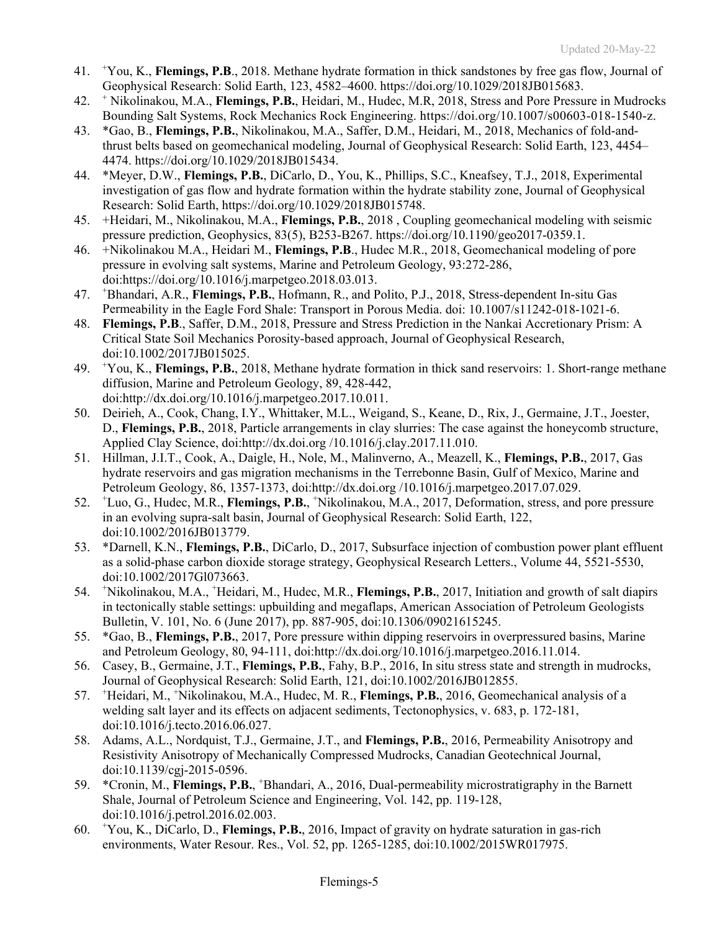- 41. <sup>+</sup> You, K., **Flemings, P.B**., 2018. Methane hydrate formation in thick sandstones by free gas flow, Journal of Geophysical Research: Solid Earth, 123, 4582–4600. https://doi.org/10.1029/2018JB015683.
- 42. <sup>+</sup> Nikolinakou, M.A., **Flemings, P.B.**, Heidari, M., Hudec, M.R, 2018, Stress and Pore Pressure in Mudrocks Bounding Salt Systems, Rock Mechanics Rock Engineering. https://doi.org/10.1007/s00603-018-1540-z.
- 43. \*Gao, B., **Flemings, P.B.**, Nikolinakou, M.A., Saffer, D.M., Heidari, M., 2018, Mechanics of fold-andthrust belts based on geomechanical modeling, Journal of Geophysical Research: Solid Earth, 123, 4454– 4474. https://doi.org/10.1029/2018JB015434.
- 44. \*Meyer, D.W., **Flemings, P.B.**, DiCarlo, D., You, K., Phillips, S.C., Kneafsey, T.J., 2018, Experimental investigation of gas flow and hydrate formation within the hydrate stability zone, Journal of Geophysical Research: Solid Earth, https://doi.org/10.1029/2018JB015748.
- 45. +Heidari, M., Nikolinakou, M.A., **Flemings, P.B.**, 2018 , Coupling geomechanical modeling with seismic pressure prediction, Geophysics, 83(5), B253-B267. https://doi.org/10.1190/geo2017-0359.1.
- 46. +Nikolinakou M.A., Heidari M., **Flemings, P.B**., Hudec M.R., 2018, Geomechanical modeling of pore pressure in evolving salt systems, Marine and Petroleum Geology, 93:272-286, doi:https://doi.org/10.1016/j.marpetgeo.2018.03.013.
- 47. <sup>+</sup> Bhandari, A.R., **Flemings, P.B.**, Hofmann, R., and Polito, P.J., 2018, Stress-dependent In-situ Gas Permeability in the Eagle Ford Shale: Transport in Porous Media. doi: 10.1007/s11242-018-1021-6.
- 48. **Flemings, P.B**., Saffer, D.M., 2018, Pressure and Stress Prediction in the Nankai Accretionary Prism: A Critical State Soil Mechanics Porosity-based approach, Journal of Geophysical Research, doi:10.1002/2017JB015025.
- 49. <sup>+</sup> You, K., **Flemings, P.B.**, 2018, Methane hydrate formation in thick sand reservoirs: 1. Short-range methane diffusion, Marine and Petroleum Geology, 89, 428-442, doi:http://dx.doi.org/10.1016/j.marpetgeo.2017.10.011.
- 50. Deirieh, A., Cook, Chang, I.Y., Whittaker, M.L., Weigand, S., Keane, D., Rix, J., Germaine, J.T., Joester, D., **Flemings, P.B.**, 2018, Particle arrangements in clay slurries: The case against the honeycomb structure, Applied Clay Science, doi:http://dx.doi.org /10.1016/j.clay.2017.11.010.
- 51. Hillman, J.I.T., Cook, A., Daigle, H., Nole, M., Malinverno, A., Meazell, K., **Flemings, P.B.**, 2017, Gas hydrate reservoirs and gas migration mechanisms in the Terrebonne Basin, Gulf of Mexico, Marine and Petroleum Geology, 86, 1357-1373, doi:http://dx.doi.org /10.1016/j.marpetgeo.2017.07.029.
- 52. <sup>+</sup> Luo, G., Hudec, M.R., **Flemings, P.B.**, <sup>+</sup> Nikolinakou, M.A., 2017, Deformation, stress, and pore pressure in an evolving supra-salt basin, Journal of Geophysical Research: Solid Earth, 122, doi:10.1002/2016JB013779.
- 53. \*Darnell, K.N., **Flemings, P.B.**, DiCarlo, D., 2017, Subsurface injection of combustion power plant effluent as a solid-phase carbon dioxide storage strategy, Geophysical Research Letters., Volume 44, 5521-5530, doi:10.1002/2017Gl073663.
- 54. <sup>+</sup> Nikolinakou, M.A., <sup>+</sup>Heidari, M., Hudec, M.R., Flemings, P.B., 2017, Initiation and growth of salt diapirs in tectonically stable settings: upbuilding and megaflaps, American Association of Petroleum Geologists Bulletin, V. 101, No. 6 (June 2017), pp. 887-905, doi:10.1306/09021615245.
- 55. \*Gao, B., **Flemings, P.B.**, 2017, Pore pressure within dipping reservoirs in overpressured basins, Marine and Petroleum Geology, 80, 94-111, doi:http://dx.doi.org/10.1016/j.marpetgeo.2016.11.014.
- 56. Casey, B., Germaine, J.T., **Flemings, P.B.**, Fahy, B.P., 2016, In situ stress state and strength in mudrocks, Journal of Geophysical Research: Solid Earth, 121, doi:10.1002/2016JB012855.
- 57. <sup>+</sup> Heidari, M., + Nikolinakou, M.A., Hudec, M. R., **Flemings, P.B.**, 2016, Geomechanical analysis of a welding salt layer and its effects on adjacent sediments, Tectonophysics, v. 683, p. 172-181, doi:10.1016/j.tecto.2016.06.027.
- 58. Adams, A.L., Nordquist, T.J., Germaine, J.T., and **Flemings, P.B.**, 2016, Permeability Anisotropy and Resistivity Anisotropy of Mechanically Compressed Mudrocks, Canadian Geotechnical Journal, doi:10.1139/cgj-2015-0596.
- 59. \*Cronin, M., **Flemings, P.B.**, <sup>+</sup> Bhandari, A., 2016, Dual-permeability microstratigraphy in the Barnett Shale, Journal of Petroleum Science and Engineering, Vol. 142, pp. 119-128, doi:10.1016/j.petrol.2016.02.003.
- 60. <sup>+</sup> You, K., DiCarlo, D., **Flemings, P.B.**, 2016, Impact of gravity on hydrate saturation in gas-rich environments, Water Resour. Res., Vol. 52, pp. 1265-1285, doi:10.1002/2015WR017975.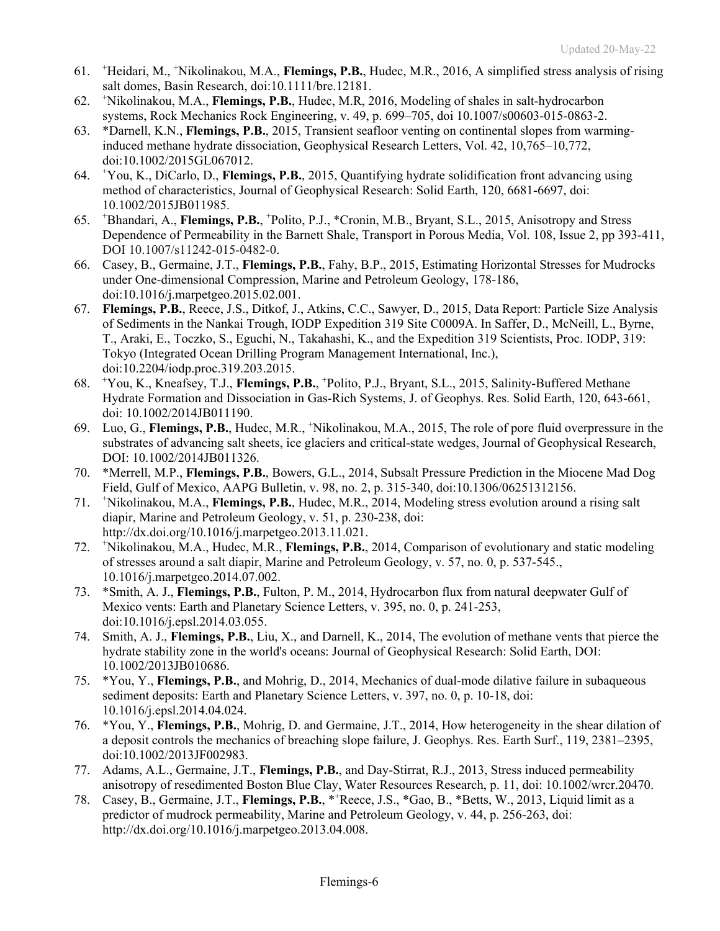- 61. <sup>+</sup> Heidari, M., + Nikolinakou, M.A., **Flemings, P.B.**, Hudec, M.R., 2016, A simplified stress analysis of rising salt domes, Basin Research, doi:10.1111/bre.12181.
- 62. <sup>+</sup> Nikolinakou, M.A., **Flemings, P.B.**, Hudec, M.R, 2016, Modeling of shales in salt-hydrocarbon systems, Rock Mechanics Rock Engineering, v. 49, p. 699–705, doi 10.1007/s00603-015-0863-2.
- 63. \*Darnell, K.N., **Flemings, P.B.**, 2015, Transient seafloor venting on continental slopes from warminginduced methane hydrate dissociation, Geophysical Research Letters, Vol. 42, 10,765–10,772, doi:10.1002/2015GL067012.
- 64. <sup>+</sup> You, K., DiCarlo, D., **Flemings, P.B.**, 2015, Quantifying hydrate solidification front advancing using method of characteristics, Journal of Geophysical Research: Solid Earth, 120, 6681-6697, doi: 10.1002/2015JB011985.
- 65. <sup>+</sup> Bhandari, A., **Flemings, P.B.**, <sup>+</sup> Polito, P.J., \*Cronin, M.B., Bryant, S.L., 2015, Anisotropy and Stress Dependence of Permeability in the Barnett Shale, Transport in Porous Media, Vol. 108, Issue 2, pp 393-411, DOI 10.1007/s11242-015-0482-0.
- 66. Casey, B., Germaine, J.T., **Flemings, P.B.**, Fahy, B.P., 2015, Estimating Horizontal Stresses for Mudrocks under One-dimensional Compression, Marine and Petroleum Geology, 178-186, doi:10.1016/j.marpetgeo.2015.02.001.
- 67. **Flemings, P.B.**, Reece, J.S., Ditkof, J., Atkins, C.C., Sawyer, D., 2015, Data Report: Particle Size Analysis of Sediments in the Nankai Trough, IODP Expedition 319 Site C0009A. In Saffer, D., McNeill, L., Byrne, T., Araki, E., Toczko, S., Eguchi, N., Takahashi, K., and the Expedition 319 Scientists, Proc. IODP, 319: Tokyo (Integrated Ocean Drilling Program Management International, Inc.), doi:10.2204/iodp.proc.319.203.2015.
- 68. <sup>+</sup> You, K., Kneafsey, T.J., **Flemings, P.B.**, <sup>+</sup> Polito, P.J., Bryant, S.L., 2015, Salinity-Buffered Methane Hydrate Formation and Dissociation in Gas-Rich Systems, J. of Geophys. Res. Solid Earth, 120, 643-661, doi: 10.1002/2014JB011190.
- 69. Luo, G., **Flemings, P.B.**, Hudec, M.R., <sup>+</sup> Nikolinakou, M.A., 2015, The role of pore fluid overpressure in the substrates of advancing salt sheets, ice glaciers and critical-state wedges, Journal of Geophysical Research, DOI: 10.1002/2014JB011326.
- 70. \*Merrell, M.P., **Flemings, P.B.**, Bowers, G.L., 2014, Subsalt Pressure Prediction in the Miocene Mad Dog Field, Gulf of Mexico, AAPG Bulletin, v. 98, no. 2, p. 315-340, doi:10.1306/06251312156.
- 71. <sup>+</sup> Nikolinakou, M.A., **Flemings, P.B.**, Hudec, M.R., 2014, Modeling stress evolution around a rising salt diapir, Marine and Petroleum Geology, v. 51, p. 230-238, doi: http://dx.doi.org/10.1016/j.marpetgeo.2013.11.021.
- 72. <sup>+</sup> Nikolinakou, M.A., Hudec, M.R., **Flemings, P.B.**, 2014, Comparison of evolutionary and static modeling of stresses around a salt diapir, Marine and Petroleum Geology, v. 57, no. 0, p. 537-545., 10.1016/j.marpetgeo.2014.07.002.
- 73. \*Smith, A. J., **Flemings, P.B.**, Fulton, P. M., 2014, Hydrocarbon flux from natural deepwater Gulf of Mexico vents: Earth and Planetary Science Letters, v. 395, no. 0, p. 241-253, doi:10.1016/j.epsl.2014.03.055.
- 74. Smith, A. J., **Flemings, P.B.**, Liu, X., and Darnell, K., 2014, The evolution of methane vents that pierce the hydrate stability zone in the world's oceans: Journal of Geophysical Research: Solid Earth, DOI: 10.1002/2013JB010686.
- 75. \*You, Y., **Flemings, P.B.**, and Mohrig, D., 2014, Mechanics of dual-mode dilative failure in subaqueous sediment deposits: Earth and Planetary Science Letters, v. 397, no. 0, p. 10-18, doi: 10.1016/j.epsl.2014.04.024.
- 76. \*You, Y., **Flemings, P.B.**, Mohrig, D. and Germaine, J.T., 2014, How heterogeneity in the shear dilation of a deposit controls the mechanics of breaching slope failure, J. Geophys. Res. Earth Surf., 119, 2381–2395, doi:10.1002/2013JF002983.
- 77. Adams, A.L., Germaine, J.T., **Flemings, P.B.**, and Day-Stirrat, R.J., 2013, Stress induced permeability anisotropy of resedimented Boston Blue Clay, Water Resources Research, p. 11, doi: 10.1002/wrcr.20470.
- 78. Casey, B., Germaine, J.T., **Flemings, P.B.**, \*<sup>+</sup> Reece, J.S., \*Gao, B., \*Betts, W., 2013, Liquid limit as a predictor of mudrock permeability, Marine and Petroleum Geology, v. 44, p. 256-263, doi: http://dx.doi.org/10.1016/j.marpetgeo.2013.04.008.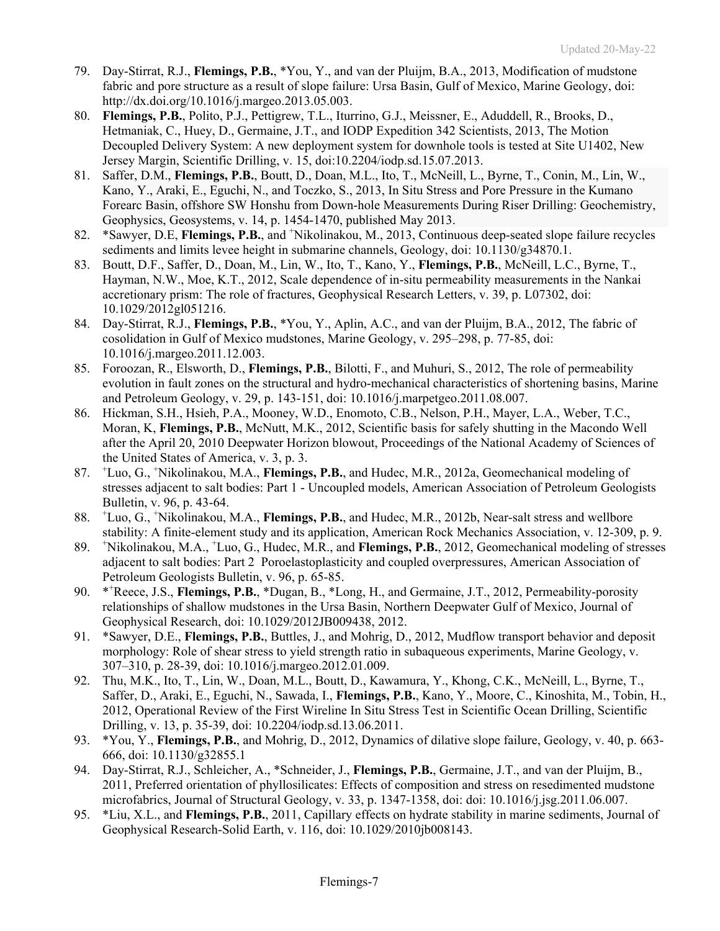- 79. Day-Stirrat, R.J., **Flemings, P.B.**, \*You, Y., and van der Pluijm, B.A., 2013, Modification of mudstone fabric and pore structure as a result of slope failure: Ursa Basin, Gulf of Mexico, Marine Geology, doi: http://dx.doi.org/10.1016/j.margeo.2013.05.003.
- 80. **Flemings, P.B.**, Polito, P.J., Pettigrew, T.L., Iturrino, G.J., Meissner, E., Aduddell, R., Brooks, D., Hetmaniak, C., Huey, D., Germaine, J.T., and IODP Expedition 342 Scientists, 2013, The Motion Decoupled Delivery System: A new deployment system for downhole tools is tested at Site U1402, New Jersey Margin, Scientific Drilling, v. 15, doi:10.2204/iodp.sd.15.07.2013.
- 81. Saffer, D.M., **Flemings, P.B.**, Boutt, D., Doan, M.L., Ito, T., McNeill, L., Byrne, T., Conin, M., Lin, W., Kano, Y., Araki, E., Eguchi, N., and Toczko, S., 2013, In Situ Stress and Pore Pressure in the Kumano Forearc Basin, offshore SW Honshu from Down-hole Measurements During Riser Drilling: Geochemistry, Geophysics, Geosystems, v. 14, p. 1454-1470, published May 2013.
- 82. \* Sawyer, D.E, Flemings, P.B., and <sup>+</sup>Nikolinakou, M., 2013, Continuous deep-seated slope failure recycles sediments and limits levee height in submarine channels, Geology, doi:  $10.1130/g34870.1$ .
- 83. Boutt, D.F., Saffer, D., Doan, M., Lin, W., Ito, T., Kano, Y., **Flemings, P.B.**, McNeill, L.C., Byrne, T., Hayman, N.W., Moe, K.T., 2012, Scale dependence of in-situ permeability measurements in the Nankai accretionary prism: The role of fractures, Geophysical Research Letters, v. 39, p. L07302, doi: 10.1029/2012gl051216.
- 84. Day-Stirrat, R.J., **Flemings, P.B.**, \*You, Y., Aplin, A.C., and van der Pluijm, B.A., 2012, The fabric of cosolidation in Gulf of Mexico mudstones, Marine Geology, v. 295–298, p. 77-85, doi: 10.1016/j.margeo.2011.12.003.
- 85. Foroozan, R., Elsworth, D., **Flemings, P.B.**, Bilotti, F., and Muhuri, S., 2012, The role of permeability evolution in fault zones on the structural and hydro-mechanical characteristics of shortening basins, Marine and Petroleum Geology, v. 29, p. 143-151, doi: 10.1016/j.marpetgeo.2011.08.007.
- 86. Hickman, S.H., Hsieh, P.A., Mooney, W.D., Enomoto, C.B., Nelson, P.H., Mayer, L.A., Weber, T.C., Moran, K, **Flemings, P.B.**, McNutt, M.K., 2012, Scientific basis for safely shutting in the Macondo Well after the April 20, 2010 Deepwater Horizon blowout, Proceedings of the National Academy of Sciences of the United States of America, v. 3, p. 3.
- 87. <sup>+</sup> Luo, G., + Nikolinakou, M.A., **Flemings, P.B.**, and Hudec, M.R., 2012a, Geomechanical modeling of stresses adjacent to salt bodies: Part 1 - Uncoupled models, American Association of Petroleum Geologists Bulletin, v. 96, p. 43-64.
- 88. <sup>+</sup> Luo, G., + Nikolinakou, M.A., **Flemings, P.B.**, and Hudec, M.R., 2012b, Near-salt stress and wellbore stability: A finite-element study and its application, American Rock Mechanics Association, v. 12-309, p. 9.
- 89. <sup>+</sup> Nikolinakou, M.A., <sup>+</sup> Luo, G., Hudec, M.R., and **Flemings, P.B.**, 2012, Geomechanical modeling of stresses adjacent to salt bodies: Part 2 Poroelastoplasticity and coupled overpressures, American Association of Petroleum Geologists Bulletin, v. 96, p. 65-85.
- 90. \*\*Reece, J.S., Flemings, P.B., \*Dugan, B., \*Long, H., and Germaine, J.T., 2012, Permeability-porosity relationships of shallow mudstones in the Ursa Basin, Northern Deepwater Gulf of Mexico, Journal of Geophysical Research, doi: 10.1029/2012JB009438, 2012.
- 91. \*Sawyer, D.E., **Flemings, P.B.**, Buttles, J., and Mohrig, D., 2012, Mudflow transport behavior and deposit morphology: Role of shear stress to yield strength ratio in subaqueous experiments, Marine Geology, v. 307–310, p. 28-39, doi: 10.1016/j.margeo.2012.01.009.
- 92. Thu, M.K., Ito, T., Lin, W., Doan, M.L., Boutt, D., Kawamura, Y., Khong, C.K., McNeill, L., Byrne, T., Saffer, D., Araki, E., Eguchi, N., Sawada, I., **Flemings, P.B.**, Kano, Y., Moore, C., Kinoshita, M., Tobin, H., 2012, Operational Review of the First Wireline In Situ Stress Test in Scientific Ocean Drilling, Scientific Drilling, v. 13, p. 35-39, doi: 10.2204/iodp.sd.13.06.2011.
- 93. \*You, Y., **Flemings, P.B.**, and Mohrig, D., 2012, Dynamics of dilative slope failure, Geology, v. 40, p. 663- 666, doi: 10.1130/g32855.1
- 94. Day-Stirrat, R.J., Schleicher, A., \*Schneider, J., **Flemings, P.B.**, Germaine, J.T., and van der Pluijm, B., 2011, Preferred orientation of phyllosilicates: Effects of composition and stress on resedimented mudstone microfabrics, Journal of Structural Geology, v. 33, p. 1347-1358, doi: doi: 10.1016/j.jsg.2011.06.007.
- 95. \*Liu, X.L., and **Flemings, P.B.**, 2011, Capillary effects on hydrate stability in marine sediments, Journal of Geophysical Research-Solid Earth, v. 116, doi: 10.1029/2010jb008143.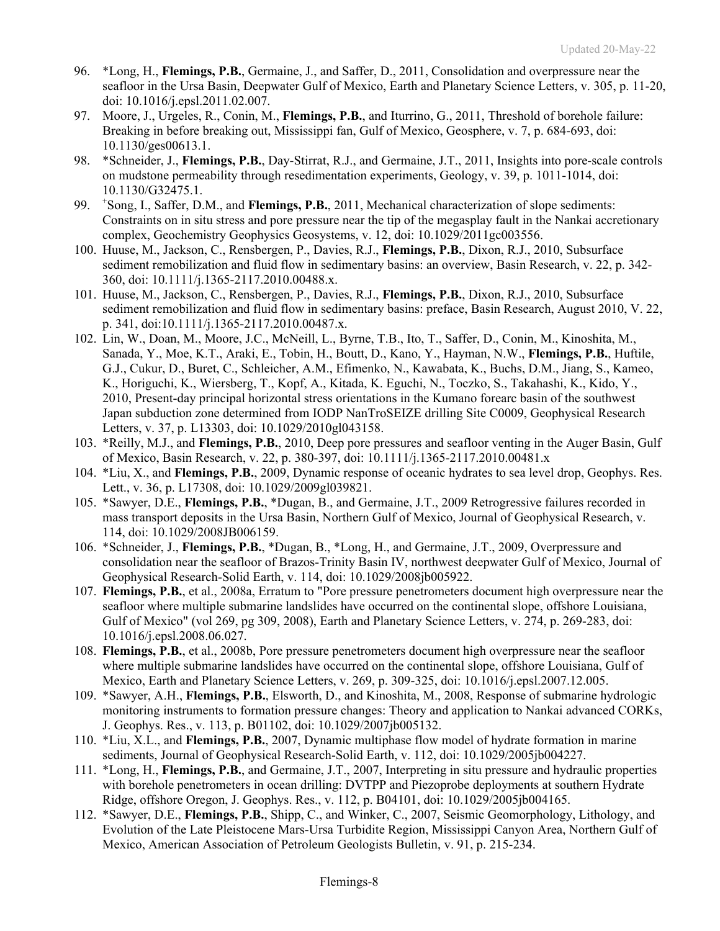- 96. \*Long, H., **Flemings, P.B.**, Germaine, J., and Saffer, D., 2011, Consolidation and overpressure near the seafloor in the Ursa Basin, Deepwater Gulf of Mexico, Earth and Planetary Science Letters, v. 305, p. 11-20, doi: 10.1016/j.epsl.2011.02.007.
- 97. Moore, J., Urgeles, R., Conin, M., **Flemings, P.B.**, and Iturrino, G., 2011, Threshold of borehole failure: Breaking in before breaking out, Mississippi fan, Gulf of Mexico, Geosphere, v. 7, p. 684-693, doi: 10.1130/ges00613.1.
- 98. \*Schneider, J., **Flemings, P.B.**, Day-Stirrat, R.J., and Germaine, J.T., 2011, Insights into pore-scale controls on mudstone permeability through resedimentation experiments, Geology, v. 39, p. 1011-1014, doi: 10.1130/G32475.1.
- 99. <sup>+</sup> Song, I., Saffer, D.M., and **Flemings, P.B.**, 2011, Mechanical characterization of slope sediments: Constraints on in situ stress and pore pressure near the tip of the megasplay fault in the Nankai accretionary complex, Geochemistry Geophysics Geosystems, v. 12, doi: 10.1029/2011gc003556.
- 100. Huuse, M., Jackson, C., Rensbergen, P., Davies, R.J., **Flemings, P.B.**, Dixon, R.J., 2010, Subsurface sediment remobilization and fluid flow in sedimentary basins: an overview, Basin Research, v. 22, p. 342- 360, doi: 10.1111/j.1365-2117.2010.00488.x.
- 101. Huuse, M., Jackson, C., Rensbergen, P., Davies, R.J., **Flemings, P.B.**, Dixon, R.J., 2010, Subsurface sediment remobilization and fluid flow in sedimentary basins: preface, Basin Research, August 2010, V. 22, p. 341, doi:10.1111/j.1365-2117.2010.00487.x.
- 102. Lin, W., Doan, M., Moore, J.C., McNeill, L., Byrne, T.B., Ito, T., Saffer, D., Conin, M., Kinoshita, M., Sanada, Y., Moe, K.T., Araki, E., Tobin, H., Boutt, D., Kano, Y., Hayman, N.W., **Flemings, P.B.**, Huftile, G.J., Cukur, D., Buret, C., Schleicher, A.M., Efimenko, N., Kawabata, K., Buchs, D.M., Jiang, S., Kameo, K., Horiguchi, K., Wiersberg, T., Kopf, A., Kitada, K. Eguchi, N., Toczko, S., Takahashi, K., Kido, Y., 2010, Present-day principal horizontal stress orientations in the Kumano forearc basin of the southwest Japan subduction zone determined from IODP NanTroSEIZE drilling Site C0009, Geophysical Research Letters, v. 37, p. L13303, doi: 10.1029/2010gl043158.
- 103. \*Reilly, M.J., and **Flemings, P.B.**, 2010, Deep pore pressures and seafloor venting in the Auger Basin, Gulf of Mexico, Basin Research, v. 22, p. 380-397, doi: 10.1111/j.1365-2117.2010.00481.x
- 104. \*Liu, X., and **Flemings, P.B.**, 2009, Dynamic response of oceanic hydrates to sea level drop, Geophys. Res. Lett., v. 36, p. L17308, doi: 10.1029/2009gl039821.
- 105. \*Sawyer, D.E., **Flemings, P.B.**, \*Dugan, B., and Germaine, J.T., 2009 Retrogressive failures recorded in mass transport deposits in the Ursa Basin, Northern Gulf of Mexico, Journal of Geophysical Research, v. 114, doi: 10.1029/2008JB006159.
- 106. \*Schneider, J., **Flemings, P.B.**, \*Dugan, B., \*Long, H., and Germaine, J.T., 2009, Overpressure and consolidation near the seafloor of Brazos-Trinity Basin IV, northwest deepwater Gulf of Mexico, Journal of Geophysical Research-Solid Earth, v. 114, doi: 10.1029/2008jb005922.
- 107. **Flemings, P.B.**, et al., 2008a, Erratum to "Pore pressure penetrometers document high overpressure near the seafloor where multiple submarine landslides have occurred on the continental slope, offshore Louisiana, Gulf of Mexico" (vol 269, pg 309, 2008), Earth and Planetary Science Letters, v. 274, p. 269-283, doi: 10.1016/j.epsl.2008.06.027.
- 108. **Flemings, P.B.**, et al., 2008b, Pore pressure penetrometers document high overpressure near the seafloor where multiple submarine landslides have occurred on the continental slope, offshore Louisiana, Gulf of Mexico, Earth and Planetary Science Letters, v. 269, p. 309-325, doi: 10.1016/j.epsl.2007.12.005.
- 109. \*Sawyer, A.H., **Flemings, P.B.**, Elsworth, D., and Kinoshita, M., 2008, Response of submarine hydrologic monitoring instruments to formation pressure changes: Theory and application to Nankai advanced CORKs, J. Geophys. Res., v. 113, p. B01102, doi: 10.1029/2007jb005132.
- 110. \*Liu, X.L., and **Flemings, P.B.**, 2007, Dynamic multiphase flow model of hydrate formation in marine sediments, Journal of Geophysical Research-Solid Earth, v. 112, doi: 10.1029/2005jb004227.
- 111. \*Long, H., **Flemings, P.B.**, and Germaine, J.T., 2007, Interpreting in situ pressure and hydraulic properties with borehole penetrometers in ocean drilling: DVTPP and Piezoprobe deployments at southern Hydrate Ridge, offshore Oregon, J. Geophys. Res., v. 112, p. B04101, doi: 10.1029/2005jb004165.
- 112. \*Sawyer, D.E., **Flemings, P.B.**, Shipp, C., and Winker, C., 2007, Seismic Geomorphology, Lithology, and Evolution of the Late Pleistocene Mars-Ursa Turbidite Region, Mississippi Canyon Area, Northern Gulf of Mexico, American Association of Petroleum Geologists Bulletin, v. 91, p. 215-234.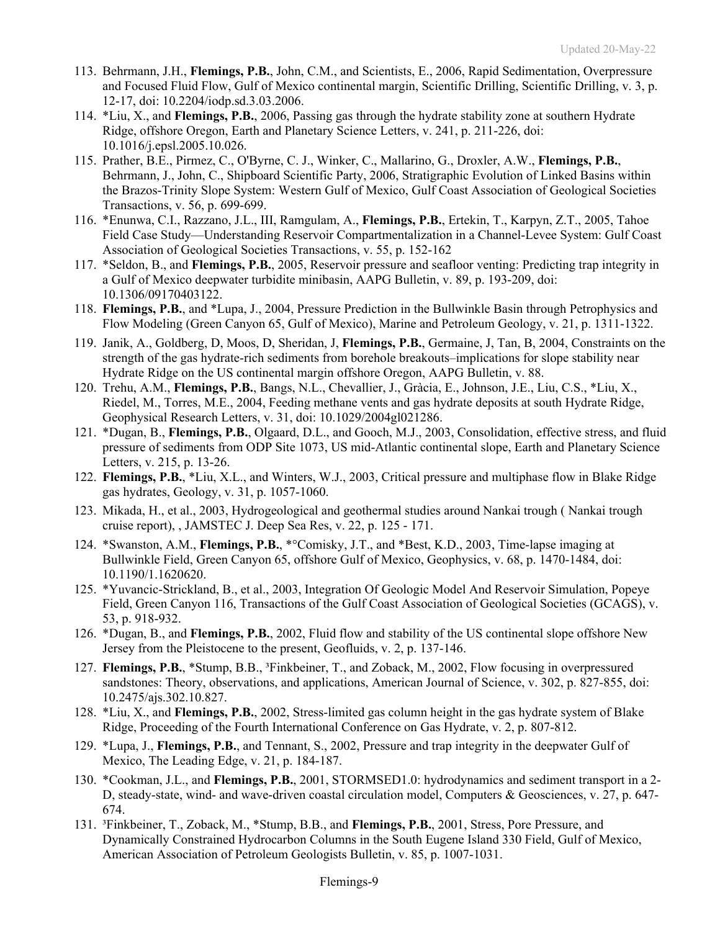- 113. Behrmann, J.H., **Flemings, P.B.**, John, C.M., and Scientists, E., 2006, Rapid Sedimentation, Overpressure and Focused Fluid Flow, Gulf of Mexico continental margin, Scientific Drilling, Scientific Drilling, v. 3, p. 12-17, doi: 10.2204/iodp.sd.3.03.2006.
- 114. \*Liu, X., and **Flemings, P.B.**, 2006, Passing gas through the hydrate stability zone at southern Hydrate Ridge, offshore Oregon, Earth and Planetary Science Letters, v. 241, p. 211-226, doi: 10.1016/j.epsl.2005.10.026.
- 115. Prather, B.E., Pirmez, C., O'Byrne, C. J., Winker, C., Mallarino, G., Droxler, A.W., **Flemings, P.B.**, Behrmann, J., John, C., Shipboard Scientific Party, 2006, Stratigraphic Evolution of Linked Basins within the Brazos-Trinity Slope System: Western Gulf of Mexico, Gulf Coast Association of Geological Societies Transactions, v. 56, p. 699-699.
- 116. \*Enunwa, C.I., Razzano, J.L., III, Ramgulam, A., **Flemings, P.B.**, Ertekin, T., Karpyn, Z.T., 2005, Tahoe Field Case Study—Understanding Reservoir Compartmentalization in a Channel-Levee System: Gulf Coast Association of Geological Societies Transactions, v. 55, p. 152-162
- 117. \*Seldon, B., and **Flemings, P.B.**, 2005, Reservoir pressure and seafloor venting: Predicting trap integrity in a Gulf of Mexico deepwater turbidite minibasin, AAPG Bulletin, v. 89, p. 193-209, doi: 10.1306/09170403122.
- 118. **Flemings, P.B.**, and \*Lupa, J., 2004, Pressure Prediction in the Bullwinkle Basin through Petrophysics and Flow Modeling (Green Canyon 65, Gulf of Mexico), Marine and Petroleum Geology, v. 21, p. 1311-1322.
- 119. Janik, A., Goldberg, D, Moos, D, Sheridan, J, **Flemings, P.B.**, Germaine, J, Tan, B, 2004, Constraints on the strength of the gas hydrate-rich sediments from borehole breakouts–implications for slope stability near Hydrate Ridge on the US continental margin offshore Oregon, AAPG Bulletin, v. 88.
- 120. Trehu, A.M., **Flemings, P.B.**, Bangs, N.L., Chevallier, J., Gràcia, E., Johnson, J.E., Liu, C.S., \*Liu, X., Riedel, M., Torres, M.E., 2004, Feeding methane vents and gas hydrate deposits at south Hydrate Ridge, Geophysical Research Letters, v. 31, doi: 10.1029/2004gl021286.
- 121. \*Dugan, B., **Flemings, P.B.**, Olgaard, D.L., and Gooch, M.J., 2003, Consolidation, effective stress, and fluid pressure of sediments from ODP Site 1073, US mid-Atlantic continental slope, Earth and Planetary Science Letters, v. 215, p. 13-26.
- 122. **Flemings, P.B.**, \*Liu, X.L., and Winters, W.J., 2003, Critical pressure and multiphase flow in Blake Ridge gas hydrates, Geology, v. 31, p. 1057-1060.
- 123. Mikada, H., et al., 2003, Hydrogeological and geothermal studies around Nankai trough ( Nankai trough cruise report), , JAMSTEC J. Deep Sea Res, v. 22, p. 125 - 171.
- 124. \*Swanston, A.M., **Flemings, P.B.**, \*°Comisky, J.T., and \*Best, K.D., 2003, Time-lapse imaging at Bullwinkle Field, Green Canyon 65, offshore Gulf of Mexico, Geophysics, v. 68, p. 1470-1484, doi: 10.1190/1.1620620.
- 125. \*Yuvancic-Strickland, B., et al., 2003, Integration Of Geologic Model And Reservoir Simulation, Popeye Field, Green Canyon 116, Transactions of the Gulf Coast Association of Geological Societies (GCAGS), v. 53, p. 918-932.
- 126. \*Dugan, B., and **Flemings, P.B.**, 2002, Fluid flow and stability of the US continental slope offshore New Jersey from the Pleistocene to the present, Geofluids, v. 2, p. 137-146.
- 127. **Flemings, P.B.**, \*Stump, B.B., ³Finkbeiner, T., and Zoback, M., 2002, Flow focusing in overpressured sandstones: Theory, observations, and applications, American Journal of Science, v. 302, p. 827-855, doi: 10.2475/ajs.302.10.827.
- 128. \*Liu, X., and **Flemings, P.B.**, 2002, Stress-limited gas column height in the gas hydrate system of Blake Ridge, Proceeding of the Fourth International Conference on Gas Hydrate, v. 2, p. 807-812.
- 129. \*Lupa, J., **Flemings, P.B.**, and Tennant, S., 2002, Pressure and trap integrity in the deepwater Gulf of Mexico, The Leading Edge, v. 21, p. 184-187.
- 130. \*Cookman, J.L., and **Flemings, P.B.**, 2001, STORMSED1.0: hydrodynamics and sediment transport in a 2- D, steady-state, wind- and wave-driven coastal circulation model, Computers & Geosciences, v. 27, p. 647- 674.
- 131. ³Finkbeiner, T., Zoback, M., \*Stump, B.B., and **Flemings, P.B.**, 2001, Stress, Pore Pressure, and Dynamically Constrained Hydrocarbon Columns in the South Eugene Island 330 Field, Gulf of Mexico, American Association of Petroleum Geologists Bulletin, v. 85, p. 1007-1031.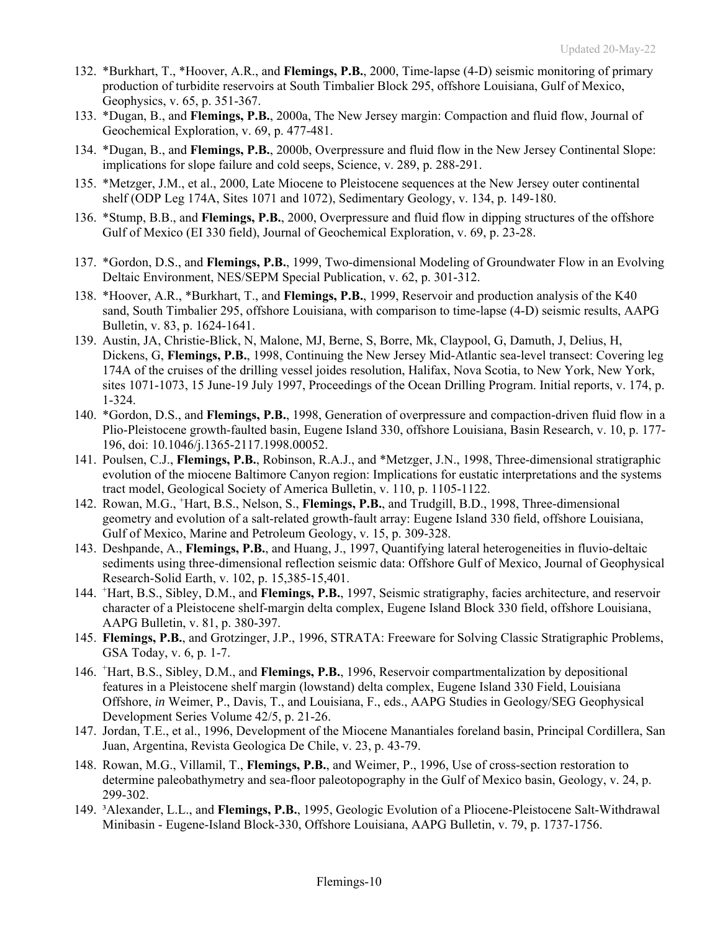- 132. \*Burkhart, T., \*Hoover, A.R., and **Flemings, P.B.**, 2000, Time-lapse (4-D) seismic monitoring of primary production of turbidite reservoirs at South Timbalier Block 295, offshore Louisiana, Gulf of Mexico, Geophysics, v. 65, p. 351-367.
- 133. \*Dugan, B., and **Flemings, P.B.**, 2000a, The New Jersey margin: Compaction and fluid flow, Journal of Geochemical Exploration, v. 69, p. 477-481.
- 134. \*Dugan, B., and **Flemings, P.B.**, 2000b, Overpressure and fluid flow in the New Jersey Continental Slope: implications for slope failure and cold seeps, Science, v. 289, p. 288-291.
- 135. \*Metzger, J.M., et al., 2000, Late Miocene to Pleistocene sequences at the New Jersey outer continental shelf (ODP Leg 174A, Sites 1071 and 1072), Sedimentary Geology, v. 134, p. 149-180.
- 136. \*Stump, B.B., and **Flemings, P.B.**, 2000, Overpressure and fluid flow in dipping structures of the offshore Gulf of Mexico (EI 330 field), Journal of Geochemical Exploration, v. 69, p. 23-28.
- 137. \*Gordon, D.S., and **Flemings, P.B.**, 1999, Two-dimensional Modeling of Groundwater Flow in an Evolving Deltaic Environment, NES/SEPM Special Publication, v. 62, p. 301-312.
- 138. \*Hoover, A.R., \*Burkhart, T., and **Flemings, P.B.**, 1999, Reservoir and production analysis of the K40 sand, South Timbalier 295, offshore Louisiana, with comparison to time-lapse (4-D) seismic results, AAPG Bulletin, v. 83, p. 1624-1641.
- 139. Austin, JA, Christie-Blick, N, Malone, MJ, Berne, S, Borre, Mk, Claypool, G, Damuth, J, Delius, H, Dickens, G, **Flemings, P.B.**, 1998, Continuing the New Jersey Mid-Atlantic sea-level transect: Covering leg 174A of the cruises of the drilling vessel joides resolution, Halifax, Nova Scotia, to New York, New York, sites 1071-1073, 15 June-19 July 1997, Proceedings of the Ocean Drilling Program. Initial reports, v. 174, p. 1-324.
- 140. \*Gordon, D.S., and **Flemings, P.B.**, 1998, Generation of overpressure and compaction-driven fluid flow in a Plio-Pleistocene growth-faulted basin, Eugene Island 330, offshore Louisiana, Basin Research, v. 10, p. 177- 196, doi: 10.1046/j.1365-2117.1998.00052.
- 141. Poulsen, C.J., **Flemings, P.B.**, Robinson, R.A.J., and \*Metzger, J.N., 1998, Three-dimensional stratigraphic evolution of the miocene Baltimore Canyon region: Implications for eustatic interpretations and the systems tract model, Geological Society of America Bulletin, v. 110, p. 1105-1122.
- 142. Rowan, M.G., <sup>+</sup>Hart, B.S., Nelson, S., Flemings, P.B., and Trudgill, B.D., 1998, Three-dimensional geometry and evolution of a salt-related growth-fault array: Eugene Island 330 field, offshore Louisiana, Gulf of Mexico, Marine and Petroleum Geology, v. 15, p. 309-328.
- 143. Deshpande, A., **Flemings, P.B.**, and Huang, J., 1997, Quantifying lateral heterogeneities in fluvio-deltaic sediments using three-dimensional reflection seismic data: Offshore Gulf of Mexico, Journal of Geophysical Research-Solid Earth, v. 102, p. 15,385-15,401.
- 144. <sup>+</sup>Hart, B.S., Sibley, D.M., and **Flemings, P.B.**, 1997, Seismic stratigraphy, facies architecture, and reservoir character of a Pleistocene shelf-margin delta complex, Eugene Island Block 330 field, offshore Louisiana, AAPG Bulletin, v. 81, p. 380-397.
- 145. **Flemings, P.B.**, and Grotzinger, J.P., 1996, STRATA: Freeware for Solving Classic Stratigraphic Problems, GSA Today, v. 6, p. 1-7.
- 146. <sup>+</sup> Hart, B.S., Sibley, D.M., and **Flemings, P.B.**, 1996, Reservoir compartmentalization by depositional features in a Pleistocene shelf margin (lowstand) delta complex, Eugene Island 330 Field, Louisiana Offshore, *in* Weimer, P., Davis, T., and Louisiana, F., eds., AAPG Studies in Geology/SEG Geophysical Development Series Volume 42/5, p. 21-26.
- 147. Jordan, T.E., et al., 1996, Development of the Miocene Manantiales foreland basin, Principal Cordillera, San Juan, Argentina, Revista Geologica De Chile, v. 23, p. 43-79.
- 148. Rowan, M.G., Villamil, T., **Flemings, P.B.**, and Weimer, P., 1996, Use of cross-section restoration to determine paleobathymetry and sea-floor paleotopography in the Gulf of Mexico basin, Geology, v. 24, p. 299-302.
- 149. ³Alexander, L.L., and **Flemings, P.B.**, 1995, Geologic Evolution of a Pliocene-Pleistocene Salt-Withdrawal Minibasin - Eugene-Island Block-330, Offshore Louisiana, AAPG Bulletin, v. 79, p. 1737-1756.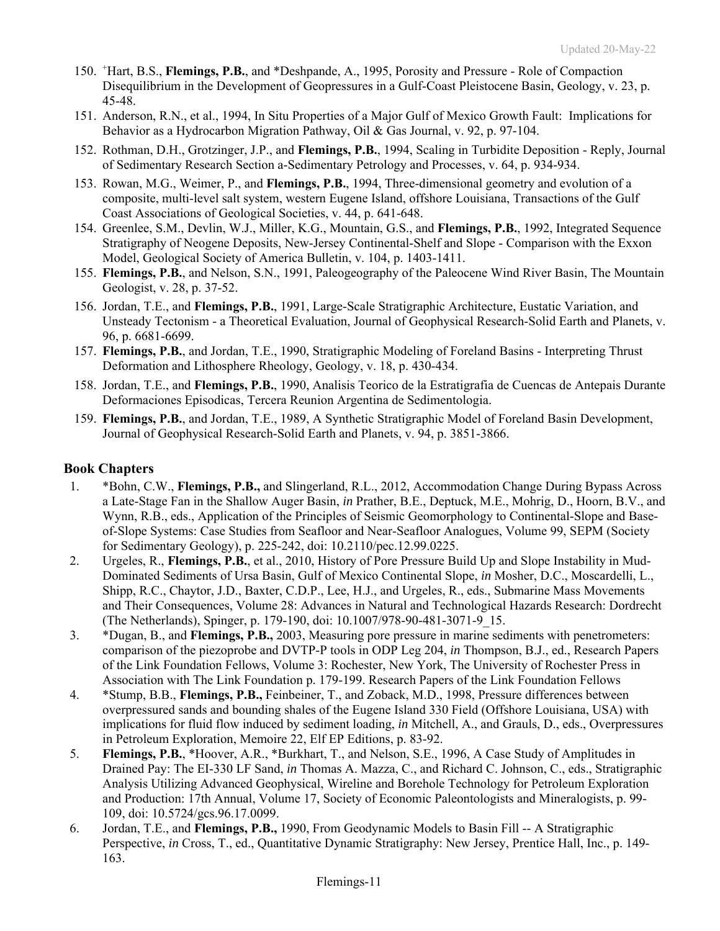- 150. <sup>+</sup> Hart, B.S., **Flemings, P.B.**, and \*Deshpande, A., 1995, Porosity and Pressure Role of Compaction Disequilibrium in the Development of Geopressures in a Gulf-Coast Pleistocene Basin, Geology, v. 23, p. 45-48.
- 151. Anderson, R.N., et al., 1994, In Situ Properties of a Major Gulf of Mexico Growth Fault: Implications for Behavior as a Hydrocarbon Migration Pathway, Oil & Gas Journal, v. 92, p. 97-104.
- 152. Rothman, D.H., Grotzinger, J.P., and **Flemings, P.B.**, 1994, Scaling in Turbidite Deposition Reply, Journal of Sedimentary Research Section a-Sedimentary Petrology and Processes, v. 64, p. 934-934.
- 153. Rowan, M.G., Weimer, P., and **Flemings, P.B.**, 1994, Three-dimensional geometry and evolution of a composite, multi-level salt system, western Eugene Island, offshore Louisiana, Transactions of the Gulf Coast Associations of Geological Societies, v. 44, p. 641-648.
- 154. Greenlee, S.M., Devlin, W.J., Miller, K.G., Mountain, G.S., and **Flemings, P.B.**, 1992, Integrated Sequence Stratigraphy of Neogene Deposits, New-Jersey Continental-Shelf and Slope - Comparison with the Exxon Model, Geological Society of America Bulletin, v. 104, p. 1403-1411.
- 155. **Flemings, P.B.**, and Nelson, S.N., 1991, Paleogeography of the Paleocene Wind River Basin, The Mountain Geologist, v. 28, p. 37-52.
- 156. Jordan, T.E., and **Flemings, P.B.**, 1991, Large-Scale Stratigraphic Architecture, Eustatic Variation, and Unsteady Tectonism - a Theoretical Evaluation, Journal of Geophysical Research-Solid Earth and Planets, v. 96, p. 6681-6699.
- 157. **Flemings, P.B.**, and Jordan, T.E., 1990, Stratigraphic Modeling of Foreland Basins Interpreting Thrust Deformation and Lithosphere Rheology, Geology, v. 18, p. 430-434.
- 158. Jordan, T.E., and **Flemings, P.B.**, 1990, Analisis Teorico de la Estratigrafia de Cuencas de Antepais Durante Deformaciones Episodicas, Tercera Reunion Argentina de Sedimentologia.
- 159. **Flemings, P.B.**, and Jordan, T.E., 1989, A Synthetic Stratigraphic Model of Foreland Basin Development, Journal of Geophysical Research-Solid Earth and Planets, v. 94, p. 3851-3866.

### **Book Chapters**

- 1. \*Bohn, C.W., **Flemings, P.B.,** and Slingerland, R.L., 2012, Accommodation Change During Bypass Across a Late-Stage Fan in the Shallow Auger Basin, *in* Prather, B.E., Deptuck, M.E., Mohrig, D., Hoorn, B.V., and Wynn, R.B., eds., Application of the Principles of Seismic Geomorphology to Continental-Slope and Baseof-Slope Systems: Case Studies from Seafloor and Near-Seafloor Analogues, Volume 99, SEPM (Society for Sedimentary Geology), p. 225-242, doi: 10.2110/pec.12.99.0225.
- 2. Urgeles, R., **Flemings, P.B.**, et al., 2010, History of Pore Pressure Build Up and Slope Instability in Mud-Dominated Sediments of Ursa Basin, Gulf of Mexico Continental Slope, *in* Mosher, D.C., Moscardelli, L., Shipp, R.C., Chaytor, J.D., Baxter, C.D.P., Lee, H.J., and Urgeles, R., eds., Submarine Mass Movements and Their Consequences, Volume 28: Advances in Natural and Technological Hazards Research: Dordrecht (The Netherlands), Spinger, p. 179-190, doi: 10.1007/978-90-481-3071-9\_15.
- 3. \*Dugan, B., and **Flemings, P.B.,** 2003, Measuring pore pressure in marine sediments with penetrometers: comparison of the piezoprobe and DVTP-P tools in ODP Leg 204, *in* Thompson, B.J., ed., Research Papers of the Link Foundation Fellows, Volume 3: Rochester, New York, The University of Rochester Press in Association with The Link Foundation p. 179-199. Research Papers of the Link Foundation Fellows
- 4. \*Stump, B.B., **Flemings, P.B.,** Feinbeiner, T., and Zoback, M.D., 1998, Pressure differences between overpressured sands and bounding shales of the Eugene Island 330 Field (Offshore Louisiana, USA) with implications for fluid flow induced by sediment loading, *in* Mitchell, A., and Grauls, D., eds., Overpressures in Petroleum Exploration, Memoire 22, Elf EP Editions, p. 83-92.
- 5. **Flemings, P.B.**, \*Hoover, A.R., \*Burkhart, T., and Nelson, S.E., 1996, A Case Study of Amplitudes in Drained Pay: The EI-330 LF Sand, *in* Thomas A. Mazza, C., and Richard C. Johnson, C., eds., Stratigraphic Analysis Utilizing Advanced Geophysical, Wireline and Borehole Technology for Petroleum Exploration and Production: 17th Annual, Volume 17, Society of Economic Paleontologists and Mineralogists, p. 99- 109, doi: 10.5724/gcs.96.17.0099.
- 6. Jordan, T.E., and **Flemings, P.B.,** 1990, From Geodynamic Models to Basin Fill -- A Stratigraphic Perspective, *in* Cross, T., ed., Quantitative Dynamic Stratigraphy: New Jersey, Prentice Hall, Inc., p. 149- 163.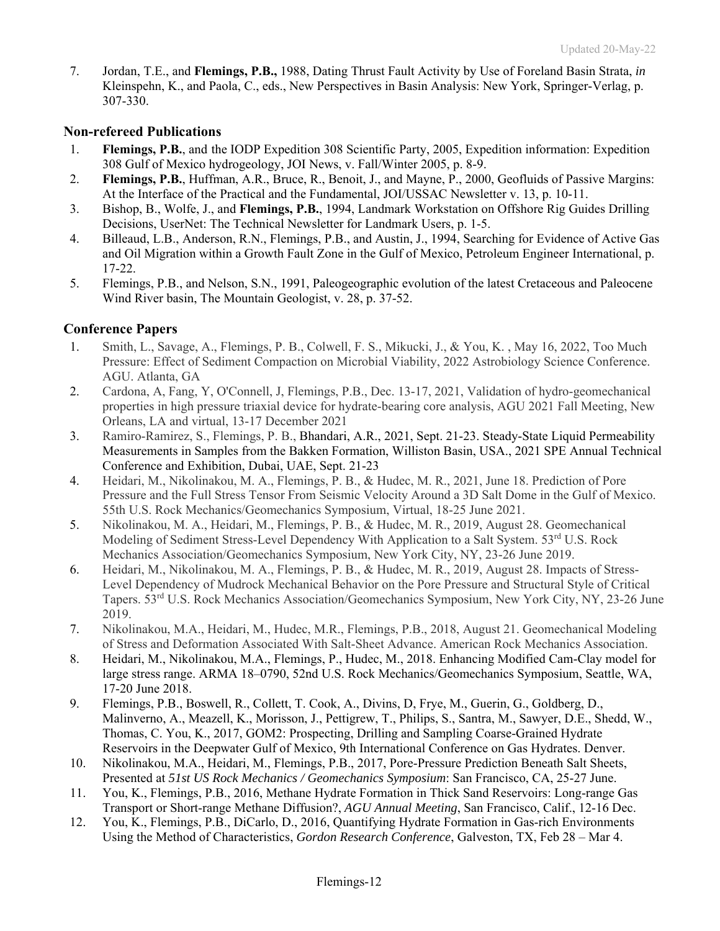7. Jordan, T.E., and **Flemings, P.B.,** 1988, Dating Thrust Fault Activity by Use of Foreland Basin Strata, *in* Kleinspehn, K., and Paola, C., eds., New Perspectives in Basin Analysis: New York, Springer-Verlag, p. 307-330.

### **Non-refereed Publications**

- 1. **Flemings, P.B.**, and the IODP Expedition 308 Scientific Party, 2005, Expedition information: Expedition 308 Gulf of Mexico hydrogeology, JOI News, v. Fall/Winter 2005, p. 8-9.
- 2. **Flemings, P.B.**, Huffman, A.R., Bruce, R., Benoit, J., and Mayne, P., 2000, Geofluids of Passive Margins: At the Interface of the Practical and the Fundamental, JOI/USSAC Newsletter v. 13, p. 10-11.
- 3. Bishop, B., Wolfe, J., and **Flemings, P.B.**, 1994, Landmark Workstation on Offshore Rig Guides Drilling Decisions, UserNet: The Technical Newsletter for Landmark Users, p. 1-5.
- 4. Billeaud, L.B., Anderson, R.N., Flemings, P.B., and Austin, J., 1994, Searching for Evidence of Active Gas and Oil Migration within a Growth Fault Zone in the Gulf of Mexico, Petroleum Engineer International, p. 17-22.
- 5. Flemings, P.B., and Nelson, S.N., 1991, Paleogeographic evolution of the latest Cretaceous and Paleocene Wind River basin, The Mountain Geologist, v. 28, p. 37-52.

### **Conference Papers**

- 1. Smith, L., Savage, A., Flemings, P. B., Colwell, F. S., Mikucki, J., & You, K. , May 16, 2022, Too Much Pressure: Effect of Sediment Compaction on Microbial Viability, 2022 Astrobiology Science Conference. AGU. Atlanta, GA
- 2. Cardona, A, Fang, Y, O'Connell, J, Flemings, P.B., Dec. 13-17, 2021, Validation of hydro-geomechanical properties in high pressure triaxial device for hydrate-bearing core analysis, AGU 2021 Fall Meeting, New Orleans, LA and virtual, 13-17 December 2021
- 3. Ramiro-Ramirez, S., Flemings, P. B., Bhandari, A.R., 2021, Sept. 21-23. Steady-State Liquid Permeability Measurements in Samples from the Bakken Formation, Williston Basin, USA., 2021 SPE Annual Technical Conference and Exhibition, Dubai, UAE, Sept. 21-23
- 4. Heidari, M., Nikolinakou, M. A., Flemings, P. B., & Hudec, M. R., 2021, June 18. Prediction of Pore Pressure and the Full Stress Tensor From Seismic Velocity Around a 3D Salt Dome in the Gulf of Mexico. 55th U.S. Rock Mechanics/Geomechanics Symposium, Virtual, 18-25 June 2021.
- 5. Nikolinakou, M. A., Heidari, M., Flemings, P. B., & Hudec, M. R., 2019, August 28. Geomechanical Modeling of Sediment Stress-Level Dependency With Application to a Salt System. 53<sup>rd</sup> U.S. Rock Mechanics Association/Geomechanics Symposium, New York City, NY, 23-26 June 2019.
- 6. Heidari, M., Nikolinakou, M. A., Flemings, P. B., & Hudec, M. R., 2019, August 28. Impacts of Stress-Level Dependency of Mudrock Mechanical Behavior on the Pore Pressure and Structural Style of Critical Tapers. 53rd U.S. Rock Mechanics Association/Geomechanics Symposium, New York City, NY, 23-26 June 2019.
- 7. Nikolinakou, M.A., Heidari, M., Hudec, M.R., Flemings, P.B., 2018, August 21. Geomechanical Modeling of Stress and Deformation Associated With Salt-Sheet Advance. American Rock Mechanics Association.
- 8. Heidari, M., Nikolinakou, M.A., Flemings, P., Hudec, M., 2018. Enhancing Modified Cam-Clay model for large stress range. ARMA 18–0790, 52nd U.S. Rock Mechanics/Geomechanics Symposium, Seattle, WA, 17-20 June 2018.
- 9. Flemings, P.B., Boswell, R., Collett, T. Cook, A., Divins, D, Frye, M., Guerin, G., Goldberg, D., Malinverno, A., Meazell, K., Morisson, J., Pettigrew, T., Philips, S., Santra, M., Sawyer, D.E., Shedd, W., Thomas, C. You, K., 2017, GOM2: Prospecting, Drilling and Sampling Coarse-Grained Hydrate Reservoirs in the Deepwater Gulf of Mexico, 9th International Conference on Gas Hydrates. Denver.
- 10. Nikolinakou, M.A., Heidari, M., Flemings, P.B., 2017, Pore-Pressure Prediction Beneath Salt Sheets, Presented at *51st US Rock Mechanics / Geomechanics Symposium*: San Francisco, CA, 25-27 June.
- 11. You, K., Flemings, P.B., 2016, Methane Hydrate Formation in Thick Sand Reservoirs: Long-range Gas Transport or Short-range Methane Diffusion?, *AGU Annual Meeting*, San Francisco, Calif., 12-16 Dec.
- 12. You, K., Flemings, P.B., DiCarlo, D., 2016, Quantifying Hydrate Formation in Gas-rich Environments Using the Method of Characteristics, *Gordon Research Conference*, Galveston, TX, Feb 28 – Mar 4.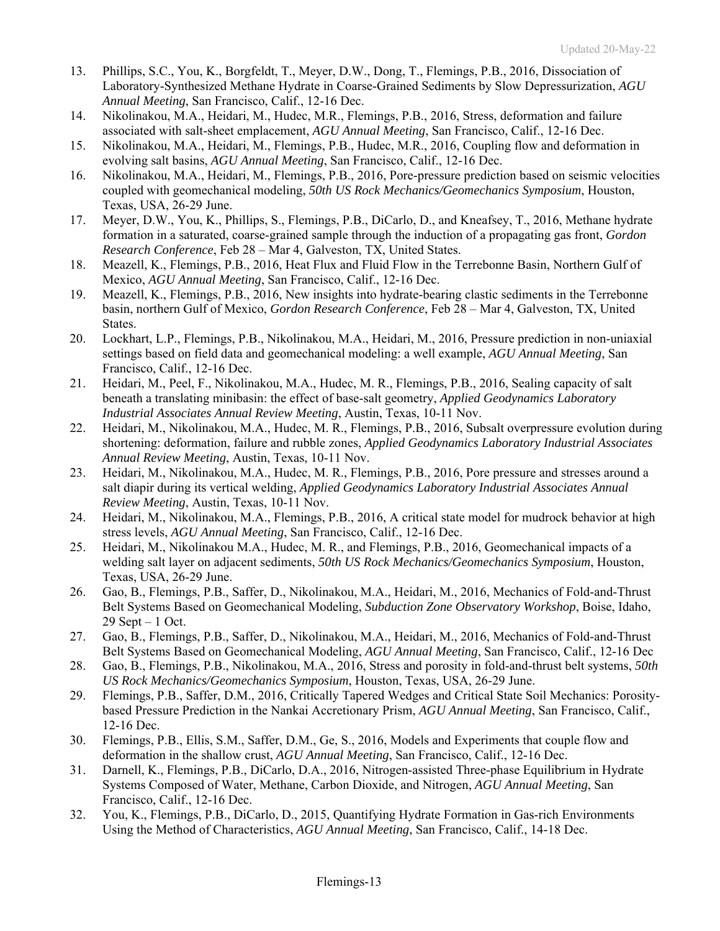- 13. Phillips, S.C., You, K., Borgfeldt, T., Meyer, D.W., Dong, T., Flemings, P.B., 2016, Dissociation of Laboratory-Synthesized Methane Hydrate in Coarse-Grained Sediments by Slow Depressurization, *AGU Annual Meeting*, San Francisco, Calif., 12-16 Dec.
- 14. Nikolinakou, M.A., Heidari, M., Hudec, M.R., Flemings, P.B., 2016, Stress, deformation and failure associated with salt-sheet emplacement, *AGU Annual Meeting*, San Francisco, Calif., 12-16 Dec.
- 15. Nikolinakou, M.A., Heidari, M., Flemings, P.B., Hudec, M.R., 2016, Coupling flow and deformation in evolving salt basins, *AGU Annual Meeting*, San Francisco, Calif., 12-16 Dec.
- 16. Nikolinakou, M.A., Heidari, M., Flemings, P.B., 2016, Pore-pressure prediction based on seismic velocities coupled with geomechanical modeling, *50th US Rock Mechanics/Geomechanics Symposium*, Houston, Texas, USA, 26-29 June.
- 17. Meyer, D.W., You, K., Phillips, S., Flemings, P.B., DiCarlo, D., and Kneafsey, T., 2016, Methane hydrate formation in a saturated, coarse-grained sample through the induction of a propagating gas front, *Gordon Research Conference*, Feb 28 – Mar 4, Galveston, TX, United States.
- 18. Meazell, K., Flemings, P.B., 2016, Heat Flux and Fluid Flow in the Terrebonne Basin, Northern Gulf of Mexico, *AGU Annual Meeting*, San Francisco, Calif., 12-16 Dec.
- 19. Meazell, K., Flemings, P.B., 2016, New insights into hydrate-bearing clastic sediments in the Terrebonne basin, northern Gulf of Mexico, *Gordon Research Conference*, Feb 28 – Mar 4, Galveston, TX, United States.
- 20. Lockhart, L.P., Flemings, P.B., Nikolinakou, M.A., Heidari, M., 2016, Pressure prediction in non-uniaxial settings based on field data and geomechanical modeling: a well example, *AGU Annual Meeting*, San Francisco, Calif., 12-16 Dec.
- 21. Heidari, M., Peel, F., Nikolinakou, M.A., Hudec, M. R., Flemings, P.B., 2016, Sealing capacity of salt beneath a translating minibasin: the effect of base-salt geometry, *Applied Geodynamics Laboratory Industrial Associates Annual Review Meeting*, Austin, Texas, 10-11 Nov.
- 22. Heidari, M., Nikolinakou, M.A., Hudec, M. R., Flemings, P.B., 2016, Subsalt overpressure evolution during shortening: deformation, failure and rubble zones, *Applied Geodynamics Laboratory Industrial Associates Annual Review Meeting*, Austin, Texas, 10-11 Nov.
- 23. Heidari, M., Nikolinakou, M.A., Hudec, M. R., Flemings, P.B., 2016, Pore pressure and stresses around a salt diapir during its vertical welding, *Applied Geodynamics Laboratory Industrial Associates Annual Review Meeting*, Austin, Texas, 10-11 Nov.
- 24. Heidari, M., Nikolinakou, M.A., Flemings, P.B., 2016, A critical state model for mudrock behavior at high stress levels, *AGU Annual Meeting*, San Francisco, Calif., 12-16 Dec.
- 25. Heidari, M., Nikolinakou M.A., Hudec, M. R., and Flemings, P.B., 2016, Geomechanical impacts of a welding salt layer on adjacent sediments, *50th US Rock Mechanics/Geomechanics Symposium*, Houston, Texas, USA, 26-29 June.
- 26. Gao, B., Flemings, P.B., Saffer, D., Nikolinakou, M.A., Heidari, M., 2016, Mechanics of Fold-and-Thrust Belt Systems Based on Geomechanical Modeling, *Subduction Zone Observatory Workshop*, Boise, Idaho, 29 Sept – 1 Oct.
- 27. Gao, B., Flemings, P.B., Saffer, D., Nikolinakou, M.A., Heidari, M., 2016, Mechanics of Fold-and-Thrust Belt Systems Based on Geomechanical Modeling, *AGU Annual Meeting*, San Francisco, Calif., 12-16 Dec
- 28. Gao, B., Flemings, P.B., Nikolinakou, M.A., 2016, Stress and porosity in fold-and-thrust belt systems, *50th US Rock Mechanics/Geomechanics Symposium*, Houston, Texas, USA, 26-29 June.
- 29. Flemings, P.B., Saffer, D.M., 2016, Critically Tapered Wedges and Critical State Soil Mechanics: Porositybased Pressure Prediction in the Nankai Accretionary Prism, *AGU Annual Meeting*, San Francisco, Calif., 12-16 Dec.
- 30. Flemings, P.B., Ellis, S.M., Saffer, D.M., Ge, S., 2016, Models and Experiments that couple flow and deformation in the shallow crust, *AGU Annual Meeting*, San Francisco, Calif., 12-16 Dec.
- 31. Darnell, K., Flemings, P.B., DiCarlo, D.A., 2016, Nitrogen-assisted Three-phase Equilibrium in Hydrate Systems Composed of Water, Methane, Carbon Dioxide, and Nitrogen, *AGU Annual Meeting*, San Francisco, Calif., 12-16 Dec.
- 32. You, K., Flemings, P.B., DiCarlo, D., 2015, Quantifying Hydrate Formation in Gas-rich Environments Using the Method of Characteristics, *AGU Annual Meeting*, San Francisco, Calif., 14-18 Dec.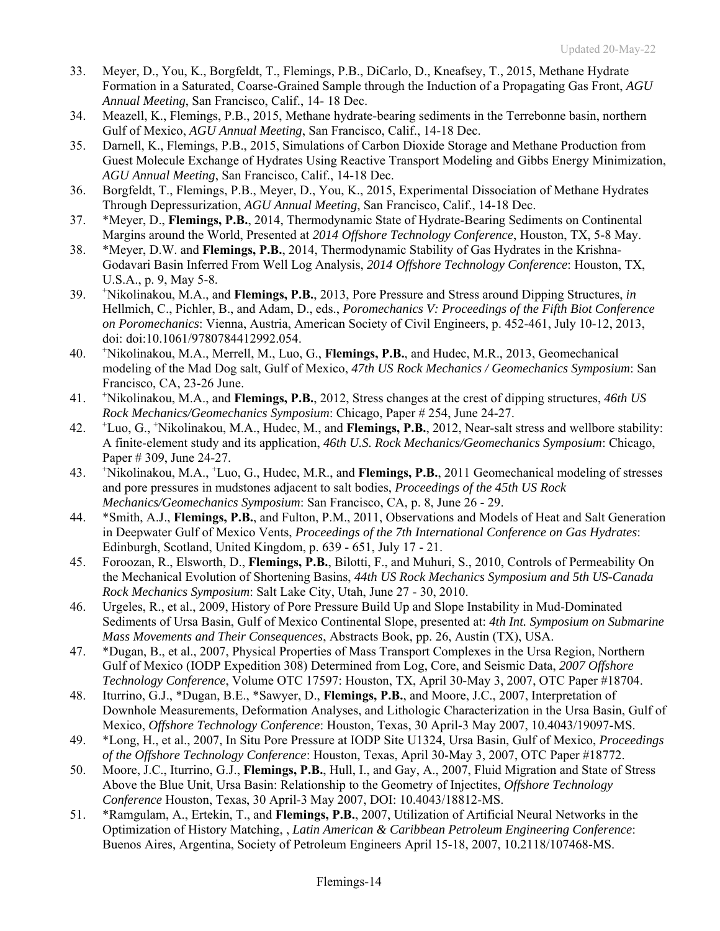- 33. Meyer, D., You, K., Borgfeldt, T., Flemings, P.B., DiCarlo, D., Kneafsey, T., 2015, Methane Hydrate Formation in a Saturated, Coarse-Grained Sample through the Induction of a Propagating Gas Front, *AGU Annual Meeting*, San Francisco, Calif., 14- 18 Dec.
- 34. Meazell, K., Flemings, P.B., 2015, Methane hydrate-bearing sediments in the Terrebonne basin, northern Gulf of Mexico, *AGU Annual Meeting*, San Francisco, Calif., 14-18 Dec.
- 35. Darnell, K., Flemings, P.B., 2015, Simulations of Carbon Dioxide Storage and Methane Production from Guest Molecule Exchange of Hydrates Using Reactive Transport Modeling and Gibbs Energy Minimization, *AGU Annual Meeting*, San Francisco, Calif., 14-18 Dec.
- 36. Borgfeldt, T., Flemings, P.B., Meyer, D., You, K., 2015, Experimental Dissociation of Methane Hydrates Through Depressurization, *AGU Annual Meeting*, San Francisco, Calif., 14-18 Dec.
- 37. \*Meyer, D., **Flemings, P.B.**, 2014, Thermodynamic State of Hydrate-Bearing Sediments on Continental Margins around the World, Presented at *2014 Offshore Technology Conference*, Houston, TX, 5-8 May.
- 38. \*Meyer, D.W. and **Flemings, P.B.**, 2014, Thermodynamic Stability of Gas Hydrates in the Krishna-Godavari Basin Inferred From Well Log Analysis, *2014 Offshore Technology Conference*: Houston, TX, U.S.A., p. 9, May 5-8.
- 39. <sup>+</sup> Nikolinakou, M.A., and **Flemings, P.B.**, 2013, Pore Pressure and Stress around Dipping Structures, *in* Hellmich, C., Pichler, B., and Adam, D., eds., *Poromechanics V: Proceedings of the Fifth Biot Conference on Poromechanics*: Vienna, Austria, American Society of Civil Engineers, p. 452-461, July 10-12, 2013, doi: doi:10.1061/9780784412992.054.
- 40. <sup>+</sup> Nikolinakou, M.A., Merrell, M., Luo, G., **Flemings, P.B.**, and Hudec, M.R., 2013, Geomechanical modeling of the Mad Dog salt, Gulf of Mexico, *47th US Rock Mechanics / Geomechanics Symposium*: San Francisco, CA, 23-26 June.
- 41. <sup>+</sup> Nikolinakou, M.A., and **Flemings, P.B.**, 2012, Stress changes at the crest of dipping structures, *46th US Rock Mechanics/Geomechanics Symposium*: Chicago, Paper # 254, June 24-27.
- 42. <sup>+</sup> Luo, G., + Nikolinakou, M.A., Hudec, M., and **Flemings, P.B.**, 2012, Near-salt stress and wellbore stability: A finite-element study and its application, *46th U.S. Rock Mechanics/Geomechanics Symposium*: Chicago, Paper # 309, June 24-27.
- 43. <sup>+</sup> Nikolinakou, M.A., <sup>+</sup> Luo, G., Hudec, M.R., and **Flemings, P.B.**, 2011 Geomechanical modeling of stresses and pore pressures in mudstones adjacent to salt bodies, *Proceedings of the 45th US Rock Mechanics/Geomechanics Symposium*: San Francisco, CA, p. 8, June 26 - 29.
- 44. \*Smith, A.J., **Flemings, P.B.**, and Fulton, P.M., 2011, Observations and Models of Heat and Salt Generation in Deepwater Gulf of Mexico Vents, *Proceedings of the 7th International Conference on Gas Hydrates*: Edinburgh, Scotland, United Kingdom, p. 639 - 651, July 17 - 21.
- 45. Foroozan, R., Elsworth, D., **Flemings, P.B.**, Bilotti, F., and Muhuri, S., 2010, Controls of Permeability On the Mechanical Evolution of Shortening Basins, *44th US Rock Mechanics Symposium and 5th US-Canada Rock Mechanics Symposium*: Salt Lake City, Utah, June 27 - 30, 2010.
- 46. Urgeles, R., et al., 2009, History of Pore Pressure Build Up and Slope Instability in Mud-Dominated Sediments of Ursa Basin, Gulf of Mexico Continental Slope, presented at: *4th Int. Symposium on Submarine Mass Movements and Their Consequences*, Abstracts Book, pp. 26, Austin (TX), USA.
- 47. \*Dugan, B., et al., 2007, Physical Properties of Mass Transport Complexes in the Ursa Region, Northern Gulf of Mexico (IODP Expedition 308) Determined from Log, Core, and Seismic Data, *2007 Offshore Technology Conference*, Volume OTC 17597: Houston, TX, April 30-May 3, 2007, OTC Paper #18704.
- 48. Iturrino, G.J., \*Dugan, B.E., \*Sawyer, D., **Flemings, P.B.**, and Moore, J.C., 2007, Interpretation of Downhole Measurements, Deformation Analyses, and Lithologic Characterization in the Ursa Basin, Gulf of Mexico, *Offshore Technology Conference*: Houston, Texas, 30 April-3 May 2007, 10.4043/19097-MS.
- 49. \*Long, H., et al., 2007, In Situ Pore Pressure at IODP Site U1324, Ursa Basin, Gulf of Mexico, *Proceedings of the Offshore Technology Conference*: Houston, Texas, April 30-May 3, 2007, OTC Paper #18772.
- 50. Moore, J.C., Iturrino, G.J., **Flemings, P.B.**, Hull, I., and Gay, A., 2007, Fluid Migration and State of Stress Above the Blue Unit, Ursa Basin: Relationship to the Geometry of Injectites, *Offshore Technology Conference* Houston, Texas, 30 April-3 May 2007, DOI: 10.4043/18812-MS.
- 51. \*Ramgulam, A., Ertekin, T., and **Flemings, P.B.**, 2007, Utilization of Artificial Neural Networks in the Optimization of History Matching, , *Latin American & Caribbean Petroleum Engineering Conference*: Buenos Aires, Argentina, Society of Petroleum Engineers April 15-18, 2007, 10.2118/107468-MS.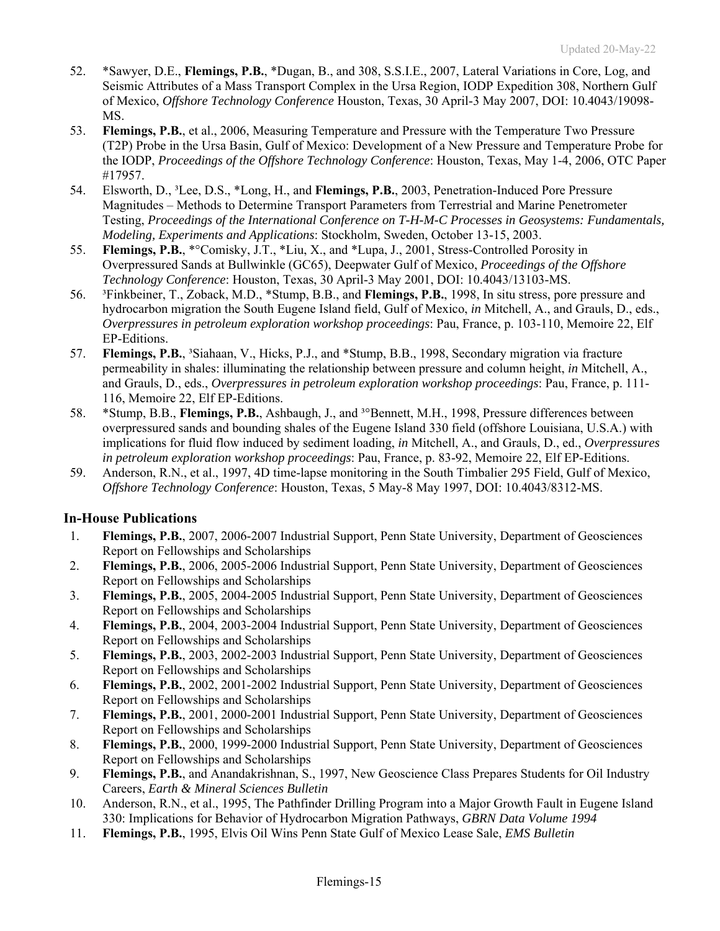- 52. \*Sawyer, D.E., **Flemings, P.B.**, \*Dugan, B., and 308, S.S.I.E., 2007, Lateral Variations in Core, Log, and Seismic Attributes of a Mass Transport Complex in the Ursa Region, IODP Expedition 308, Northern Gulf of Mexico, *Offshore Technology Conference* Houston, Texas, 30 April-3 May 2007, DOI: 10.4043/19098- MS.
- 53. **Flemings, P.B.**, et al., 2006, Measuring Temperature and Pressure with the Temperature Two Pressure (T2P) Probe in the Ursa Basin, Gulf of Mexico: Development of a New Pressure and Temperature Probe for the IODP, *Proceedings of the Offshore Technology Conference*: Houston, Texas, May 1-4, 2006, OTC Paper #17957.
- 54. Elsworth, D., ³Lee, D.S., \*Long, H., and **Flemings, P.B.**, 2003, Penetration-Induced Pore Pressure Magnitudes – Methods to Determine Transport Parameters from Terrestrial and Marine Penetrometer Testing, *Proceedings of the International Conference on T-H-M-C Processes in Geosystems: Fundamentals, Modeling, Experiments and Applications*: Stockholm, Sweden, October 13-15, 2003.
- 55. **Flemings, P.B.**, \*°Comisky, J.T., \*Liu, X., and \*Lupa, J., 2001, Stress-Controlled Porosity in Overpressured Sands at Bullwinkle (GC65), Deepwater Gulf of Mexico, *Proceedings of the Offshore Technology Conference*: Houston, Texas, 30 April-3 May 2001, DOI: 10.4043/13103-MS.
- 56. ³Finkbeiner, T., Zoback, M.D., \*Stump, B.B., and **Flemings, P.B.**, 1998, In situ stress, pore pressure and hydrocarbon migration the South Eugene Island field, Gulf of Mexico, *in* Mitchell, A., and Grauls, D., eds., *Overpressures in petroleum exploration workshop proceedings*: Pau, France, p. 103-110, Memoire 22, Elf EP-Editions.
- 57. **Flemings, P.B.**, ³Siahaan, V., Hicks, P.J., and \*Stump, B.B., 1998, Secondary migration via fracture permeability in shales: illuminating the relationship between pressure and column height, *in* Mitchell, A., and Grauls, D., eds., *Overpressures in petroleum exploration workshop proceedings*: Pau, France, p. 111- 116, Memoire 22, Elf EP-Editions.
- 58. \*Stump, B.B., **Flemings, P.B.**, Ashbaugh, J., and ³°Bennett, M.H., 1998, Pressure differences between overpressured sands and bounding shales of the Eugene Island 330 field (offshore Louisiana, U.S.A.) with implications for fluid flow induced by sediment loading, *in* Mitchell, A., and Grauls, D., ed., *Overpressures in petroleum exploration workshop proceedings*: Pau, France, p. 83-92, Memoire 22, Elf EP-Editions.
- 59. Anderson, R.N., et al., 1997, 4D time-lapse monitoring in the South Timbalier 295 Field, Gulf of Mexico, *Offshore Technology Conference*: Houston, Texas, 5 May-8 May 1997, DOI: 10.4043/8312-MS.

## **In-House Publications**

- 1. **Flemings, P.B.**, 2007, 2006-2007 Industrial Support, Penn State University, Department of Geosciences Report on Fellowships and Scholarships
- 2. **Flemings, P.B.**, 2006, 2005-2006 Industrial Support, Penn State University, Department of Geosciences Report on Fellowships and Scholarships
- 3. **Flemings, P.B.**, 2005, 2004-2005 Industrial Support, Penn State University, Department of Geosciences Report on Fellowships and Scholarships
- 4. **Flemings, P.B.**, 2004, 2003-2004 Industrial Support, Penn State University, Department of Geosciences Report on Fellowships and Scholarships
- 5. **Flemings, P.B.**, 2003, 2002-2003 Industrial Support, Penn State University, Department of Geosciences Report on Fellowships and Scholarships
- 6. **Flemings, P.B.**, 2002, 2001-2002 Industrial Support, Penn State University, Department of Geosciences Report on Fellowships and Scholarships
- 7. **Flemings, P.B.**, 2001, 2000-2001 Industrial Support, Penn State University, Department of Geosciences Report on Fellowships and Scholarships
- 8. **Flemings, P.B.**, 2000, 1999-2000 Industrial Support, Penn State University, Department of Geosciences Report on Fellowships and Scholarships
- 9. **Flemings, P.B.**, and Anandakrishnan, S., 1997, New Geoscience Class Prepares Students for Oil Industry Careers, *Earth & Mineral Sciences Bulletin*
- 10. Anderson, R.N., et al., 1995, The Pathfinder Drilling Program into a Major Growth Fault in Eugene Island 330: Implications for Behavior of Hydrocarbon Migration Pathways, *GBRN Data Volume 1994*
- 11. **Flemings, P.B.**, 1995, Elvis Oil Wins Penn State Gulf of Mexico Lease Sale, *EMS Bulletin*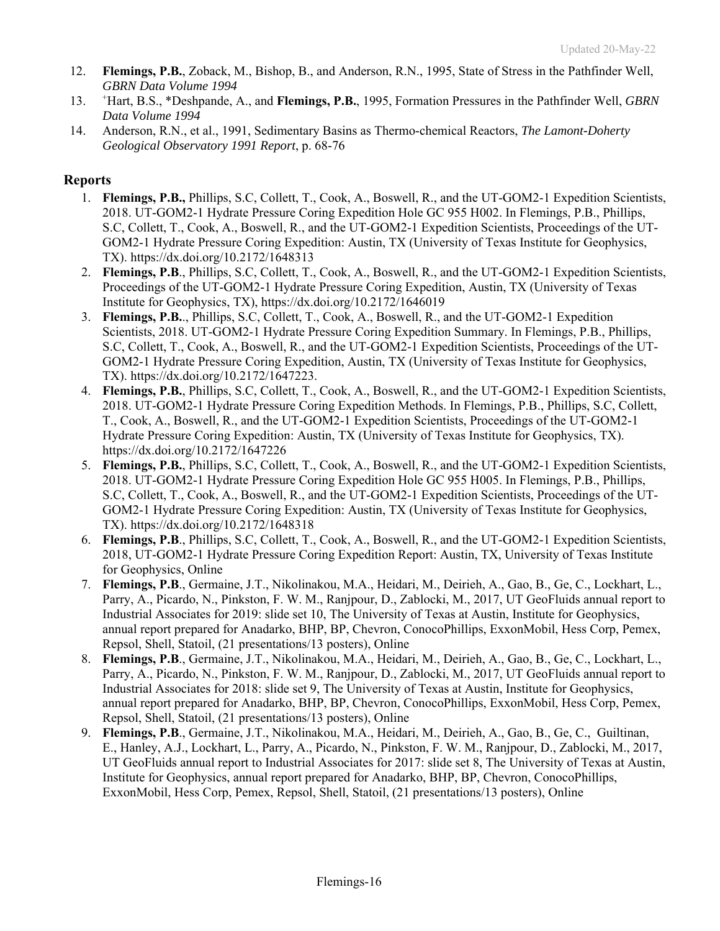- 12. **Flemings, P.B.**, Zoback, M., Bishop, B., and Anderson, R.N., 1995, State of Stress in the Pathfinder Well, *GBRN Data Volume 1994*
- 13. <sup>+</sup> Hart, B.S., \*Deshpande, A., and **Flemings, P.B.**, 1995, Formation Pressures in the Pathfinder Well, *GBRN Data Volume 1994*
- 14. Anderson, R.N., et al., 1991, Sedimentary Basins as Thermo-chemical Reactors, *The Lamont-Doherty Geological Observatory 1991 Report*, p. 68-76

### **Reports**

- 1. **Flemings, P.B.,** Phillips, S.C, Collett, T., Cook, A., Boswell, R., and the UT-GOM2-1 Expedition Scientists, 2018. UT-GOM2-1 Hydrate Pressure Coring Expedition Hole GC 955 H002. In Flemings, P.B., Phillips, S.C, Collett, T., Cook, A., Boswell, R., and the UT-GOM2-1 Expedition Scientists, Proceedings of the UT-GOM2-1 Hydrate Pressure Coring Expedition: Austin, TX (University of Texas Institute for Geophysics, TX). https://dx.doi.org/10.2172/1648313
- 2. **Flemings, P.B**., Phillips, S.C, Collett, T., Cook, A., Boswell, R., and the UT-GOM2-1 Expedition Scientists, Proceedings of the UT-GOM2-1 Hydrate Pressure Coring Expedition, Austin, TX (University of Texas Institute for Geophysics, TX), https://dx.doi.org/10.2172/1646019
- 3. **Flemings, P.B.**., Phillips, S.C, Collett, T., Cook, A., Boswell, R., and the UT-GOM2-1 Expedition Scientists, 2018. UT-GOM2-1 Hydrate Pressure Coring Expedition Summary. In Flemings, P.B., Phillips, S.C, Collett, T., Cook, A., Boswell, R., and the UT-GOM2-1 Expedition Scientists, Proceedings of the UT-GOM2-1 Hydrate Pressure Coring Expedition, Austin, TX (University of Texas Institute for Geophysics, TX). https://dx.doi.org/10.2172/1647223.
- 4. **Flemings, P.B.**, Phillips, S.C, Collett, T., Cook, A., Boswell, R., and the UT-GOM2-1 Expedition Scientists, 2018. UT-GOM2-1 Hydrate Pressure Coring Expedition Methods. In Flemings, P.B., Phillips, S.C, Collett, T., Cook, A., Boswell, R., and the UT-GOM2-1 Expedition Scientists, Proceedings of the UT-GOM2-1 Hydrate Pressure Coring Expedition: Austin, TX (University of Texas Institute for Geophysics, TX). https://dx.doi.org/10.2172/1647226
- 5. **Flemings, P.B.**, Phillips, S.C, Collett, T., Cook, A., Boswell, R., and the UT-GOM2-1 Expedition Scientists, 2018. UT-GOM2-1 Hydrate Pressure Coring Expedition Hole GC 955 H005. In Flemings, P.B., Phillips, S.C, Collett, T., Cook, A., Boswell, R., and the UT-GOM2-1 Expedition Scientists, Proceedings of the UT-GOM2-1 Hydrate Pressure Coring Expedition: Austin, TX (University of Texas Institute for Geophysics, TX). https://dx.doi.org/10.2172/1648318
- 6. **Flemings, P.B**., Phillips, S.C, Collett, T., Cook, A., Boswell, R., and the UT-GOM2-1 Expedition Scientists, 2018, UT-GOM2-1 Hydrate Pressure Coring Expedition Report: Austin, TX, University of Texas Institute for Geophysics, Online
- 7. **Flemings, P.B**., Germaine, J.T., Nikolinakou, M.A., Heidari, M., Deirieh, A., Gao, B., Ge, C., Lockhart, L., Parry, A., Picardo, N., Pinkston, F. W. M., Ranjpour, D., Zablocki, M., 2017, UT GeoFluids annual report to Industrial Associates for 2019: slide set 10, The University of Texas at Austin, Institute for Geophysics, annual report prepared for Anadarko, BHP, BP, Chevron, ConocoPhillips, ExxonMobil, Hess Corp, Pemex, Repsol, Shell, Statoil, (21 presentations/13 posters), Online
- 8. **Flemings, P.B**., Germaine, J.T., Nikolinakou, M.A., Heidari, M., Deirieh, A., Gao, B., Ge, C., Lockhart, L., Parry, A., Picardo, N., Pinkston, F. W. M., Ranjpour, D., Zablocki, M., 2017, UT GeoFluids annual report to Industrial Associates for 2018: slide set 9, The University of Texas at Austin, Institute for Geophysics, annual report prepared for Anadarko, BHP, BP, Chevron, ConocoPhillips, ExxonMobil, Hess Corp, Pemex, Repsol, Shell, Statoil, (21 presentations/13 posters), Online
- 9. **Flemings, P.B**., Germaine, J.T., Nikolinakou, M.A., Heidari, M., Deirieh, A., Gao, B., Ge, C., Guiltinan, E., Hanley, A.J., Lockhart, L., Parry, A., Picardo, N., Pinkston, F. W. M., Ranjpour, D., Zablocki, M., 2017, UT GeoFluids annual report to Industrial Associates for 2017: slide set 8, The University of Texas at Austin, Institute for Geophysics, annual report prepared for Anadarko, BHP, BP, Chevron, ConocoPhillips, ExxonMobil, Hess Corp, Pemex, Repsol, Shell, Statoil, (21 presentations/13 posters), Online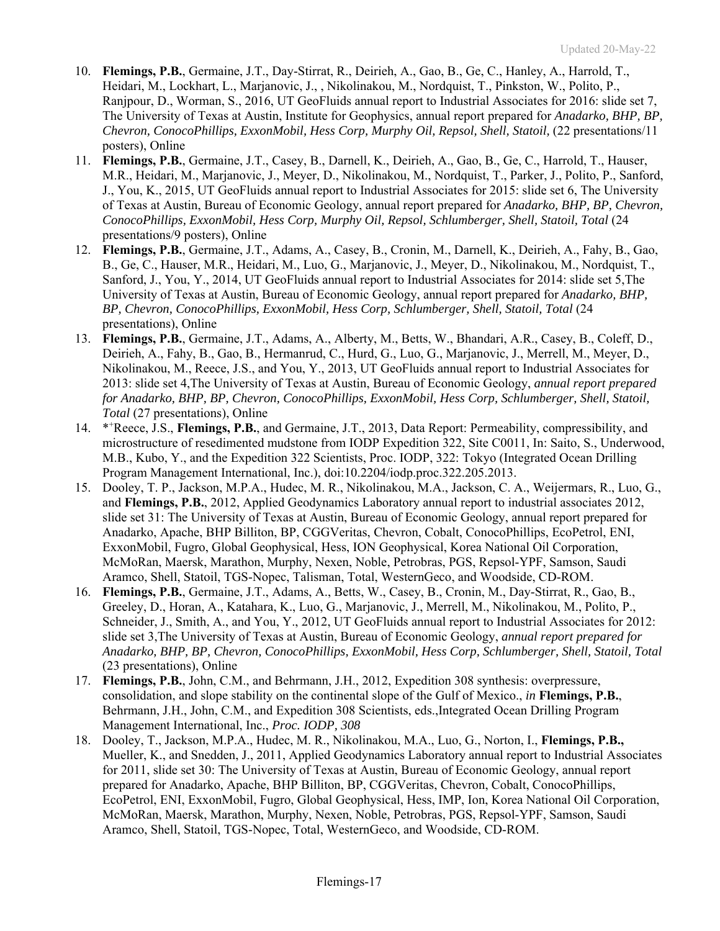- 10. **Flemings, P.B.**, Germaine, J.T., Day-Stirrat, R., Deirieh, A., Gao, B., Ge, C., Hanley, A., Harrold, T., Heidari, M., Lockhart, L., Marjanovic, J., , Nikolinakou, M., Nordquist, T., Pinkston, W., Polito, P., Ranjpour, D., Worman, S., 2016, UT GeoFluids annual report to Industrial Associates for 2016: slide set 7, The University of Texas at Austin, Institute for Geophysics, annual report prepared for *Anadarko, BHP, BP, Chevron, ConocoPhillips, ExxonMobil, Hess Corp, Murphy Oil, Repsol, Shell, Statoil,* (22 presentations/11 posters), Online
- 11. **Flemings, P.B.**, Germaine, J.T., Casey, B., Darnell, K., Deirieh, A., Gao, B., Ge, C., Harrold, T., Hauser, M.R., Heidari, M., Marjanovic, J., Meyer, D., Nikolinakou, M., Nordquist, T., Parker, J., Polito, P., Sanford, J., You, K., 2015, UT GeoFluids annual report to Industrial Associates for 2015: slide set 6, The University of Texas at Austin, Bureau of Economic Geology, annual report prepared for *Anadarko, BHP, BP, Chevron, ConocoPhillips, ExxonMobil, Hess Corp, Murphy Oil, Repsol, Schlumberger, Shell, Statoil, Total* (24 presentations/9 posters), Online
- 12. **Flemings, P.B.**, Germaine, J.T., Adams, A., Casey, B., Cronin, M., Darnell, K., Deirieh, A., Fahy, B., Gao, B., Ge, C., Hauser, M.R., Heidari, M., Luo, G., Marjanovic, J., Meyer, D., Nikolinakou, M., Nordquist, T., Sanford, J., You, Y., 2014, UT GeoFluids annual report to Industrial Associates for 2014: slide set 5,The University of Texas at Austin, Bureau of Economic Geology, annual report prepared for *Anadarko, BHP, BP, Chevron, ConocoPhillips, ExxonMobil, Hess Corp, Schlumberger, Shell, Statoil, Total* (24 presentations), Online
- 13. **Flemings, P.B.**, Germaine, J.T., Adams, A., Alberty, M., Betts, W., Bhandari, A.R., Casey, B., Coleff, D., Deirieh, A., Fahy, B., Gao, B., Hermanrud, C., Hurd, G., Luo, G., Marjanovic, J., Merrell, M., Meyer, D., Nikolinakou, M., Reece, J.S., and You, Y., 2013, UT GeoFluids annual report to Industrial Associates for 2013: slide set 4,The University of Texas at Austin, Bureau of Economic Geology, *annual report prepared for Anadarko, BHP, BP, Chevron, ConocoPhillips, ExxonMobil, Hess Corp, Schlumberger, Shell, Statoil, Total* (27 presentations), Online
- 14. \*\*Reece, J.S., Flemings, P.B., and Germaine, J.T., 2013, Data Report: Permeability, compressibility, and microstructure of resedimented mudstone from IODP Expedition 322, Site C0011, In: Saito, S., Underwood, M.B., Kubo, Y., and the Expedition 322 Scientists, Proc. IODP, 322: Tokyo (Integrated Ocean Drilling Program Management International, Inc.), doi:10.2204/iodp.proc.322.205.2013.
- 15. Dooley, T. P., Jackson, M.P.A., Hudec, M. R., Nikolinakou, M.A., Jackson, C. A., Weijermars, R., Luo, G., and **Flemings, P.B.**, 2012, Applied Geodynamics Laboratory annual report to industrial associates 2012, slide set 31: The University of Texas at Austin, Bureau of Economic Geology, annual report prepared for Anadarko, Apache, BHP Billiton, BP, CGGVeritas, Chevron, Cobalt, ConocoPhillips, EcoPetrol, ENI, ExxonMobil, Fugro, Global Geophysical, Hess, ION Geophysical, Korea National Oil Corporation, McMoRan, Maersk, Marathon, Murphy, Nexen, Noble, Petrobras, PGS, Repsol-YPF, Samson, Saudi Aramco, Shell, Statoil, TGS-Nopec, Talisman, Total, WesternGeco, and Woodside, CD-ROM.
- 16. **Flemings, P.B.**, Germaine, J.T., Adams, A., Betts, W., Casey, B., Cronin, M., Day-Stirrat, R., Gao, B., Greeley, D., Horan, A., Katahara, K., Luo, G., Marjanovic, J., Merrell, M., Nikolinakou, M., Polito, P., Schneider, J., Smith, A., and You, Y., 2012, UT GeoFluids annual report to Industrial Associates for 2012: slide set 3,The University of Texas at Austin, Bureau of Economic Geology, *annual report prepared for Anadarko, BHP, BP, Chevron, ConocoPhillips, ExxonMobil, Hess Corp, Schlumberger, Shell, Statoil, Total*  (23 presentations), Online
- 17. **Flemings, P.B.**, John, C.M., and Behrmann, J.H., 2012, Expedition 308 synthesis: overpressure, consolidation, and slope stability on the continental slope of the Gulf of Mexico., *in* **Flemings, P.B.**, Behrmann, J.H., John, C.M., and Expedition 308 Scientists, eds.,Integrated Ocean Drilling Program Management International, Inc., *Proc. IODP, 308*
- 18. Dooley, T., Jackson, M.P.A., Hudec, M. R., Nikolinakou, M.A., Luo, G., Norton, I., **Flemings, P.B.,**  Mueller, K., and Snedden, J., 2011, Applied Geodynamics Laboratory annual report to Industrial Associates for 2011, slide set 30: The University of Texas at Austin, Bureau of Economic Geology, annual report prepared for Anadarko, Apache, BHP Billiton, BP, CGGVeritas, Chevron, Cobalt, ConocoPhillips, EcoPetrol, ENI, ExxonMobil, Fugro, Global Geophysical, Hess, IMP, Ion, Korea National Oil Corporation, McMoRan, Maersk, Marathon, Murphy, Nexen, Noble, Petrobras, PGS, Repsol-YPF, Samson, Saudi Aramco, Shell, Statoil, TGS-Nopec, Total, WesternGeco, and Woodside, CD-ROM.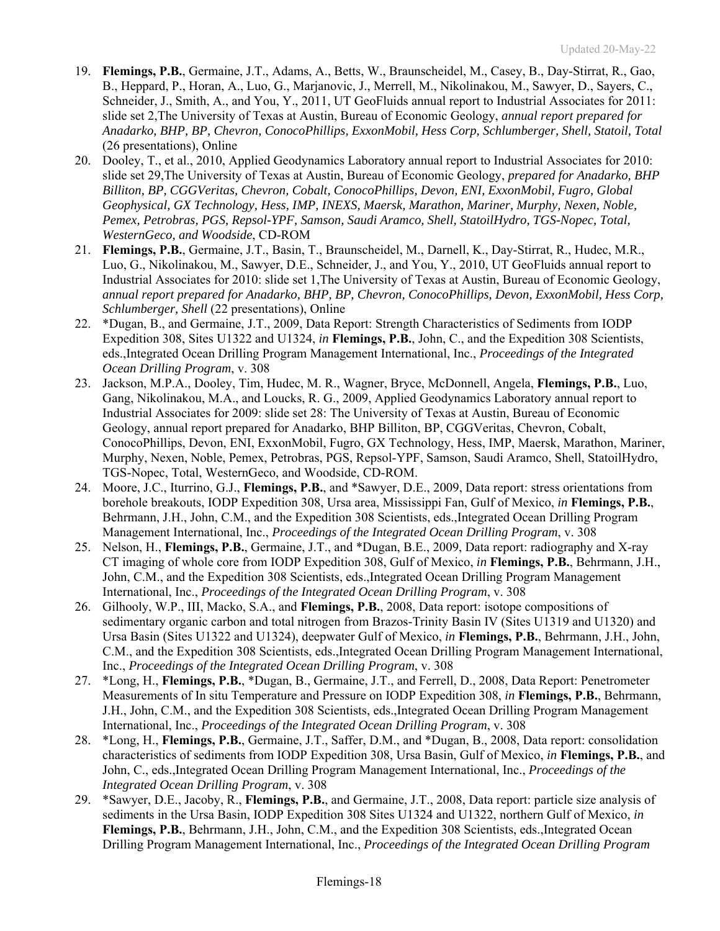- 19. **Flemings, P.B.**, Germaine, J.T., Adams, A., Betts, W., Braunscheidel, M., Casey, B., Day-Stirrat, R., Gao, B., Heppard, P., Horan, A., Luo, G., Marjanovic, J., Merrell, M., Nikolinakou, M., Sawyer, D., Sayers, C., Schneider, J., Smith, A., and You, Y., 2011, UT GeoFluids annual report to Industrial Associates for 2011: slide set 2,The University of Texas at Austin, Bureau of Economic Geology, *annual report prepared for Anadarko, BHP, BP, Chevron, ConocoPhillips, ExxonMobil, Hess Corp, Schlumberger, Shell, Statoil, Total*  (26 presentations), Online
- 20. Dooley, T., et al., 2010, Applied Geodynamics Laboratory annual report to Industrial Associates for 2010: slide set 29,The University of Texas at Austin, Bureau of Economic Geology, *prepared for Anadarko, BHP Billiton, BP, CGGVeritas, Chevron, Cobalt, ConocoPhillips, Devon, ENI, ExxonMobil, Fugro, Global Geophysical, GX Technology, Hess, IMP, INEXS, Maersk, Marathon, Mariner, Murphy, Nexen, Noble, Pemex, Petrobras, PGS, Repsol-YPF, Samson, Saudi Aramco, Shell, StatoilHydro, TGS-Nopec, Total, WesternGeco, and Woodside*, CD-ROM
- 21. **Flemings, P.B.**, Germaine, J.T., Basin, T., Braunscheidel, M., Darnell, K., Day-Stirrat, R., Hudec, M.R., Luo, G., Nikolinakou, M., Sawyer, D.E., Schneider, J., and You, Y., 2010, UT GeoFluids annual report to Industrial Associates for 2010: slide set 1,The University of Texas at Austin, Bureau of Economic Geology, *annual report prepared for Anadarko, BHP, BP, Chevron, ConocoPhillips, Devon, ExxonMobil, Hess Corp, Schlumberger, Shell* (22 presentations), Online
- 22. \*Dugan, B., and Germaine, J.T., 2009, Data Report: Strength Characteristics of Sediments from IODP Expedition 308, Sites U1322 and U1324, *in* **Flemings, P.B.**, John, C., and the Expedition 308 Scientists, eds.,Integrated Ocean Drilling Program Management International, Inc., *Proceedings of the Integrated Ocean Drilling Program*, v. 308
- 23. Jackson, M.P.A., Dooley, Tim, Hudec, M. R., Wagner, Bryce, McDonnell, Angela, **Flemings, P.B.**, Luo, Gang, Nikolinakou, M.A., and Loucks, R. G., 2009, Applied Geodynamics Laboratory annual report to Industrial Associates for 2009: slide set 28: The University of Texas at Austin, Bureau of Economic Geology, annual report prepared for Anadarko, BHP Billiton, BP, CGGVeritas, Chevron, Cobalt, ConocoPhillips, Devon, ENI, ExxonMobil, Fugro, GX Technology, Hess, IMP, Maersk, Marathon, Mariner, Murphy, Nexen, Noble, Pemex, Petrobras, PGS, Repsol-YPF, Samson, Saudi Aramco, Shell, StatoilHydro, TGS-Nopec, Total, WesternGeco, and Woodside, CD-ROM.
- 24. Moore, J.C., Iturrino, G.J., **Flemings, P.B.**, and \*Sawyer, D.E., 2009, Data report: stress orientations from borehole breakouts, IODP Expedition 308, Ursa area, Mississippi Fan, Gulf of Mexico, *in* **Flemings, P.B.**, Behrmann, J.H., John, C.M., and the Expedition 308 Scientists, eds.,Integrated Ocean Drilling Program Management International, Inc., *Proceedings of the Integrated Ocean Drilling Program*, v. 308
- 25. Nelson, H., **Flemings, P.B.**, Germaine, J.T., and \*Dugan, B.E., 2009, Data report: radiography and X-ray CT imaging of whole core from IODP Expedition 308, Gulf of Mexico, *in* **Flemings, P.B.**, Behrmann, J.H., John, C.M., and the Expedition 308 Scientists, eds.,Integrated Ocean Drilling Program Management International, Inc., *Proceedings of the Integrated Ocean Drilling Program*, v. 308
- 26. Gilhooly, W.P., III, Macko, S.A., and **Flemings, P.B.**, 2008, Data report: isotope compositions of sedimentary organic carbon and total nitrogen from Brazos-Trinity Basin IV (Sites U1319 and U1320) and Ursa Basin (Sites U1322 and U1324), deepwater Gulf of Mexico, *in* **Flemings, P.B.**, Behrmann, J.H., John, C.M., and the Expedition 308 Scientists, eds.,Integrated Ocean Drilling Program Management International, Inc., *Proceedings of the Integrated Ocean Drilling Program*, v. 308
- 27. \*Long, H., **Flemings, P.B.**, \*Dugan, B., Germaine, J.T., and Ferrell, D., 2008, Data Report: Penetrometer Measurements of In situ Temperature and Pressure on IODP Expedition 308, *in* **Flemings, P.B.**, Behrmann, J.H., John, C.M., and the Expedition 308 Scientists, eds.,Integrated Ocean Drilling Program Management International, Inc., *Proceedings of the Integrated Ocean Drilling Program*, v. 308
- 28. \*Long, H., **Flemings, P.B.**, Germaine, J.T., Saffer, D.M., and \*Dugan, B., 2008, Data report: consolidation characteristics of sediments from IODP Expedition 308, Ursa Basin, Gulf of Mexico, *in* **Flemings, P.B.**, and John, C., eds.,Integrated Ocean Drilling Program Management International, Inc., *Proceedings of the Integrated Ocean Drilling Program*, v. 308
- 29. \*Sawyer, D.E., Jacoby, R., **Flemings, P.B.**, and Germaine, J.T., 2008, Data report: particle size analysis of sediments in the Ursa Basin, IODP Expedition 308 Sites U1324 and U1322, northern Gulf of Mexico, *in* **Flemings, P.B.**, Behrmann, J.H., John, C.M., and the Expedition 308 Scientists, eds.,Integrated Ocean Drilling Program Management International, Inc., *Proceedings of the Integrated Ocean Drilling Program*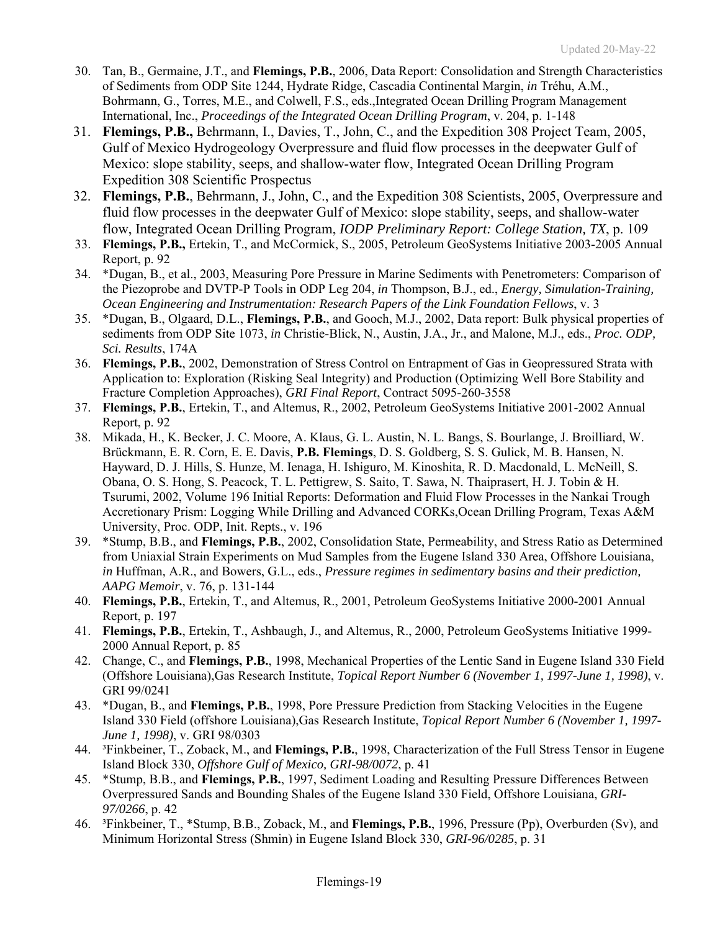- 30. Tan, B., Germaine, J.T., and **Flemings, P.B.**, 2006, Data Report: Consolidation and Strength Characteristics of Sediments from ODP Site 1244, Hydrate Ridge, Cascadia Continental Margin, *in* Tréhu, A.M., Bohrmann, G., Torres, M.E., and Colwell, F.S., eds.,Integrated Ocean Drilling Program Management International, Inc., *Proceedings of the Integrated Ocean Drilling Program*, v. 204, p. 1-148
- 31. **Flemings, P.B.,** Behrmann, I., Davies, T., John, C., and the Expedition 308 Project Team, 2005, Gulf of Mexico Hydrogeology Overpressure and fluid flow processes in the deepwater Gulf of Mexico: slope stability, seeps, and shallow-water flow, Integrated Ocean Drilling Program Expedition 308 Scientific Prospectus
- 32. **Flemings, P.B.**, Behrmann, J., John, C., and the Expedition 308 Scientists, 2005, Overpressure and fluid flow processes in the deepwater Gulf of Mexico: slope stability, seeps, and shallow-water flow, Integrated Ocean Drilling Program, *IODP Preliminary Report: College Station, TX*, p. 109
- 33. **Flemings, P.B.,** Ertekin, T., and McCormick, S., 2005, Petroleum GeoSystems Initiative 2003-2005 Annual Report, p. 92
- 34. \*Dugan, B., et al., 2003, Measuring Pore Pressure in Marine Sediments with Penetrometers: Comparison of the Piezoprobe and DVTP-P Tools in ODP Leg 204, *in* Thompson, B.J., ed., *Energy, Simulation-Training, Ocean Engineering and Instrumentation: Research Papers of the Link Foundation Fellows*, v. 3
- 35. \*Dugan, B., Olgaard, D.L., **Flemings, P.B.**, and Gooch, M.J., 2002, Data report: Bulk physical properties of sediments from ODP Site 1073, *in* Christie-Blick, N., Austin, J.A., Jr., and Malone, M.J., eds., *Proc. ODP, Sci. Results*, 174A
- 36. **Flemings, P.B.**, 2002, Demonstration of Stress Control on Entrapment of Gas in Geopressured Strata with Application to: Exploration (Risking Seal Integrity) and Production (Optimizing Well Bore Stability and Fracture Completion Approaches), *GRI Final Report*, Contract 5095-260-3558
- 37. **Flemings, P.B.**, Ertekin, T., and Altemus, R., 2002, Petroleum GeoSystems Initiative 2001-2002 Annual Report, p. 92
- 38. Mikada, H., K. Becker, J. C. Moore, A. Klaus, G. L. Austin, N. L. Bangs, S. Bourlange, J. Broilliard, W. Brückmann, E. R. Corn, E. E. Davis, **P.B. Flemings**, D. S. Goldberg, S. S. Gulick, M. B. Hansen, N. Hayward, D. J. Hills, S. Hunze, M. Ienaga, H. Ishiguro, M. Kinoshita, R. D. Macdonald, L. McNeill, S. Obana, O. S. Hong, S. Peacock, T. L. Pettigrew, S. Saito, T. Sawa, N. Thaiprasert, H. J. Tobin & H. Tsurumi, 2002, Volume 196 Initial Reports: Deformation and Fluid Flow Processes in the Nankai Trough Accretionary Prism: Logging While Drilling and Advanced CORKs,Ocean Drilling Program, Texas A&M University, Proc. ODP, Init. Repts., v. 196
- 39. \*Stump, B.B., and **Flemings, P.B.**, 2002, Consolidation State, Permeability, and Stress Ratio as Determined from Uniaxial Strain Experiments on Mud Samples from the Eugene Island 330 Area, Offshore Louisiana, *in* Huffman, A.R., and Bowers, G.L., eds., *Pressure regimes in sedimentary basins and their prediction, AAPG Memoir*, v. 76, p. 131-144
- 40. **Flemings, P.B.**, Ertekin, T., and Altemus, R., 2001, Petroleum GeoSystems Initiative 2000-2001 Annual Report, p. 197
- 41. **Flemings, P.B.**, Ertekin, T., Ashbaugh, J., and Altemus, R., 2000, Petroleum GeoSystems Initiative 1999- 2000 Annual Report, p. 85
- 42. Change, C., and **Flemings, P.B.**, 1998, Mechanical Properties of the Lentic Sand in Eugene Island 330 Field (Offshore Louisiana),Gas Research Institute, *Topical Report Number 6 (November 1, 1997-June 1, 1998)*, v. GRI 99/0241
- 43. \*Dugan, B., and **Flemings, P.B.**, 1998, Pore Pressure Prediction from Stacking Velocities in the Eugene Island 330 Field (offshore Louisiana),Gas Research Institute, *Topical Report Number 6 (November 1, 1997- June 1, 1998)*, v. GRI 98/0303
- 44. ³Finkbeiner, T., Zoback, M., and **Flemings, P.B.**, 1998, Characterization of the Full Stress Tensor in Eugene Island Block 330, *Offshore Gulf of Mexico, GRI-98/0072*, p. 41
- 45. \*Stump, B.B., and **Flemings, P.B.**, 1997, Sediment Loading and Resulting Pressure Differences Between Overpressured Sands and Bounding Shales of the Eugene Island 330 Field, Offshore Louisiana, *GRI-97/0266*, p. 42
- 46. ³Finkbeiner, T., \*Stump, B.B., Zoback, M., and **Flemings, P.B.**, 1996, Pressure (Pp), Overburden (Sv), and Minimum Horizontal Stress (Shmin) in Eugene Island Block 330, *GRI-96/0285*, p. 31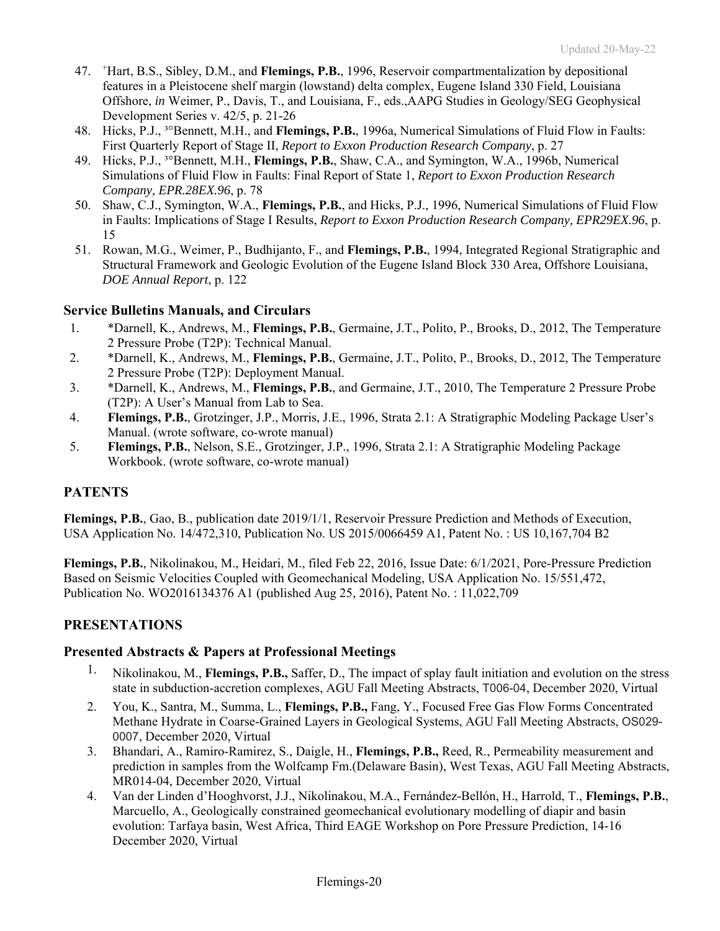- 47. <sup>+</sup> Hart, B.S., Sibley, D.M., and **Flemings, P.B.**, 1996, Reservoir compartmentalization by depositional features in a Pleistocene shelf margin (lowstand) delta complex, Eugene Island 330 Field, Louisiana Offshore, *in* Weimer, P., Davis, T., and Louisiana, F., eds.,AAPG Studies in Geology/SEG Geophysical Development Series v. 42/5, p. 21-26
- 48. Hicks, P.J., ³°Bennett, M.H., and **Flemings, P.B.**, 1996a, Numerical Simulations of Fluid Flow in Faults: First Quarterly Report of Stage II, *Report to Exxon Production Research Company*, p. 27
- 49. Hicks, P.J., ³°Bennett, M.H., **Flemings, P.B.**, Shaw, C.A., and Symington, W.A., 1996b, Numerical Simulations of Fluid Flow in Faults: Final Report of State 1, *Report to Exxon Production Research Company, EPR.28EX.96*, p. 78
- 50. Shaw, C.J., Symington, W.A., **Flemings, P.B.**, and Hicks, P.J., 1996, Numerical Simulations of Fluid Flow in Faults: Implications of Stage I Results, *Report to Exxon Production Research Company, EPR29EX.96*, p. 15
- 51. Rowan, M.G., Weimer, P., Budhijanto, F., and **Flemings, P.B.**, 1994, Integrated Regional Stratigraphic and Structural Framework and Geologic Evolution of the Eugene Island Block 330 Area, Offshore Louisiana, *DOE Annual Report*, p. 122

## **Service Bulletins Manuals, and Circulars**

- 1. \*Darnell, K., Andrews, M., **Flemings, P.B.**, Germaine, J.T., Polito, P., Brooks, D., 2012, The Temperature 2 Pressure Probe (T2P): Technical Manual.
- 2. \*Darnell, K., Andrews, M., **Flemings, P.B.**, Germaine, J.T., Polito, P., Brooks, D., 2012, The Temperature 2 Pressure Probe (T2P): Deployment Manual.
- 3. \*Darnell, K., Andrews, M., **Flemings, P.B.**, and Germaine, J.T., 2010, The Temperature 2 Pressure Probe (T2P): A User's Manual from Lab to Sea.
- 4. **Flemings, P.B.**, Grotzinger, J.P., Morris, J.E., 1996, Strata 2.1: A Stratigraphic Modeling Package User's Manual. (wrote software, co-wrote manual)
- 5. **Flemings, P.B.**, Nelson, S.E., Grotzinger, J.P., 1996, Strata 2.1: A Stratigraphic Modeling Package Workbook. (wrote software, co-wrote manual)

## **PATENTS**

**Flemings, P.B.**, Gao, B., publication date 2019/1/1, Reservoir Pressure Prediction and Methods of Execution, USA Application No. 14/472,310, Publication No. US 2015/0066459 A1, Patent No. : US 10,167,704 B2

**Flemings, P.B.**, Nikolinakou, M., Heidari, M., filed Feb 22, 2016, Issue Date: 6/1/2021, Pore-Pressure Prediction Based on Seismic Velocities Coupled with Geomechanical Modeling, USA Application No. 15/551,472, Publication No. WO2016134376 A1 (published Aug 25, 2016), Patent No. : 11,022,709

## **PRESENTATIONS**

### **Presented Abstracts & Papers at Professional Meetings**

- 1. Nikolinakou, M., **Flemings, P.B.,** Saffer, D., The impact of splay fault initiation and evolution on the stress state in subduction-accretion complexes, AGU Fall Meeting Abstracts, T006-04, December 2020, Virtual
- 2. You, K., Santra, M., Summa, L., **Flemings, P.B.,** Fang, Y., Focused Free Gas Flow Forms Concentrated Methane Hydrate in Coarse-Grained Layers in Geological Systems, AGU Fall Meeting Abstracts, OS029- 0007, December 2020, Virtual
- 3. Bhandari, A., Ramiro-Ramirez, S., Daigle, H., **Flemings, P.B.,** Reed, R., Permeability measurement and prediction in samples from the Wolfcamp Fm.(Delaware Basin), West Texas, AGU Fall Meeting Abstracts, MR014-04, December 2020, Virtual
- 4. Van der Linden d'Hooghvorst, J.J., Nikolinakou, M.A., Fernández-Bellón, H., Harrold, T., **Flemings, P.B.**, Marcuello, A., Geologically constrained geomechanical evolutionary modelling of diapir and basin evolution: Tarfaya basin, West Africa, Third EAGE Workshop on Pore Pressure Prediction, 14-16 December 2020, Virtual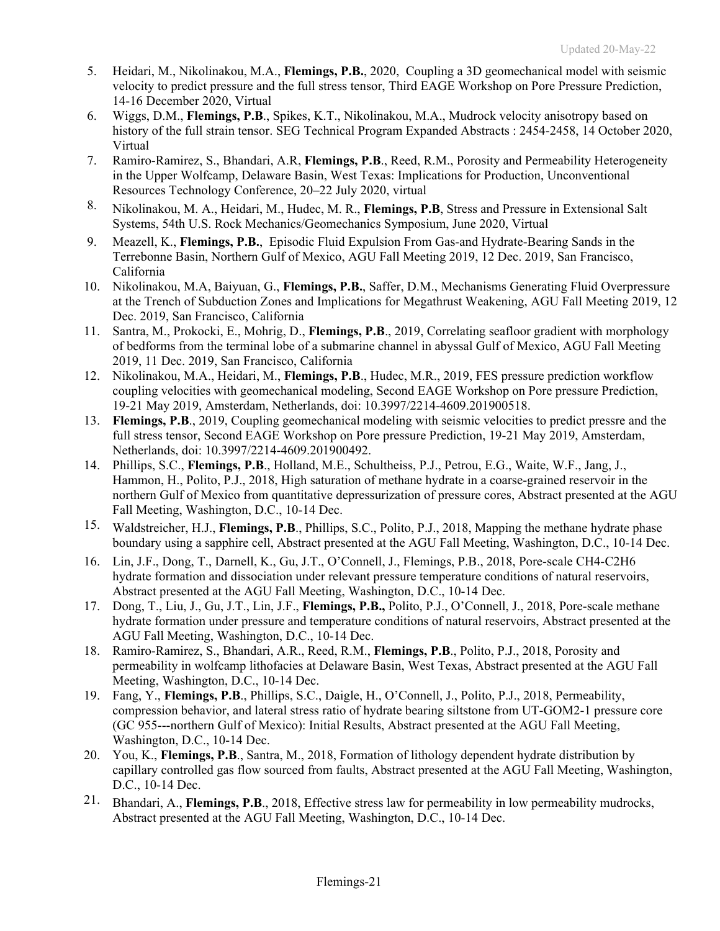- 5. Heidari, M., Nikolinakou, M.A., **Flemings, P.B.**, 2020, Coupling a 3D geomechanical model with seismic velocity to predict pressure and the full stress tensor, Third EAGE Workshop on Pore Pressure Prediction, 14-16 December 2020, Virtual
- 6. Wiggs, D.M., **Flemings, P.B**., Spikes, K.T., Nikolinakou, M.A., Mudrock velocity anisotropy based on history of the full strain tensor. SEG Technical Program Expanded Abstracts : 2454-2458, 14 October 2020, Virtual
- 7. Ramiro-Ramirez, S., Bhandari, A.R, **Flemings, P.B**., Reed, R.M., Porosity and Permeability Heterogeneity in the Upper Wolfcamp, Delaware Basin, West Texas: Implications for Production, Unconventional Resources Technology Conference, 20–22 July 2020, virtual
- 8. Nikolinakou, M. A., Heidari, M., Hudec, M. R., **Flemings, P.B**, Stress and Pressure in Extensional Salt Systems, 54th U.S. Rock Mechanics/Geomechanics Symposium, June 2020, Virtual
- 9. Meazell, K., **Flemings, P.B.**, Episodic Fluid Expulsion From Gas-and Hydrate-Bearing Sands in the Terrebonne Basin, Northern Gulf of Mexico, AGU Fall Meeting 2019, 12 Dec. 2019, San Francisco, California
- 10. Nikolinakou, M.A, Baiyuan, G., **Flemings, P.B.**, Saffer, D.M., Mechanisms Generating Fluid Overpressure at the Trench of Subduction Zones and Implications for Megathrust Weakening, AGU Fall Meeting 2019, 12 Dec. 2019, San Francisco, California
- 11. Santra, M., Prokocki, E., Mohrig, D., **Flemings, P.B**., 2019, Correlating seafloor gradient with morphology of bedforms from the terminal lobe of a submarine channel in abyssal Gulf of Mexico, AGU Fall Meeting 2019, 11 Dec. 2019, San Francisco, California
- 12. Nikolinakou, M.A., Heidari, M., **Flemings, P.B**., Hudec, M.R., 2019, FES pressure prediction workflow coupling velocities with geomechanical modeling, Second EAGE Workshop on Pore pressure Prediction, 19-21 May 2019, Amsterdam, Netherlands, doi: 10.3997/2214-4609.201900518.
- 13. **Flemings, P.B**., 2019, Coupling geomechanical modeling with seismic velocities to predict pressre and the full stress tensor, Second EAGE Workshop on Pore pressure Prediction, 19-21 May 2019, Amsterdam, Netherlands, doi: 10.3997/2214-4609.201900492.
- 14. Phillips, S.C., **Flemings, P.B**., Holland, M.E., Schultheiss, P.J., Petrou, E.G., Waite, W.F., Jang, J., Hammon, H., Polito, P.J., 2018, High saturation of methane hydrate in a coarse-grained reservoir in the northern Gulf of Mexico from quantitative depressurization of pressure cores, Abstract presented at the AGU Fall Meeting, Washington, D.C., 10-14 Dec.
- 15. Waldstreicher, H.J., **Flemings, P.B**., Phillips, S.C., Polito, P.J., 2018, Mapping the methane hydrate phase boundary using a sapphire cell, Abstract presented at the AGU Fall Meeting, Washington, D.C., 10-14 Dec.
- 16. Lin, J.F., Dong, T., Darnell, K., Gu, J.T., O'Connell, J., Flemings, P.B., 2018, Pore-scale CH4-C2H6 hydrate formation and dissociation under relevant pressure temperature conditions of natural reservoirs, Abstract presented at the AGU Fall Meeting, Washington, D.C., 10-14 Dec.
- 17. Dong, T., Liu, J., Gu, J.T., Lin, J.F., **Flemings, P.B.,** Polito, P.J., O'Connell, J., 2018, Pore-scale methane hydrate formation under pressure and temperature conditions of natural reservoirs, Abstract presented at the AGU Fall Meeting, Washington, D.C., 10-14 Dec.
- 18. Ramiro-Ramirez, S., Bhandari, A.R., Reed, R.M., **Flemings, P.B**., Polito, P.J., 2018, Porosity and permeability in wolfcamp lithofacies at Delaware Basin, West Texas, Abstract presented at the AGU Fall Meeting, Washington, D.C., 10-14 Dec.
- 19. Fang, Y., **Flemings, P.B**., Phillips, S.C., Daigle, H., O'Connell, J., Polito, P.J., 2018, Permeability, compression behavior, and lateral stress ratio of hydrate bearing siltstone from UT-GOM2-1 pressure core (GC 955---northern Gulf of Mexico): Initial Results, Abstract presented at the AGU Fall Meeting, Washington, D.C., 10-14 Dec.
- 20. You, K., **Flemings, P.B**., Santra, M., 2018, Formation of lithology dependent hydrate distribution by capillary controlled gas flow sourced from faults, Abstract presented at the AGU Fall Meeting, Washington, D.C., 10-14 Dec.
- 21. Bhandari, A., **Flemings, P.B**., 2018, Effective stress law for permeability in low permeability mudrocks, Abstract presented at the AGU Fall Meeting, Washington, D.C., 10-14 Dec.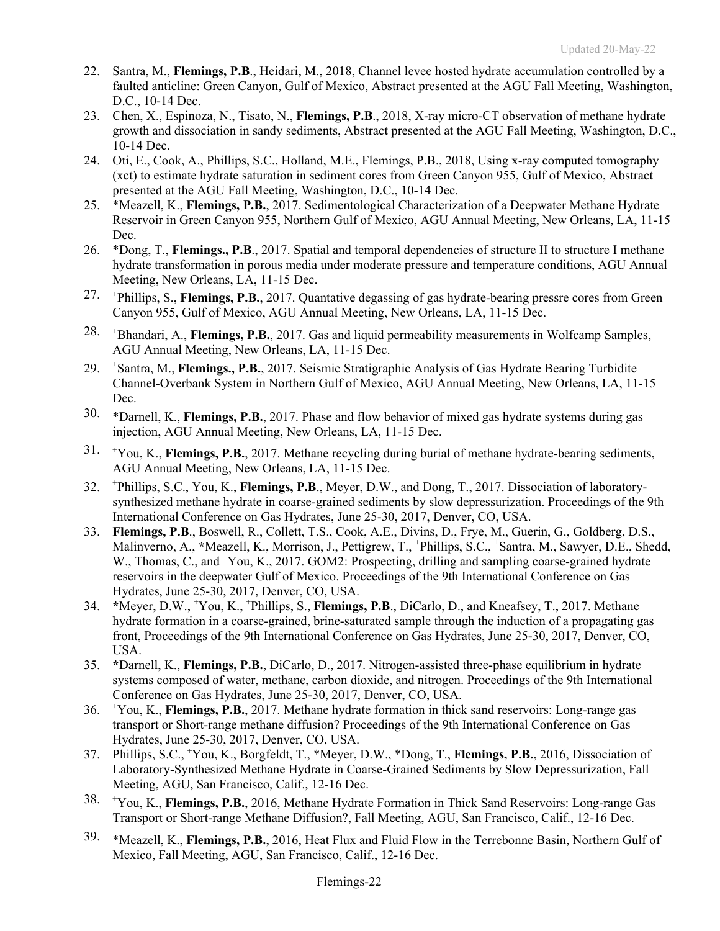- 22. Santra, M., **Flemings, P.B**., Heidari, M., 2018, Channel levee hosted hydrate accumulation controlled by a faulted anticline: Green Canyon, Gulf of Mexico, Abstract presented at the AGU Fall Meeting, Washington, D.C., 10-14 Dec.
- 23. Chen, X., Espinoza, N., Tisato, N., **Flemings, P.B**., 2018, X-ray micro-CT observation of methane hydrate growth and dissociation in sandy sediments, Abstract presented at the AGU Fall Meeting, Washington, D.C., 10-14 Dec.
- 24. Oti, E., Cook, A., Phillips, S.C., Holland, M.E., Flemings, P.B., 2018, Using x-ray computed tomography (xct) to estimate hydrate saturation in sediment cores from Green Canyon 955, Gulf of Mexico, Abstract presented at the AGU Fall Meeting, Washington, D.C., 10-14 Dec.
- 25. \*Meazell, K., **Flemings, P.B.**, 2017. Sedimentological Characterization of a Deepwater Methane Hydrate Reservoir in Green Canyon 955, Northern Gulf of Mexico, AGU Annual Meeting, New Orleans, LA, 11-15 Dec.
- 26. \*Dong, T., **Flemings., P.B**., 2017. Spatial and temporal dependencies of structure II to structure I methane hydrate transformation in porous media under moderate pressure and temperature conditions, AGU Annual Meeting, New Orleans, LA, 11-15 Dec.
- 27. <sup>+</sup> Phillips, S., **Flemings, P.B.**, 2017. Quantative degassing of gas hydrate-bearing pressre cores from Green Canyon 955, Gulf of Mexico, AGU Annual Meeting, New Orleans, LA, 11-15 Dec.
- 28. <sup>+</sup> Bhandari, A., **Flemings, P.B.**, 2017. Gas and liquid permeability measurements in Wolfcamp Samples, AGU Annual Meeting, New Orleans, LA, 11-15 Dec.
- 29. <sup>+</sup> Santra, M., **Flemings., P.B.**, 2017. Seismic Stratigraphic Analysis of Gas Hydrate Bearing Turbidite Channel-Overbank System in Northern Gulf of Mexico, AGU Annual Meeting, New Orleans, LA, 11-15 Dec.
- 30. \*Darnell, K., **Flemings, P.B.**, 2017. Phase and flow behavior of mixed gas hydrate systems during gas injection, AGU Annual Meeting, New Orleans, LA, 11-15 Dec.
- 31. <sup>+</sup> You, K., **Flemings, P.B.**, 2017. Methane recycling during burial of methane hydrate-bearing sediments, AGU Annual Meeting, New Orleans, LA, 11-15 Dec.
- 32. <sup>+</sup> Phillips, S.C., You, K., **Flemings, P.B**., Meyer, D.W., and Dong, T., 2017. Dissociation of laboratorysynthesized methane hydrate in coarse-grained sediments by slow depressurization. Proceedings of the 9th International Conference on Gas Hydrates, June 25-30, 2017, Denver, CO, USA.
- 33. **Flemings, P.B**., Boswell, R., Collett, T.S., Cook, A.E., Divins, D., Frye, M., Guerin, G., Goldberg, D.S., Malinverno, A., \*Meazell, K., Morrison, J., Pettigrew, T., <sup>+</sup>Phillips, S.C., <sup>+</sup>Santra, M., Sawyer, D.E., Shedd, W., Thomas, C., and +You, K., 2017. GOM2: Prospecting, drilling and sampling coarse-grained hydrate reservoirs in the deepwater Gulf of Mexico. Proceedings of the 9th International Conference on Gas Hydrates, June 25-30, 2017, Denver, CO, USA.
- 34. **\***Meyer, D.W., <sup>+</sup> You, K., + Phillips, S., **Flemings, P.B**., DiCarlo, D., and Kneafsey, T., 2017. Methane hydrate formation in a coarse-grained, brine-saturated sample through the induction of a propagating gas front, Proceedings of the 9th International Conference on Gas Hydrates, June 25-30, 2017, Denver, CO, USA.
- 35. **\***Darnell, K., **Flemings, P.B.**, DiCarlo, D., 2017. Nitrogen-assisted three-phase equilibrium in hydrate systems composed of water, methane, carbon dioxide, and nitrogen. Proceedings of the 9th International Conference on Gas Hydrates, June 25-30, 2017, Denver, CO, USA.
- 36. <sup>+</sup> You, K., **Flemings, P.B.**, 2017. Methane hydrate formation in thick sand reservoirs: Long-range gas transport or Short-range methane diffusion? Proceedings of the 9th International Conference on Gas Hydrates, June 25-30, 2017, Denver, CO, USA.
- 37. Phillips, S.C., <sup>+</sup> You, K., Borgfeldt, T., \*Meyer, D.W., \*Dong, T., **Flemings, P.B.**, 2016, Dissociation of Laboratory-Synthesized Methane Hydrate in Coarse-Grained Sediments by Slow Depressurization, Fall Meeting, AGU, San Francisco, Calif., 12-16 Dec.
- 38. <sup>+</sup> You, K., **Flemings, P.B.**, 2016, Methane Hydrate Formation in Thick Sand Reservoirs: Long-range Gas Transport or Short-range Methane Diffusion?, Fall Meeting, AGU, San Francisco, Calif., 12-16 Dec.
- 39. \*Meazell, K., **Flemings, P.B.**, 2016, Heat Flux and Fluid Flow in the Terrebonne Basin, Northern Gulf of Mexico, Fall Meeting, AGU, San Francisco, Calif., 12-16 Dec.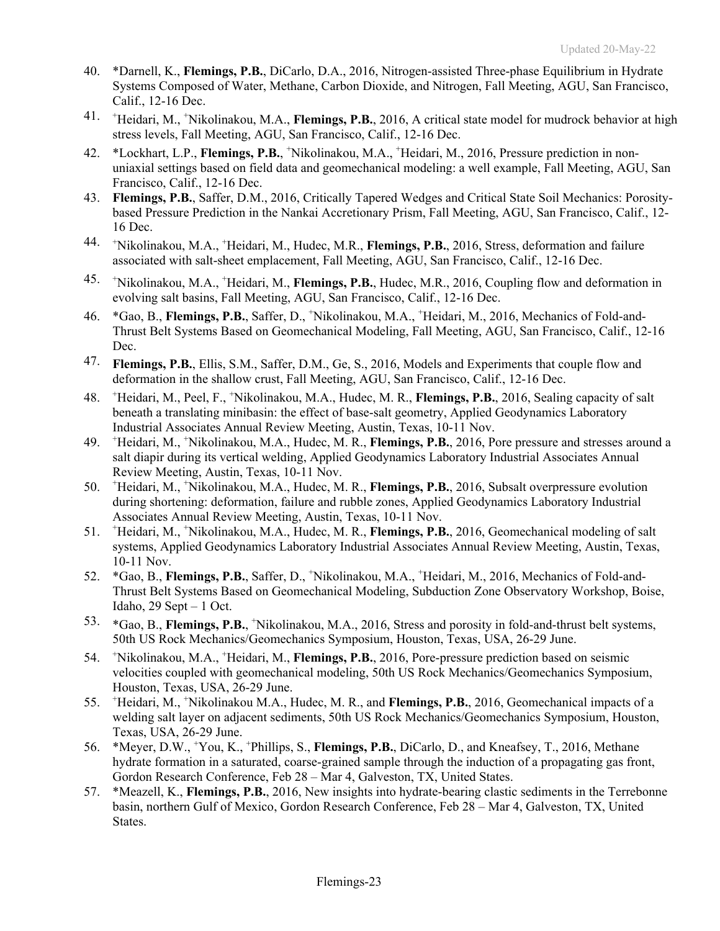- 40. \*Darnell, K., **Flemings, P.B.**, DiCarlo, D.A., 2016, Nitrogen-assisted Three-phase Equilibrium in Hydrate Systems Composed of Water, Methane, Carbon Dioxide, and Nitrogen, Fall Meeting, AGU, San Francisco, Calif., 12-16 Dec.
- 41. <sup>+</sup> Heidari, M., + Nikolinakou, M.A., **Flemings, P.B.**, 2016, A critical state model for mudrock behavior at high stress levels, Fall Meeting, AGU, San Francisco, Calif., 12-16 Dec.
- 42. \*Lockhart, L.P., **Flemings, P.B.**, <sup>+</sup> Nikolinakou, M.A., + Heidari, M., 2016, Pressure prediction in nonuniaxial settings based on field data and geomechanical modeling: a well example, Fall Meeting, AGU, San Francisco, Calif., 12-16 Dec.
- 43. **Flemings, P.B.**, Saffer, D.M., 2016, Critically Tapered Wedges and Critical State Soil Mechanics: Porositybased Pressure Prediction in the Nankai Accretionary Prism, Fall Meeting, AGU, San Francisco, Calif., 12- 16 Dec.
- 44. <sup>+</sup> Nikolinakou, M.A., <sup>+</sup> Heidari, M., Hudec, M.R., **Flemings, P.B.**, 2016, Stress, deformation and failure associated with salt-sheet emplacement, Fall Meeting, AGU, San Francisco, Calif., 12-16 Dec.
- 45. <sup>+</sup> Nikolinakou, M.A., <sup>+</sup>Heidari, M., Flemings, P.B., Hudec, M.R., 2016, Coupling flow and deformation in evolving salt basins, Fall Meeting, AGU, San Francisco, Calif., 12-16 Dec.
- 46. \*Gao, B., **Flemings, P.B.**, Saffer, D., <sup>+</sup> Nikolinakou, M.A., <sup>+</sup> Heidari, M., 2016, Mechanics of Fold-and-Thrust Belt Systems Based on Geomechanical Modeling, Fall Meeting, AGU, San Francisco, Calif., 12-16 Dec.
- 47. **Flemings, P.B.**, Ellis, S.M., Saffer, D.M., Ge, S., 2016, Models and Experiments that couple flow and deformation in the shallow crust, Fall Meeting, AGU, San Francisco, Calif., 12-16 Dec.
- 48. <sup>+</sup> Heidari, M., Peel, F., <sup>+</sup>Nikolinakou, M.A., Hudec, M. R., Flemings, P.B., 2016, Sealing capacity of salt beneath a translating minibasin: the effect of base-salt geometry, Applied Geodynamics Laboratory Industrial Associates Annual Review Meeting, Austin, Texas, 10-11 Nov.
- 49. <sup>+</sup> Heidari, M., + Nikolinakou, M.A., Hudec, M. R., **Flemings, P.B.**, 2016, Pore pressure and stresses around a salt diapir during its vertical welding, Applied Geodynamics Laboratory Industrial Associates Annual Review Meeting, Austin, Texas, 10-11 Nov.
- 50. <sup>+</sup> Heidari, M., + Nikolinakou, M.A., Hudec, M. R., **Flemings, P.B.**, 2016, Subsalt overpressure evolution during shortening: deformation, failure and rubble zones, Applied Geodynamics Laboratory Industrial Associates Annual Review Meeting, Austin, Texas, 10-11 Nov.
- 51. <sup>+</sup> Heidari, M., + Nikolinakou, M.A., Hudec, M. R., **Flemings, P.B.**, 2016, Geomechanical modeling of salt systems, Applied Geodynamics Laboratory Industrial Associates Annual Review Meeting, Austin, Texas, 10-11 Nov.
- 52. \*Gao, B., **Flemings, P.B.**, Saffer, D., <sup>+</sup> Nikolinakou, M.A., <sup>+</sup> Heidari, M., 2016, Mechanics of Fold-and-Thrust Belt Systems Based on Geomechanical Modeling, Subduction Zone Observatory Workshop, Boise, Idaho,  $29$  Sept  $-1$  Oct.
- 53. \*Gao, B., **Flemings, P.B.**, <sup>+</sup> Nikolinakou, M.A., 2016, Stress and porosity in fold-and-thrust belt systems, 50th US Rock Mechanics/Geomechanics Symposium, Houston, Texas, USA, 26-29 June.
- 54. <sup>+</sup> Nikolinakou, M.A., <sup>+</sup>Heidari, M., Flemings, P.B., 2016, Pore-pressure prediction based on seismic velocities coupled with geomechanical modeling, 50th US Rock Mechanics/Geomechanics Symposium, Houston, Texas, USA, 26-29 June.
- 55. <sup>+</sup> Heidari, M., + Nikolinakou M.A., Hudec, M. R., and **Flemings, P.B.**, 2016, Geomechanical impacts of a welding salt layer on adjacent sediments, 50th US Rock Mechanics/Geomechanics Symposium, Houston, Texas, USA, 26-29 June.
- 56. \*Meyer, D.W., <sup>+</sup> You, K., + Phillips, S., **Flemings, P.B.**, DiCarlo, D., and Kneafsey, T., 2016, Methane hydrate formation in a saturated, coarse-grained sample through the induction of a propagating gas front, Gordon Research Conference, Feb 28 – Mar 4, Galveston, TX, United States.
- 57. \*Meazell, K., **Flemings, P.B.**, 2016, New insights into hydrate-bearing clastic sediments in the Terrebonne basin, northern Gulf of Mexico, Gordon Research Conference, Feb 28 – Mar 4, Galveston, TX, United States.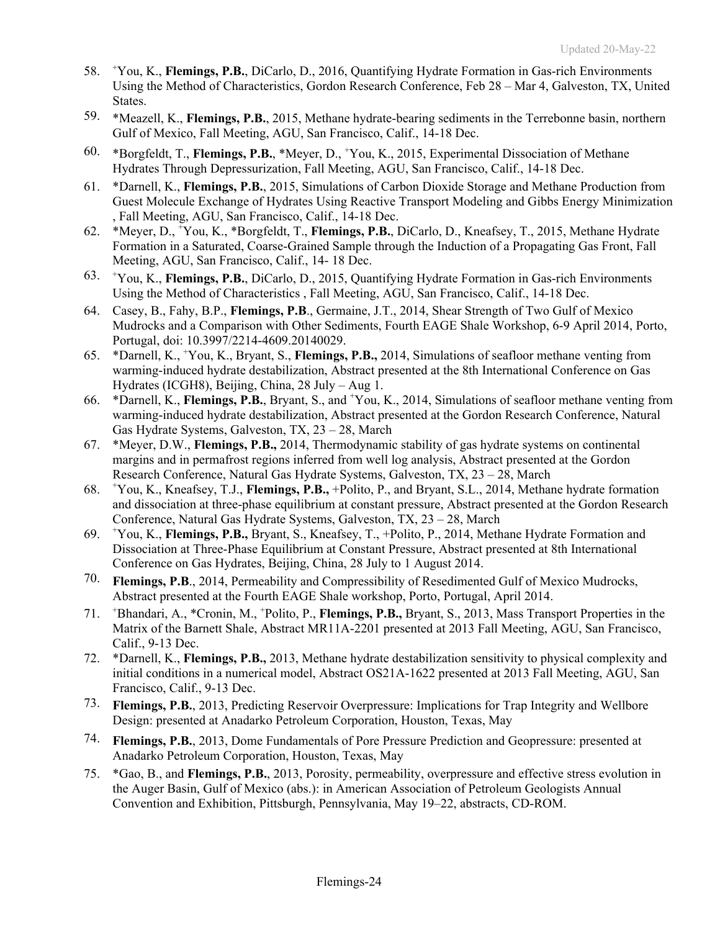- 58. <sup>+</sup> You, K., **Flemings, P.B.**, DiCarlo, D., 2016, Quantifying Hydrate Formation in Gas-rich Environments Using the Method of Characteristics, Gordon Research Conference, Feb 28 – Mar 4, Galveston, TX, United States.
- 59. \*Meazell, K., **Flemings, P.B.**, 2015, Methane hydrate-bearing sediments in the Terrebonne basin, northern Gulf of Mexico, Fall Meeting, AGU, San Francisco, Calif., 14-18 Dec.
- 60. \*Borgfeldt, T., **Flemings, P.B.**, \*Meyer, D., <sup>+</sup> You, K., 2015, Experimental Dissociation of Methane Hydrates Through Depressurization, Fall Meeting, AGU, San Francisco, Calif., 14-18 Dec.
- 61. \*Darnell, K., **Flemings, P.B.**, 2015, Simulations of Carbon Dioxide Storage and Methane Production from Guest Molecule Exchange of Hydrates Using Reactive Transport Modeling and Gibbs Energy Minimization , Fall Meeting, AGU, San Francisco, Calif., 14-18 Dec.
- 62. \*Meyer, D., <sup>+</sup> You, K., \*Borgfeldt, T., **Flemings, P.B.**, DiCarlo, D., Kneafsey, T., 2015, Methane Hydrate Formation in a Saturated, Coarse-Grained Sample through the Induction of a Propagating Gas Front, Fall Meeting, AGU, San Francisco, Calif., 14- 18 Dec.
- 63. <sup>+</sup> You, K., **Flemings, P.B.**, DiCarlo, D., 2015, Quantifying Hydrate Formation in Gas-rich Environments Using the Method of Characteristics , Fall Meeting, AGU, San Francisco, Calif., 14-18 Dec.
- 64. Casey, B., Fahy, B.P., **Flemings, P.B**., Germaine, J.T., 2014, Shear Strength of Two Gulf of Mexico Mudrocks and a Comparison with Other Sediments, Fourth EAGE Shale Workshop, 6-9 April 2014, Porto, Portugal, doi: 10.3997/2214-4609.20140029.
- 65. \*Darnell, K., <sup>+</sup> You, K., Bryant, S., **Flemings, P.B.,** 2014, Simulations of seafloor methane venting from warming-induced hydrate destabilization, Abstract presented at the 8th International Conference on Gas Hydrates (ICGH8), Beijing, China, 28 July – Aug 1.
- 66. \*Darnell, K., **Flemings, P.B.**, Bryant, S., and + You, K., 2014, Simulations of seafloor methane venting from warming-induced hydrate destabilization, Abstract presented at the Gordon Research Conference, Natural Gas Hydrate Systems, Galveston, TX, 23 – 28, March
- 67. \*Meyer, D.W., **Flemings, P.B.,** 2014, Thermodynamic stability of gas hydrate systems on continental margins and in permafrost regions inferred from well log analysis, Abstract presented at the Gordon Research Conference, Natural Gas Hydrate Systems, Galveston, TX, 23 – 28, March
- 68. <sup>+</sup> You, K., Kneafsey, T.J., **Flemings, P.B.,** +Polito, P., and Bryant, S.L., 2014, Methane hydrate formation and dissociation at three-phase equilibrium at constant pressure, Abstract presented at the Gordon Research Conference, Natural Gas Hydrate Systems, Galveston, TX, 23 – 28, March
- 69. <sup>+</sup> You, K., **Flemings, P.B.,** Bryant, S., Kneafsey, T., +Polito, P., 2014, Methane Hydrate Formation and Dissociation at Three-Phase Equilibrium at Constant Pressure, Abstract presented at 8th International Conference on Gas Hydrates, Beijing, China, 28 July to 1 August 2014.
- 70. **Flemings, P.B**., 2014, Permeability and Compressibility of Resedimented Gulf of Mexico Mudrocks, Abstract presented at the Fourth EAGE Shale workshop, Porto, Portugal, April 2014.
- 71. <sup>+</sup> Bhandari, A., \*Cronin, M., <sup>+</sup> Polito, P., **Flemings, P.B.,** Bryant, S., 2013, Mass Transport Properties in the Matrix of the Barnett Shale, Abstract MR11A-2201 presented at 2013 Fall Meeting, AGU, San Francisco, Calif., 9-13 Dec.
- 72. \*Darnell, K., **Flemings, P.B.,** 2013, Methane hydrate destabilization sensitivity to physical complexity and initial conditions in a numerical model, Abstract OS21A-1622 presented at 2013 Fall Meeting, AGU, San Francisco, Calif., 9-13 Dec.
- 73. **Flemings, P.B.**, 2013, Predicting Reservoir Overpressure: Implications for Trap Integrity and Wellbore Design: presented at Anadarko Petroleum Corporation, Houston, Texas, May
- 74. **Flemings, P.B.**, 2013, Dome Fundamentals of Pore Pressure Prediction and Geopressure: presented at Anadarko Petroleum Corporation, Houston, Texas, May
- 75. \*Gao, B., and **Flemings, P.B.**, 2013, Porosity, permeability, overpressure and effective stress evolution in the Auger Basin, Gulf of Mexico (abs.): in American Association of Petroleum Geologists Annual Convention and Exhibition, Pittsburgh, Pennsylvania, May 19–22, abstracts, CD-ROM.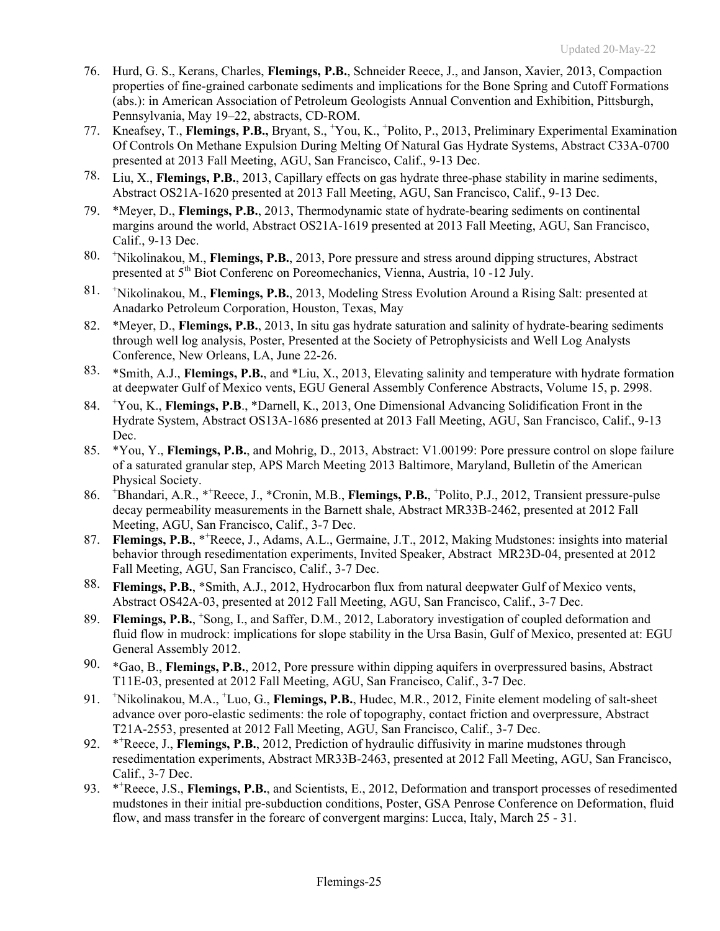- 76. Hurd, G. S., Kerans, Charles, **Flemings, P.B.**, Schneider Reece, J., and Janson, Xavier, 2013, Compaction properties of fine-grained carbonate sediments and implications for the Bone Spring and Cutoff Formations (abs.): in American Association of Petroleum Geologists Annual Convention and Exhibition, Pittsburgh, Pennsylvania, May 19–22, abstracts, CD-ROM.
- 77. Kneafsey, T., **Flemings, P.B.,** Bryant, S., <sup>+</sup> You, K., <sup>+</sup> Polito, P., 2013, Preliminary Experimental Examination Of Controls On Methane Expulsion During Melting Of Natural Gas Hydrate Systems, Abstract C33A-0700 presented at 2013 Fall Meeting, AGU, San Francisco, Calif., 9-13 Dec.
- 78. Liu, X., **Flemings, P.B.**, 2013, Capillary effects on gas hydrate three-phase stability in marine sediments, Abstract OS21A-1620 presented at 2013 Fall Meeting, AGU, San Francisco, Calif., 9-13 Dec.
- 79. \*Meyer, D., **Flemings, P.B.**, 2013, Thermodynamic state of hydrate-bearing sediments on continental margins around the world, Abstract OS21A-1619 presented at 2013 Fall Meeting, AGU, San Francisco, Calif., 9-13 Dec.
- 80. <sup>+</sup> Nikolinakou, M., **Flemings, P.B.**, 2013, Pore pressure and stress around dipping structures, Abstract presented at 5th Biot Conferenc on Poreomechanics, Vienna, Austria, 10 -12 July.
- 81. <sup>+</sup> Nikolinakou, M., **Flemings, P.B.**, 2013, Modeling Stress Evolution Around a Rising Salt: presented at Anadarko Petroleum Corporation, Houston, Texas, May
- 82. \*Meyer, D., **Flemings, P.B.**, 2013, In situ gas hydrate saturation and salinity of hydrate-bearing sediments through well log analysis, Poster, Presented at the Society of Petrophysicists and Well Log Analysts Conference, New Orleans, LA, June 22-26.
- 83. \*Smith, A.J., **Flemings, P.B.**, and \*Liu, X., 2013, Elevating salinity and temperature with hydrate formation at deepwater Gulf of Mexico vents, EGU General Assembly Conference Abstracts, Volume 15, p. 2998.
- 84. <sup>+</sup> You, K., **Flemings, P.B**., \*Darnell, K., 2013, One Dimensional Advancing Solidification Front in the Hydrate System, Abstract OS13A-1686 presented at 2013 Fall Meeting, AGU, San Francisco, Calif., 9-13 Dec.
- 85. \*You, Y., **Flemings, P.B.**, and Mohrig, D., 2013, Abstract: V1.00199: Pore pressure control on slope failure of a saturated granular step, APS March Meeting 2013 Baltimore, Maryland, Bulletin of the American Physical Society.
- 86. <sup>+</sup> Bhandari, A.R., \*<sup>+</sup> Reece, J., \*Cronin, M.B., **Flemings, P.B.**, <sup>+</sup> Polito, P.J., 2012, Transient pressure-pulse decay permeability measurements in the Barnett shale, Abstract MR33B-2462, presented at 2012 Fall Meeting, AGU, San Francisco, Calif., 3-7 Dec.
- 87. Flemings, P.B., \*<sup>+</sup>Reece, J., Adams, A.L., Germaine, J.T., 2012, Making Mudstones: insights into material behavior through resedimentation experiments, Invited Speaker, Abstract MR23D-04, presented at 2012 Fall Meeting, AGU, San Francisco, Calif., 3-7 Dec.
- 88. **Flemings, P.B.**, \*Smith, A.J., 2012, Hydrocarbon flux from natural deepwater Gulf of Mexico vents, Abstract OS42A-03, presented at 2012 Fall Meeting, AGU, San Francisco, Calif., 3-7 Dec.
- 89. Flemings, P.B., <sup>+</sup>Song, I., and Saffer, D.M., 2012, Laboratory investigation of coupled deformation and fluid flow in mudrock: implications for slope stability in the Ursa Basin, Gulf of Mexico, presented at: EGU General Assembly 2012.
- 90. \*Gao, B., **Flemings, P.B.**, 2012, Pore pressure within dipping aquifers in overpressured basins, Abstract T11E-03, presented at 2012 Fall Meeting, AGU, San Francisco, Calif., 3-7 Dec.
- 91. <sup>+</sup> Nikolinakou, M.A., <sup>+</sup> Luo, G., **Flemings, P.B.**, Hudec, M.R., 2012, Finite element modeling of salt-sheet advance over poro-elastic sediments: the role of topography, contact friction and overpressure, Abstract T21A-2553, presented at 2012 Fall Meeting, AGU, San Francisco, Calif., 3-7 Dec.
- 92. Reece, J., **Flemings, P.B.**, 2012, Prediction of hydraulic diffusivity in marine mudstones through resedimentation experiments, Abstract MR33B-2463, presented at 2012 Fall Meeting, AGU, San Francisco, Calif., 3-7 Dec.
- 93. \*\*Reece, J.S., Flemings, P.B., and Scientists, E., 2012, Deformation and transport processes of resedimented mudstones in their initial pre-subduction conditions, Poster, GSA Penrose Conference on Deformation, fluid flow, and mass transfer in the forearc of convergent margins: Lucca, Italy, March 25 - 31.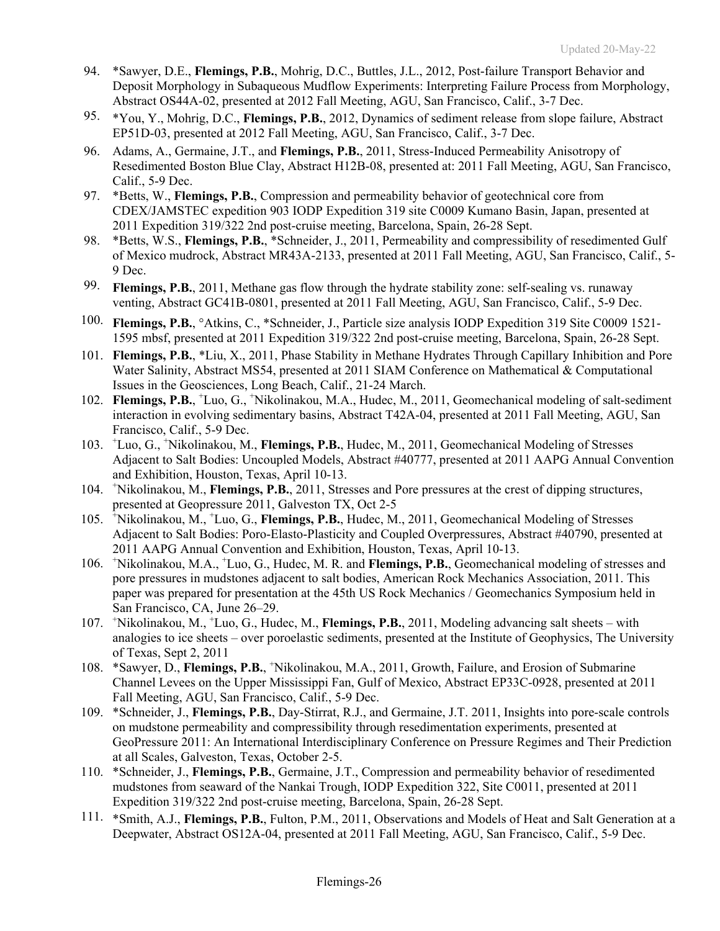- 94. \*Sawyer, D.E., **Flemings, P.B.**, Mohrig, D.C., Buttles, J.L., 2012, Post-failure Transport Behavior and Deposit Morphology in Subaqueous Mudflow Experiments: Interpreting Failure Process from Morphology, Abstract OS44A-02, presented at 2012 Fall Meeting, AGU, San Francisco, Calif., 3-7 Dec.
- 95. \*You, Y., Mohrig, D.C., **Flemings, P.B.**, 2012, Dynamics of sediment release from slope failure, Abstract EP51D-03, presented at 2012 Fall Meeting, AGU, San Francisco, Calif., 3-7 Dec.
- 96. Adams, A., Germaine, J.T., and **Flemings, P.B.**, 2011, Stress-Induced Permeability Anisotropy of Resedimented Boston Blue Clay, Abstract H12B-08, presented at: 2011 Fall Meeting, AGU, San Francisco, Calif., 5-9 Dec.
- 97. \*Betts, W., **Flemings, P.B.**, Compression and permeability behavior of geotechnical core from CDEX/JAMSTEC expedition 903 IODP Expedition 319 site C0009 Kumano Basin, Japan, presented at 2011 Expedition 319/322 2nd post-cruise meeting, Barcelona, Spain, 26-28 Sept.
- 98. \*Betts, W.S., **Flemings, P.B.**, \*Schneider, J., 2011, Permeability and compressibility of resedimented Gulf of Mexico mudrock, Abstract MR43A-2133, presented at 2011 Fall Meeting, AGU, San Francisco, Calif., 5- 9 Dec.
- 99. **Flemings, P.B.**, 2011, Methane gas flow through the hydrate stability zone: self-sealing vs. runaway venting, Abstract GC41B-0801, presented at 2011 Fall Meeting, AGU, San Francisco, Calif., 5-9 Dec.
- 100. **Flemings, P.B.**, °Atkins, C., \*Schneider, J., Particle size analysis IODP Expedition 319 Site C0009 1521- 1595 mbsf, presented at 2011 Expedition 319/322 2nd post-cruise meeting, Barcelona, Spain, 26-28 Sept.
- 101. **Flemings, P.B.**, \*Liu, X., 2011, Phase Stability in Methane Hydrates Through Capillary Inhibition and Pore Water Salinity, Abstract MS54, presented at 2011 SIAM Conference on Mathematical & Computational Issues in the Geosciences, Long Beach, Calif., 21-24 March.
- 102. Flemings, P.B., <sup>+</sup>Luo, G., <sup>+</sup>Nikolinakou, M.A., Hudec, M., 2011, Geomechanical modeling of salt-sediment interaction in evolving sedimentary basins, Abstract T42A-04, presented at 2011 Fall Meeting, AGU, San Francisco, Calif., 5-9 Dec.
- 103. <sup>+</sup> Luo, G., + Nikolinakou, M., **Flemings, P.B.**, Hudec, M., 2011, Geomechanical Modeling of Stresses Adjacent to Salt Bodies: Uncoupled Models, Abstract #40777, presented at 2011 AAPG Annual Convention and Exhibition, Houston, Texas, April 10-13.
- 104. <sup>+</sup> Nikolinakou, M., **Flemings, P.B.**, 2011, Stresses and Pore pressures at the crest of dipping structures, presented at Geopressure 2011, Galveston TX, Oct 2-5
- 105. <sup>+</sup> Nikolinakou, M., + Luo, G., **Flemings, P.B.**, Hudec, M., 2011, Geomechanical Modeling of Stresses Adjacent to Salt Bodies: Poro-Elasto-Plasticity and Coupled Overpressures, Abstract #40790, presented at 2011 AAPG Annual Convention and Exhibition, Houston, Texas, April 10-13.
- 106. +Nikolinakou, M.A., +Luo, G., Hudec, M. R. and Flemings, P.B., Geomechanical modeling of stresses and pore pressures in mudstones adjacent to salt bodies, American Rock Mechanics Association, 2011. This paper was prepared for presentation at the 45th US Rock Mechanics / Geomechanics Symposium held in San Francisco, CA, June 26–29.
- 107. <sup>+</sup> Nikolinakou, M., + Luo, G., Hudec, M., **Flemings, P.B.**, 2011, Modeling advancing salt sheets with analogies to ice sheets – over poroelastic sediments, presented at the Institute of Geophysics, The University of Texas, Sept 2, 2011
- 108. \*Sawyer, D., Flemings, P.B., <sup>+</sup>Nikolinakou, M.A., 2011, Growth, Failure, and Erosion of Submarine Channel Levees on the Upper Mississippi Fan, Gulf of Mexico, Abstract EP33C-0928, presented at 2011 Fall Meeting, AGU, San Francisco, Calif., 5-9 Dec.
- 109. \*Schneider, J., **Flemings, P.B.**, Day-Stirrat, R.J., and Germaine, J.T. 2011, Insights into pore-scale controls on mudstone permeability and compressibility through resedimentation experiments, presented at GeoPressure 2011: An International Interdisciplinary Conference on Pressure Regimes and Their Prediction at all Scales, Galveston, Texas, October 2-5.
- 110. \*Schneider, J., **Flemings, P.B.**, Germaine, J.T., Compression and permeability behavior of resedimented mudstones from seaward of the Nankai Trough, IODP Expedition 322, Site C0011, presented at 2011 Expedition 319/322 2nd post-cruise meeting, Barcelona, Spain, 26-28 Sept.
- 111. \*Smith, A.J., **Flemings, P.B.**, Fulton, P.M., 2011, Observations and Models of Heat and Salt Generation at a Deepwater, Abstract OS12A-04, presented at 2011 Fall Meeting, AGU, San Francisco, Calif., 5-9 Dec.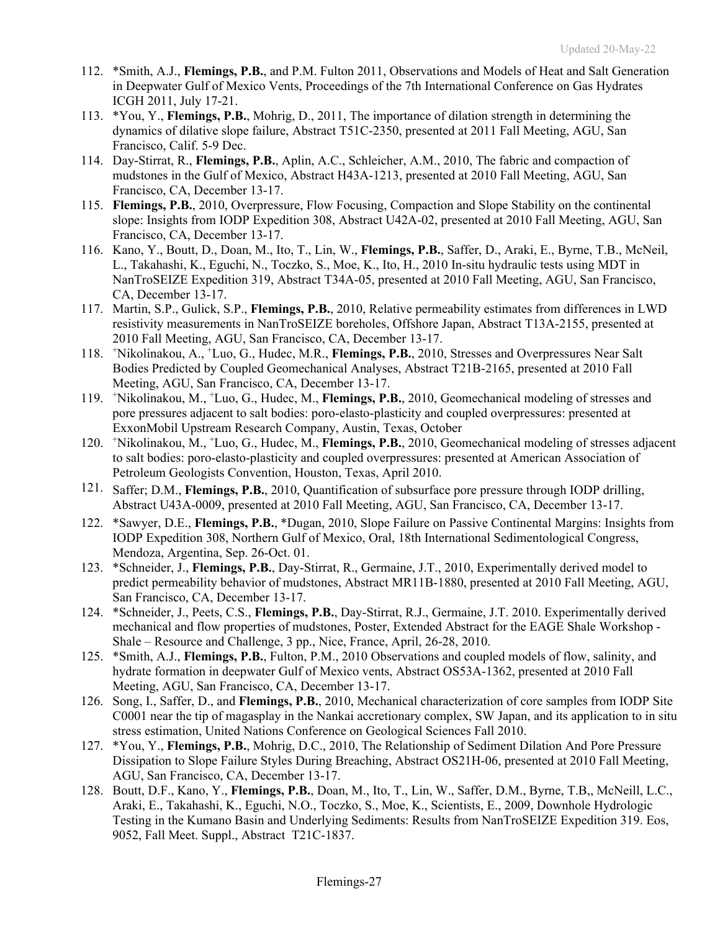- 112. \*Smith, A.J., **Flemings, P.B.**, and P.M. Fulton 2011, Observations and Models of Heat and Salt Generation in Deepwater Gulf of Mexico Vents, Proceedings of the 7th International Conference on Gas Hydrates ICGH 2011, July 17-21.
- 113. \*You, Y., **Flemings, P.B.**, Mohrig, D., 2011, The importance of dilation strength in determining the dynamics of dilative slope failure, Abstract T51C-2350, presented at 2011 Fall Meeting, AGU, San Francisco, Calif. 5-9 Dec.
- 114. Day-Stirrat, R., **Flemings, P.B.**, Aplin, A.C., Schleicher, A.M., 2010, The fabric and compaction of mudstones in the Gulf of Mexico, Abstract H43A-1213, presented at 2010 Fall Meeting, AGU, San Francisco, CA, December 13-17.
- 115. **Flemings, P.B.**, 2010, Overpressure, Flow Focusing, Compaction and Slope Stability on the continental slope: Insights from IODP Expedition 308, Abstract U42A-02, presented at 2010 Fall Meeting, AGU, San Francisco, CA, December 13-17.
- 116. Kano, Y., Boutt, D., Doan, M., Ito, T., Lin, W., **Flemings, P.B.**, Saffer, D., Araki, E., Byrne, T.B., McNeil, L., Takahashi, K., Eguchi, N., Toczko, S., Moe, K., Ito, H., 2010 In-situ hydraulic tests using MDT in NanTroSEIZE Expedition 319, Abstract T34A-05, presented at 2010 Fall Meeting, AGU, San Francisco, CA, December 13-17.
- 117. Martin, S.P., Gulick, S.P., **Flemings, P.B.**, 2010, Relative permeability estimates from differences in LWD resistivity measurements in NanTroSEIZE boreholes, Offshore Japan, Abstract T13A-2155, presented at 2010 Fall Meeting, AGU, San Francisco, CA, December 13-17.
- 118. <sup>+</sup> Nikolinakou, A., <sup>+</sup> Luo, G., Hudec, M.R., **Flemings, P.B.**, 2010, Stresses and Overpressures Near Salt Bodies Predicted by Coupled Geomechanical Analyses, Abstract T21B-2165, presented at 2010 Fall Meeting, AGU, San Francisco, CA, December 13-17.
- 119. <sup>+</sup> Nikolinakou, M., + Luo, G., Hudec, M., **Flemings, P.B.**, 2010, Geomechanical modeling of stresses and pore pressures adjacent to salt bodies: poro-elasto-plasticity and coupled overpressures: presented at ExxonMobil Upstream Research Company, Austin, Texas, October
- 120. <sup>+</sup> Nikolinakou, M., + Luo, G., Hudec, M., **Flemings, P.B.**, 2010, Geomechanical modeling of stresses adjacent to salt bodies: poro-elasto-plasticity and coupled overpressures: presented at American Association of Petroleum Geologists Convention, Houston, Texas, April 2010.
- 121. Saffer; D.M., **Flemings, P.B.**, 2010, Quantification of subsurface pore pressure through IODP drilling, Abstract U43A-0009, presented at 2010 Fall Meeting, AGU, San Francisco, CA, December 13-17.
- 122. \*Sawyer, D.E., **Flemings, P.B.**, \*Dugan, 2010, Slope Failure on Passive Continental Margins: Insights from IODP Expedition 308, Northern Gulf of Mexico, Oral, 18th International Sedimentological Congress, Mendoza, Argentina, Sep. 26-Oct. 01.
- 123. \*Schneider, J., **Flemings, P.B.**, Day-Stirrat, R., Germaine, J.T., 2010, Experimentally derived model to predict permeability behavior of mudstones, Abstract MR11B-1880, presented at 2010 Fall Meeting, AGU, San Francisco, CA, December 13-17.
- 124. \*Schneider, J., Peets, C.S., **Flemings, P.B.**, Day-Stirrat, R.J., Germaine, J.T. 2010. Experimentally derived mechanical and flow properties of mudstones, Poster, Extended Abstract for the EAGE Shale Workshop - Shale – Resource and Challenge, 3 pp., Nice, France, April, 26-28, 2010.
- 125. \*Smith, A.J., **Flemings, P.B.**, Fulton, P.M., 2010 Observations and coupled models of flow, salinity, and hydrate formation in deepwater Gulf of Mexico vents, Abstract OS53A-1362, presented at 2010 Fall Meeting, AGU, San Francisco, CA, December 13-17.
- 126. Song, I., Saffer, D., and **Flemings, P.B.**, 2010, Mechanical characterization of core samples from IODP Site C0001 near the tip of magasplay in the Nankai accretionary complex, SW Japan, and its application to in situ stress estimation, United Nations Conference on Geological Sciences Fall 2010.
- 127. \*You, Y., **Flemings, P.B.**, Mohrig, D.C., 2010, The Relationship of Sediment Dilation And Pore Pressure Dissipation to Slope Failure Styles During Breaching, Abstract OS21H-06, presented at 2010 Fall Meeting, AGU, San Francisco, CA, December 13-17.
- 128. Boutt, D.F., Kano, Y., **Flemings, P.B.**, Doan, M., Ito, T., Lin, W., Saffer, D.M., Byrne, T.B,, McNeill, L.C., Araki, E., Takahashi, K., Eguchi, N.O., Toczko, S., Moe, K., Scientists, E., 2009, Downhole Hydrologic Testing in the Kumano Basin and Underlying Sediments: Results from NanTroSEIZE Expedition 319. Eos, 9052, Fall Meet. Suppl., Abstract T21C-1837.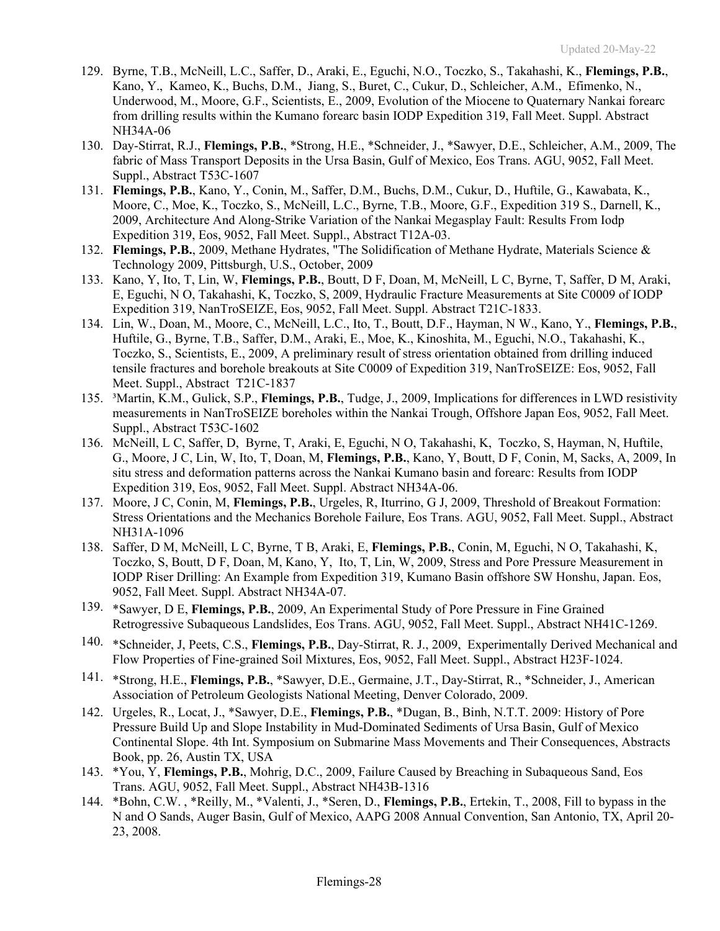- 129. Byrne, T.B., McNeill, L.C., Saffer, D., Araki, E., Eguchi, N.O., Toczko, S., Takahashi, K., **Flemings, P.B.**, Kano, Y., Kameo, K., Buchs, D.M., Jiang, S., Buret, C., Cukur, D., Schleicher, A.M., Efimenko, N., Underwood, M., Moore, G.F., Scientists, E., 2009, Evolution of the Miocene to Quaternary Nankai forearc from drilling results within the Kumano forearc basin IODP Expedition 319, Fall Meet. Suppl. Abstract NH34A-06
- 130. Day-Stirrat, R.J., **Flemings, P.B.**, \*Strong, H.E., \*Schneider, J., \*Sawyer, D.E., Schleicher, A.M., 2009, The fabric of Mass Transport Deposits in the Ursa Basin, Gulf of Mexico, Eos Trans. AGU, 9052, Fall Meet. Suppl., Abstract T53C-1607
- 131. **Flemings, P.B.**, Kano, Y., Conin, M., Saffer, D.M., Buchs, D.M., Cukur, D., Huftile, G., Kawabata, K., Moore, C., Moe, K., Toczko, S., McNeill, L.C., Byrne, T.B., Moore, G.F., Expedition 319 S., Darnell, K., 2009, Architecture And Along-Strike Variation of the Nankai Megasplay Fault: Results From Iodp Expedition 319, Eos, 9052, Fall Meet. Suppl., Abstract T12A-03.
- 132. **Flemings, P.B.**, 2009, Methane Hydrates, "The Solidification of Methane Hydrate, Materials Science & Technology 2009, Pittsburgh, U.S., October, 2009
- 133. Kano, Y, Ito, T, Lin, W, **Flemings, P.B.**, Boutt, D F, Doan, M, McNeill, L C, Byrne, T, Saffer, D M, Araki, E, Eguchi, N O, Takahashi, K, Toczko, S, 2009, Hydraulic Fracture Measurements at Site C0009 of IODP Expedition 319, NanTroSEIZE, Eos, 9052, Fall Meet. Suppl. Abstract T21C-1833.
- 134. Lin, W., Doan, M., Moore, C., McNeill, L.C., Ito, T., Boutt, D.F., Hayman, N W., Kano, Y., **Flemings, P.B.**, Huftile, G., Byrne, T.B., Saffer, D.M., Araki, E., Moe, K., Kinoshita, M., Eguchi, N.O., Takahashi, K., Toczko, S., Scientists, E., 2009, A preliminary result of stress orientation obtained from drilling induced tensile fractures and borehole breakouts at Site C0009 of Expedition 319, NanTroSEIZE: Eos, 9052, Fall Meet. Suppl., Abstract T21C-1837
- 135. ³Martin, K.M., Gulick, S.P., **Flemings, P.B.**, Tudge, J., 2009, Implications for differences in LWD resistivity measurements in NanTroSEIZE boreholes within the Nankai Trough, Offshore Japan Eos, 9052, Fall Meet. Suppl., Abstract T53C-1602
- 136. McNeill, L C, Saffer, D, Byrne, T, Araki, E, Eguchi, N O, Takahashi, K, Toczko, S, Hayman, N, Huftile, G., Moore, J C, Lin, W, Ito, T, Doan, M, **Flemings, P.B.**, Kano, Y, Boutt, D F, Conin, M, Sacks, A, 2009, In situ stress and deformation patterns across the Nankai Kumano basin and forearc: Results from IODP Expedition 319, Eos, 9052, Fall Meet. Suppl. Abstract NH34A-06.
- 137. Moore, J C, Conin, M, **Flemings, P.B.**, Urgeles, R, Iturrino, G J, 2009, Threshold of Breakout Formation: Stress Orientations and the Mechanics Borehole Failure, Eos Trans. AGU, 9052, Fall Meet. Suppl., Abstract NH31A-1096
- 138. Saffer, D M, McNeill, L C, Byrne, T B, Araki, E, **Flemings, P.B.**, Conin, M, Eguchi, N O, Takahashi, K, Toczko, S, Boutt, D F, Doan, M, Kano, Y, Ito, T, Lin, W, 2009, Stress and Pore Pressure Measurement in IODP Riser Drilling: An Example from Expedition 319, Kumano Basin offshore SW Honshu, Japan. Eos, 9052, Fall Meet. Suppl. Abstract NH34A-07.
- 139. \*Sawyer, D E, **Flemings, P.B.**, 2009, An Experimental Study of Pore Pressure in Fine Grained Retrogressive Subaqueous Landslides, Eos Trans. AGU, 9052, Fall Meet. Suppl., Abstract NH41C-1269.
- 140. \*Schneider, J, Peets, C.S., **Flemings, P.B.**, Day-Stirrat, R. J., 2009, Experimentally Derived Mechanical and Flow Properties of Fine-grained Soil Mixtures, Eos, 9052, Fall Meet. Suppl., Abstract H23F-1024.
- 141. \*Strong, H.E., **Flemings, P.B.**, \*Sawyer, D.E., Germaine, J.T., Day-Stirrat, R., \*Schneider, J., American Association of Petroleum Geologists National Meeting, Denver Colorado, 2009.
- 142. Urgeles, R., Locat, J., \*Sawyer, D.E., **Flemings, P.B.**, \*Dugan, B., Binh, N.T.T. 2009: History of Pore Pressure Build Up and Slope Instability in Mud-Dominated Sediments of Ursa Basin, Gulf of Mexico Continental Slope. 4th Int. Symposium on Submarine Mass Movements and Their Consequences, Abstracts Book, pp. 26, Austin TX, USA
- 143. \*You, Y, **Flemings, P.B.**, Mohrig, D.C., 2009, Failure Caused by Breaching in Subaqueous Sand, Eos Trans. AGU, 9052, Fall Meet. Suppl., Abstract NH43B-1316
- 144. \*Bohn, C.W. , \*Reilly, M., \*Valenti, J., \*Seren, D., **Flemings, P.B.**, Ertekin, T., 2008, Fill to bypass in the N and O Sands, Auger Basin, Gulf of Mexico, AAPG 2008 Annual Convention, San Antonio, TX, April 20- 23, 2008.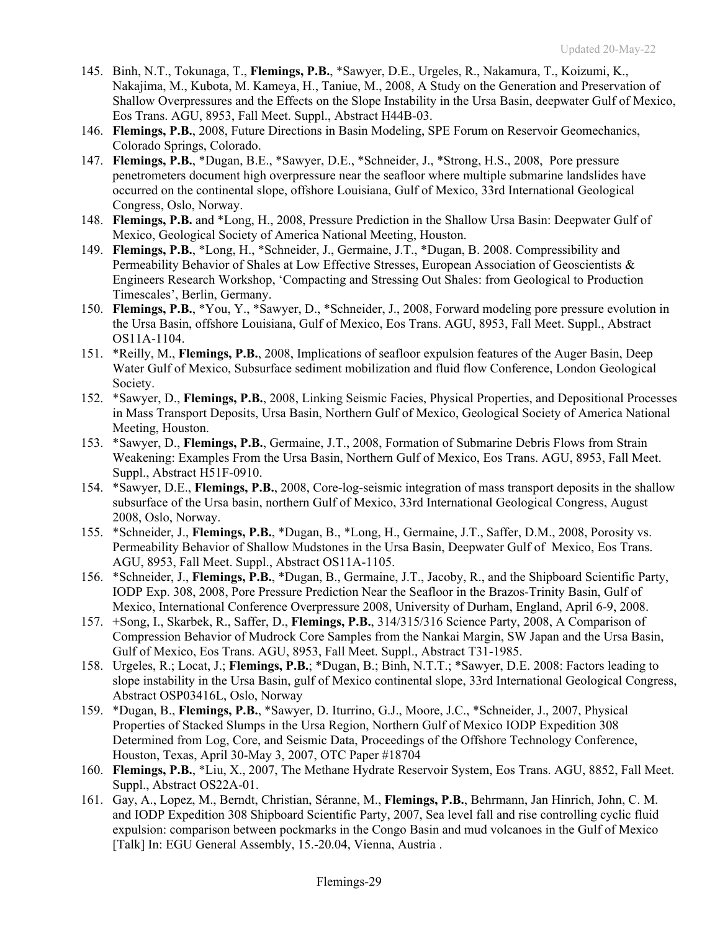- 145. Binh, N.T., Tokunaga, T., **Flemings, P.B.**, \*Sawyer, D.E., Urgeles, R., Nakamura, T., Koizumi, K., Nakajima, M., Kubota, M. Kameya, H., Taniue, M., 2008, A Study on the Generation and Preservation of Shallow Overpressures and the Effects on the Slope Instability in the Ursa Basin, deepwater Gulf of Mexico, Eos Trans. AGU, 8953, Fall Meet. Suppl., Abstract H44B-03.
- 146. **Flemings, P.B.**, 2008, Future Directions in Basin Modeling, SPE Forum on Reservoir Geomechanics, Colorado Springs, Colorado.
- 147. **Flemings, P.B.**, \*Dugan, B.E., \*Sawyer, D.E., \*Schneider, J., \*Strong, H.S., 2008, Pore pressure penetrometers document high overpressure near the seafloor where multiple submarine landslides have occurred on the continental slope, offshore Louisiana, Gulf of Mexico, 33rd International Geological Congress, Oslo, Norway.
- 148. **Flemings, P.B.** and \*Long, H., 2008, Pressure Prediction in the Shallow Ursa Basin: Deepwater Gulf of Mexico, Geological Society of America National Meeting, Houston.
- 149. **Flemings, P.B.**, \*Long, H., \*Schneider, J., Germaine, J.T., \*Dugan, B. 2008. Compressibility and Permeability Behavior of Shales at Low Effective Stresses, European Association of Geoscientists & Engineers Research Workshop, 'Compacting and Stressing Out Shales: from Geological to Production Timescales', Berlin, Germany.
- 150. **Flemings, P.B.**, \*You, Y., \*Sawyer, D., \*Schneider, J., 2008, Forward modeling pore pressure evolution in the Ursa Basin, offshore Louisiana, Gulf of Mexico, Eos Trans. AGU, 8953, Fall Meet. Suppl., Abstract OS11A-1104.
- 151. \*Reilly, M., **Flemings, P.B.**, 2008, Implications of seafloor expulsion features of the Auger Basin, Deep Water Gulf of Mexico, Subsurface sediment mobilization and fluid flow Conference, London Geological Society.
- 152. \*Sawyer, D., **Flemings, P.B.**, 2008, Linking Seismic Facies, Physical Properties, and Depositional Processes in Mass Transport Deposits, Ursa Basin, Northern Gulf of Mexico, Geological Society of America National Meeting, Houston.
- 153. \*Sawyer, D., **Flemings, P.B.**, Germaine, J.T., 2008, Formation of Submarine Debris Flows from Strain Weakening: Examples From the Ursa Basin, Northern Gulf of Mexico, Eos Trans. AGU, 8953, Fall Meet. Suppl., Abstract H51F-0910.
- 154. \*Sawyer, D.E., **Flemings, P.B.**, 2008, Core-log-seismic integration of mass transport deposits in the shallow subsurface of the Ursa basin, northern Gulf of Mexico, 33rd International Geological Congress, August 2008, Oslo, Norway.
- 155. \*Schneider, J., **Flemings, P.B.**, \*Dugan, B., \*Long, H., Germaine, J.T., Saffer, D.M., 2008, Porosity vs. Permeability Behavior of Shallow Mudstones in the Ursa Basin, Deepwater Gulf of Mexico, Eos Trans. AGU, 8953, Fall Meet. Suppl., Abstract OS11A-1105.
- 156. \*Schneider, J., **Flemings, P.B.**, \*Dugan, B., Germaine, J.T., Jacoby, R., and the Shipboard Scientific Party, IODP Exp. 308, 2008, Pore Pressure Prediction Near the Seafloor in the Brazos-Trinity Basin, Gulf of Mexico, International Conference Overpressure 2008, University of Durham, England, April 6-9, 2008.
- 157. +Song, I., Skarbek, R., Saffer, D., **Flemings, P.B.**, 314/315/316 Science Party, 2008, A Comparison of Compression Behavior of Mudrock Core Samples from the Nankai Margin, SW Japan and the Ursa Basin, Gulf of Mexico, Eos Trans. AGU, 8953, Fall Meet. Suppl., Abstract T31-1985.
- 158. Urgeles, R.; Locat, J.; **Flemings, P.B.**; \*Dugan, B.; Binh, N.T.T.; \*Sawyer, D.E. 2008: Factors leading to slope instability in the Ursa Basin, gulf of Mexico continental slope, 33rd International Geological Congress, Abstract OSP03416L, Oslo, Norway
- 159. \*Dugan, B., **Flemings, P.B.**, \*Sawyer, D. Iturrino, G.J., Moore, J.C., \*Schneider, J., 2007, Physical Properties of Stacked Slumps in the Ursa Region, Northern Gulf of Mexico IODP Expedition 308 Determined from Log, Core, and Seismic Data, Proceedings of the Offshore Technology Conference, Houston, Texas, April 30-May 3, 2007, OTC Paper #18704
- 160. **Flemings, P.B.**, \*Liu, X., 2007, The Methane Hydrate Reservoir System, Eos Trans. AGU, 8852, Fall Meet. Suppl., Abstract OS22A-01.
- 161. Gay, A., Lopez, M., Berndt, Christian, Séranne, M., **Flemings, P.B.**, Behrmann, Jan Hinrich, John, C. M. and IODP Expedition 308 Shipboard Scientific Party, 2007, Sea level fall and rise controlling cyclic fluid expulsion: comparison between pockmarks in the Congo Basin and mud volcanoes in the Gulf of Mexico [Talk] In: EGU General Assembly, 15.-20.04, Vienna, Austria .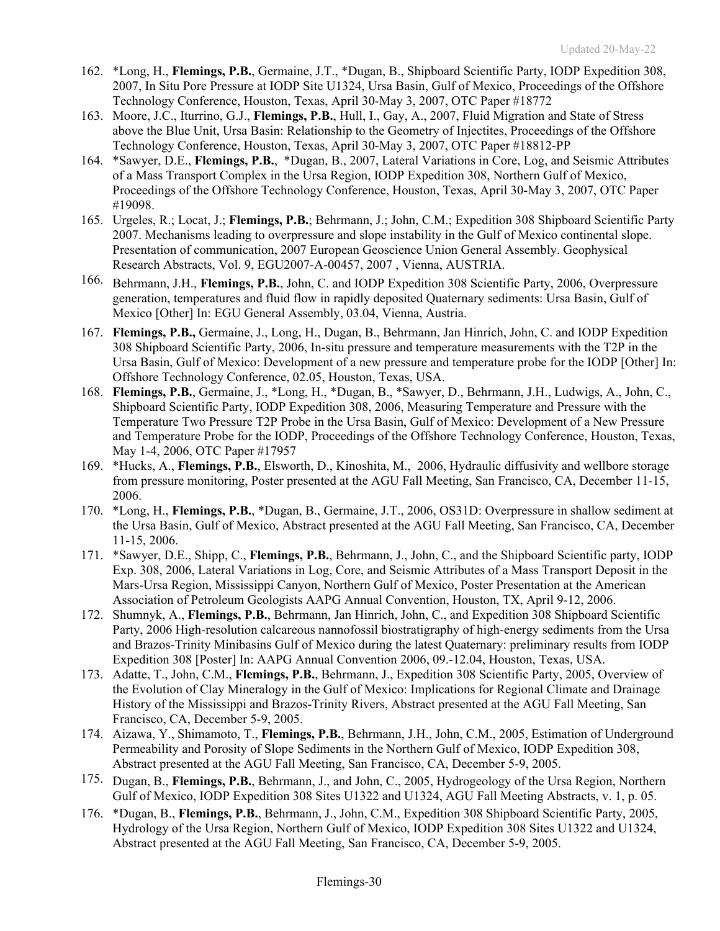- 162. \*Long, H., **Flemings, P.B.**, Germaine, J.T., \*Dugan, B., Shipboard Scientific Party, IODP Expedition 308, 2007, In Situ Pore Pressure at IODP Site U1324, Ursa Basin, Gulf of Mexico, Proceedings of the Offshore Technology Conference, Houston, Texas, April 30-May 3, 2007, OTC Paper #18772
- 163. Moore, J.C., Iturrino, G.J., **Flemings, P.B.**, Hull, I., Gay, A., 2007, Fluid Migration and State of Stress above the Blue Unit, Ursa Basin: Relationship to the Geometry of Injectites, Proceedings of the Offshore Technology Conference, Houston, Texas, April 30-May 3, 2007, OTC Paper #18812-PP
- 164. \*Sawyer, D.E., **Flemings, P.B.**, \*Dugan, B., 2007, Lateral Variations in Core, Log, and Seismic Attributes of a Mass Transport Complex in the Ursa Region, IODP Expedition 308, Northern Gulf of Mexico, Proceedings of the Offshore Technology Conference, Houston, Texas, April 30-May 3, 2007, OTC Paper #19098.
- 165. Urgeles, R.; Locat, J.; **Flemings, P.B.**; Behrmann, J.; John, C.M.; Expedition 308 Shipboard Scientific Party 2007. Mechanisms leading to overpressure and slope instability in the Gulf of Mexico continental slope. Presentation of communication, 2007 European Geoscience Union General Assembly. Geophysical Research Abstracts, Vol. 9, EGU2007-A-00457, 2007 , Vienna, AUSTRIA.
- 166. Behrmann, J.H., **Flemings, P.B.**, John, C. and IODP Expedition 308 Scientific Party, 2006, Overpressure generation, temperatures and fluid flow in rapidly deposited Quaternary sediments: Ursa Basin, Gulf of Mexico [Other] In: EGU General Assembly, 03.04, Vienna, Austria.
- 167. **Flemings, P.B.,** Germaine, J., Long, H., Dugan, B., Behrmann, Jan Hinrich, John, C. and IODP Expedition 308 Shipboard Scientific Party, 2006, In-situ pressure and temperature measurements with the T2P in the Ursa Basin, Gulf of Mexico: Development of a new pressure and temperature probe for the IODP [Other] In: Offshore Technology Conference, 02.05, Houston, Texas, USA.
- 168. **Flemings, P.B.**, Germaine, J., \*Long, H., \*Dugan, B., \*Sawyer, D., Behrmann, J.H., Ludwigs, A., John, C., Shipboard Scientific Party, IODP Expedition 308, 2006, Measuring Temperature and Pressure with the Temperature Two Pressure T2P Probe in the Ursa Basin, Gulf of Mexico: Development of a New Pressure and Temperature Probe for the IODP, Proceedings of the Offshore Technology Conference, Houston, Texas, May 1-4, 2006, OTC Paper #17957
- 169. \*Hucks, A., **Flemings, P.B.**, Elsworth, D., Kinoshita, M., 2006, Hydraulic diffusivity and wellbore storage from pressure monitoring, Poster presented at the AGU Fall Meeting, San Francisco, CA, December 11-15, 2006.
- 170. \*Long, H., **Flemings, P.B.**, \*Dugan, B., Germaine, J.T., 2006, OS31D: Overpressure in shallow sediment at the Ursa Basin, Gulf of Mexico, Abstract presented at the AGU Fall Meeting, San Francisco, CA, December 11-15, 2006.
- 171. \*Sawyer, D.E., Shipp, C., **Flemings, P.B.**, Behrmann, J., John, C., and the Shipboard Scientific party, IODP Exp. 308, 2006, Lateral Variations in Log, Core, and Seismic Attributes of a Mass Transport Deposit in the Mars-Ursa Region, Mississippi Canyon, Northern Gulf of Mexico, Poster Presentation at the American Association of Petroleum Geologists AAPG Annual Convention, Houston, TX, April 9-12, 2006.
- 172. Shumnyk, A., **Flemings, P.B.**, Behrmann, Jan Hinrich, John, C., and Expedition 308 Shipboard Scientific Party, 2006 High-resolution calcareous nannofossil biostratigraphy of high-energy sediments from the Ursa and Brazos-Trinity Minibasins Gulf of Mexico during the latest Quaternary: preliminary results from IODP Expedition 308 [Poster] In: AAPG Annual Convention 2006, 09.-12.04, Houston, Texas, USA.
- 173. Adatte, T., John, C.M., **Flemings, P.B.**, Behrmann, J., Expedition 308 Scientific Party, 2005, Overview of the Evolution of Clay Mineralogy in the Gulf of Mexico: Implications for Regional Climate and Drainage History of the Mississippi and Brazos-Trinity Rivers, Abstract presented at the AGU Fall Meeting, San Francisco, CA, December 5-9, 2005.
- 174. Aizawa, Y., Shimamoto, T., **Flemings, P.B.**, Behrmann, J.H., John, C.M., 2005, Estimation of Underground Permeability and Porosity of Slope Sediments in the Northern Gulf of Mexico, IODP Expedition 308, Abstract presented at the AGU Fall Meeting, San Francisco, CA, December 5-9, 2005.
- 175. Dugan, B., **Flemings, P.B.**, Behrmann, J., and John, C., 2005, Hydrogeology of the Ursa Region, Northern Gulf of Mexico, IODP Expedition 308 Sites U1322 and U1324, AGU Fall Meeting Abstracts, v. 1, p. 05.
- 176. \*Dugan, B., **Flemings, P.B.**, Behrmann, J., John, C.M., Expedition 308 Shipboard Scientific Party, 2005, Hydrology of the Ursa Region, Northern Gulf of Mexico, IODP Expedition 308 Sites U1322 and U1324, Abstract presented at the AGU Fall Meeting, San Francisco, CA, December 5-9, 2005.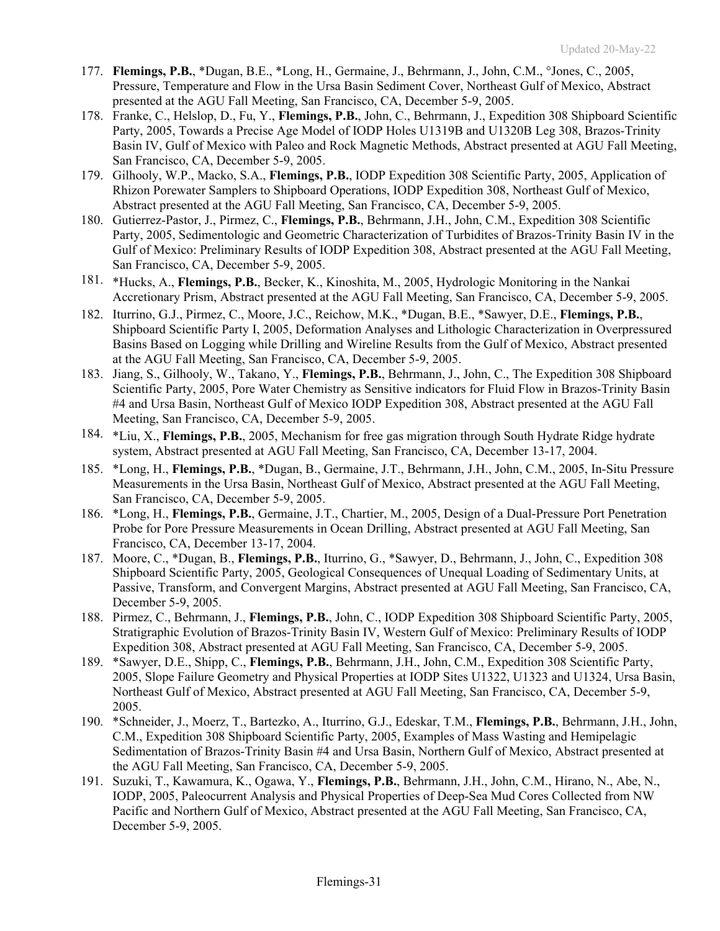- 177. **Flemings, P.B.**, \*Dugan, B.E., \*Long, H., Germaine, J., Behrmann, J., John, C.M., °Jones, C., 2005, Pressure, Temperature and Flow in the Ursa Basin Sediment Cover, Northeast Gulf of Mexico, Abstract presented at the AGU Fall Meeting, San Francisco, CA, December 5-9, 2005.
- 178. Franke, C., Helslop, D., Fu, Y., **Flemings, P.B.**, John, C., Behrmann, J., Expedition 308 Shipboard Scientific Party, 2005, Towards a Precise Age Model of IODP Holes U1319B and U1320B Leg 308, Brazos-Trinity Basin IV, Gulf of Mexico with Paleo and Rock Magnetic Methods, Abstract presented at AGU Fall Meeting, San Francisco, CA, December 5-9, 2005.
- 179. Gilhooly, W.P., Macko, S.A., **Flemings, P.B.**, IODP Expedition 308 Scientific Party, 2005, Application of Rhizon Porewater Samplers to Shipboard Operations, IODP Expedition 308, Northeast Gulf of Mexico, Abstract presented at the AGU Fall Meeting, San Francisco, CA, December 5-9, 2005.
- 180. Gutierrez-Pastor, J., Pirmez, C., **Flemings, P.B.**, Behrmann, J.H., John, C.M., Expedition 308 Scientific Party, 2005, Sedimentologic and Geometric Characterization of Turbidites of Brazos-Trinity Basin IV in the Gulf of Mexico: Preliminary Results of IODP Expedition 308, Abstract presented at the AGU Fall Meeting, San Francisco, CA, December 5-9, 2005.
- 181. \*Hucks, A., **Flemings, P.B.**, Becker, K., Kinoshita, M., 2005, Hydrologic Monitoring in the Nankai Accretionary Prism, Abstract presented at the AGU Fall Meeting, San Francisco, CA, December 5-9, 2005.
- 182. Iturrino, G.J., Pirmez, C., Moore, J.C., Reichow, M.K., \*Dugan, B.E., \*Sawyer, D.E., **Flemings, P.B.**, Shipboard Scientific Party I, 2005, Deformation Analyses and Lithologic Characterization in Overpressured Basins Based on Logging while Drilling and Wireline Results from the Gulf of Mexico, Abstract presented at the AGU Fall Meeting, San Francisco, CA, December 5-9, 2005.
- 183. Jiang, S., Gilhooly, W., Takano, Y., **Flemings, P.B.**, Behrmann, J., John, C., The Expedition 308 Shipboard Scientific Party, 2005, Pore Water Chemistry as Sensitive indicators for Fluid Flow in Brazos-Trinity Basin #4 and Ursa Basin, Northeast Gulf of Mexico IODP Expedition 308, Abstract presented at the AGU Fall Meeting, San Francisco, CA, December 5-9, 2005.
- 184. \*Liu, X., **Flemings, P.B.**, 2005, Mechanism for free gas migration through South Hydrate Ridge hydrate system, Abstract presented at AGU Fall Meeting, San Francisco, CA, December 13-17, 2004.
- 185. \*Long, H., **Flemings, P.B.**, \*Dugan, B., Germaine, J.T., Behrmann, J.H., John, C.M., 2005, In-Situ Pressure Measurements in the Ursa Basin, Northeast Gulf of Mexico, Abstract presented at the AGU Fall Meeting, San Francisco, CA, December 5-9, 2005.
- 186. \*Long, H., **Flemings, P.B.**, Germaine, J.T., Chartier, M., 2005, Design of a Dual-Pressure Port Penetration Probe for Pore Pressure Measurements in Ocean Drilling, Abstract presented at AGU Fall Meeting, San Francisco, CA, December 13-17, 2004.
- 187. Moore, C., \*Dugan, B., **Flemings, P.B.**, Iturrino, G., \*Sawyer, D., Behrmann, J., John, C., Expedition 308 Shipboard Scientific Party, 2005, Geological Consequences of Unequal Loading of Sedimentary Units, at Passive, Transform, and Convergent Margins, Abstract presented at AGU Fall Meeting, San Francisco, CA, December 5-9, 2005.
- 188. Pirmez, C., Behrmann, J., **Flemings, P.B.**, John, C., IODP Expedition 308 Shipboard Scientific Party, 2005, Stratigraphic Evolution of Brazos-Trinity Basin IV, Western Gulf of Mexico: Preliminary Results of IODP Expedition 308, Abstract presented at AGU Fall Meeting, San Francisco, CA, December 5-9, 2005.
- 189. \*Sawyer, D.E., Shipp, C., **Flemings, P.B.**, Behrmann, J.H., John, C.M., Expedition 308 Scientific Party, 2005, Slope Failure Geometry and Physical Properties at IODP Sites U1322, U1323 and U1324, Ursa Basin, Northeast Gulf of Mexico, Abstract presented at AGU Fall Meeting, San Francisco, CA, December 5-9, 2005.
- 190. \*Schneider, J., Moerz, T., Bartezko, A., Iturrino, G.J., Edeskar, T.M., **Flemings, P.B.**, Behrmann, J.H., John, C.M., Expedition 308 Shipboard Scientific Party, 2005, Examples of Mass Wasting and Hemipelagic Sedimentation of Brazos-Trinity Basin #4 and Ursa Basin, Northern Gulf of Mexico, Abstract presented at the AGU Fall Meeting, San Francisco, CA, December 5-9, 2005.
- 191. Suzuki, T., Kawamura, K., Ogawa, Y., **Flemings, P.B.**, Behrmann, J.H., John, C.M., Hirano, N., Abe, N., IODP, 2005, Paleocurrent Analysis and Physical Properties of Deep-Sea Mud Cores Collected from NW Pacific and Northern Gulf of Mexico, Abstract presented at the AGU Fall Meeting, San Francisco, CA, December 5-9, 2005.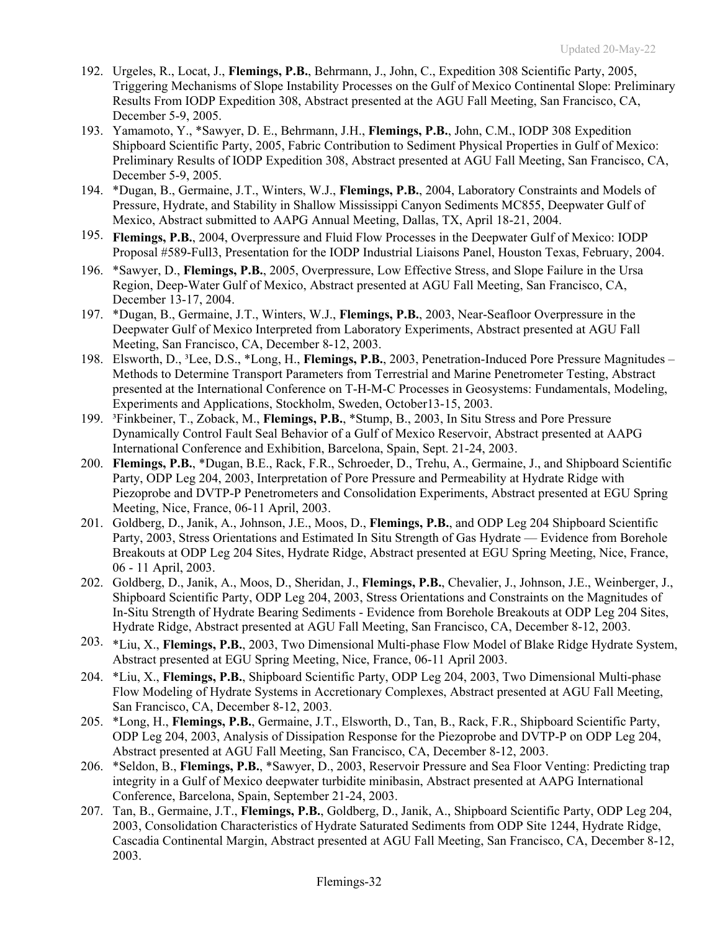- 192. Urgeles, R., Locat, J., **Flemings, P.B.**, Behrmann, J., John, C., Expedition 308 Scientific Party, 2005, Triggering Mechanisms of Slope Instability Processes on the Gulf of Mexico Continental Slope: Preliminary Results From IODP Expedition 308, Abstract presented at the AGU Fall Meeting, San Francisco, CA, December 5-9, 2005.
- 193. Yamamoto, Y., \*Sawyer, D. E., Behrmann, J.H., **Flemings, P.B.**, John, C.M., IODP 308 Expedition Shipboard Scientific Party, 2005, Fabric Contribution to Sediment Physical Properties in Gulf of Mexico: Preliminary Results of IODP Expedition 308, Abstract presented at AGU Fall Meeting, San Francisco, CA, December 5-9, 2005.
- 194. \*Dugan, B., Germaine, J.T., Winters, W.J., **Flemings, P.B.**, 2004, Laboratory Constraints and Models of Pressure, Hydrate, and Stability in Shallow Mississippi Canyon Sediments MC855, Deepwater Gulf of Mexico, Abstract submitted to AAPG Annual Meeting, Dallas, TX, April 18-21, 2004.
- 195. **Flemings, P.B.**, 2004, Overpressure and Fluid Flow Processes in the Deepwater Gulf of Mexico: IODP Proposal #589-Full3, Presentation for the IODP Industrial Liaisons Panel, Houston Texas, February, 2004.
- 196. \*Sawyer, D., **Flemings, P.B.**, 2005, Overpressure, Low Effective Stress, and Slope Failure in the Ursa Region, Deep-Water Gulf of Mexico, Abstract presented at AGU Fall Meeting, San Francisco, CA, December 13-17, 2004.
- 197. \*Dugan, B., Germaine, J.T., Winters, W.J., **Flemings, P.B.**, 2003, Near-Seafloor Overpressure in the Deepwater Gulf of Mexico Interpreted from Laboratory Experiments, Abstract presented at AGU Fall Meeting, San Francisco, CA, December 8-12, 2003.
- 198. Elsworth, D., ³Lee, D.S., \*Long, H., **Flemings, P.B.**, 2003, Penetration-Induced Pore Pressure Magnitudes Methods to Determine Transport Parameters from Terrestrial and Marine Penetrometer Testing, Abstract presented at the International Conference on T-H-M-C Processes in Geosystems: Fundamentals, Modeling, Experiments and Applications, Stockholm, Sweden, October13-15, 2003.
- 199. ³Finkbeiner, T., Zoback, M., **Flemings, P.B.**, \*Stump, B., 2003, In Situ Stress and Pore Pressure Dynamically Control Fault Seal Behavior of a Gulf of Mexico Reservoir, Abstract presented at AAPG International Conference and Exhibition, Barcelona, Spain, Sept. 21-24, 2003.
- 200. **Flemings, P.B.**, \*Dugan, B.E., Rack, F.R., Schroeder, D., Trehu, A., Germaine, J., and Shipboard Scientific Party, ODP Leg 204, 2003, Interpretation of Pore Pressure and Permeability at Hydrate Ridge with Piezoprobe and DVTP-P Penetrometers and Consolidation Experiments, Abstract presented at EGU Spring Meeting, Nice, France, 06-11 April, 2003.
- 201. Goldberg, D., Janik, A., Johnson, J.E., Moos, D., **Flemings, P.B.**, and ODP Leg 204 Shipboard Scientific Party, 2003, Stress Orientations and Estimated In Situ Strength of Gas Hydrate — Evidence from Borehole Breakouts at ODP Leg 204 Sites, Hydrate Ridge, Abstract presented at EGU Spring Meeting, Nice, France, 06 - 11 April, 2003.
- 202. Goldberg, D., Janik, A., Moos, D., Sheridan, J., **Flemings, P.B.**, Chevalier, J., Johnson, J.E., Weinberger, J., Shipboard Scientific Party, ODP Leg 204, 2003, Stress Orientations and Constraints on the Magnitudes of In-Situ Strength of Hydrate Bearing Sediments - Evidence from Borehole Breakouts at ODP Leg 204 Sites, Hydrate Ridge, Abstract presented at AGU Fall Meeting, San Francisco, CA, December 8-12, 2003.
- 203. \*Liu, X., **Flemings, P.B.**, 2003, Two Dimensional Multi-phase Flow Model of Blake Ridge Hydrate System, Abstract presented at EGU Spring Meeting, Nice, France, 06-11 April 2003.
- 204. \*Liu, X., **Flemings, P.B.**, Shipboard Scientific Party, ODP Leg 204, 2003, Two Dimensional Multi-phase Flow Modeling of Hydrate Systems in Accretionary Complexes, Abstract presented at AGU Fall Meeting, San Francisco, CA, December 8-12, 2003.
- 205. \*Long, H., **Flemings, P.B.**, Germaine, J.T., Elsworth, D., Tan, B., Rack, F.R., Shipboard Scientific Party, ODP Leg 204, 2003, Analysis of Dissipation Response for the Piezoprobe and DVTP-P on ODP Leg 204, Abstract presented at AGU Fall Meeting, San Francisco, CA, December 8-12, 2003.
- 206. \*Seldon, B., **Flemings, P.B.**, \*Sawyer, D., 2003, Reservoir Pressure and Sea Floor Venting: Predicting trap integrity in a Gulf of Mexico deepwater turbidite minibasin, Abstract presented at AAPG International Conference, Barcelona, Spain, September 21-24, 2003.
- 207. Tan, B., Germaine, J.T., **Flemings, P.B.**, Goldberg, D., Janik, A., Shipboard Scientific Party, ODP Leg 204, 2003, Consolidation Characteristics of Hydrate Saturated Sediments from ODP Site 1244, Hydrate Ridge, Cascadia Continental Margin, Abstract presented at AGU Fall Meeting, San Francisco, CA, December 8-12, 2003.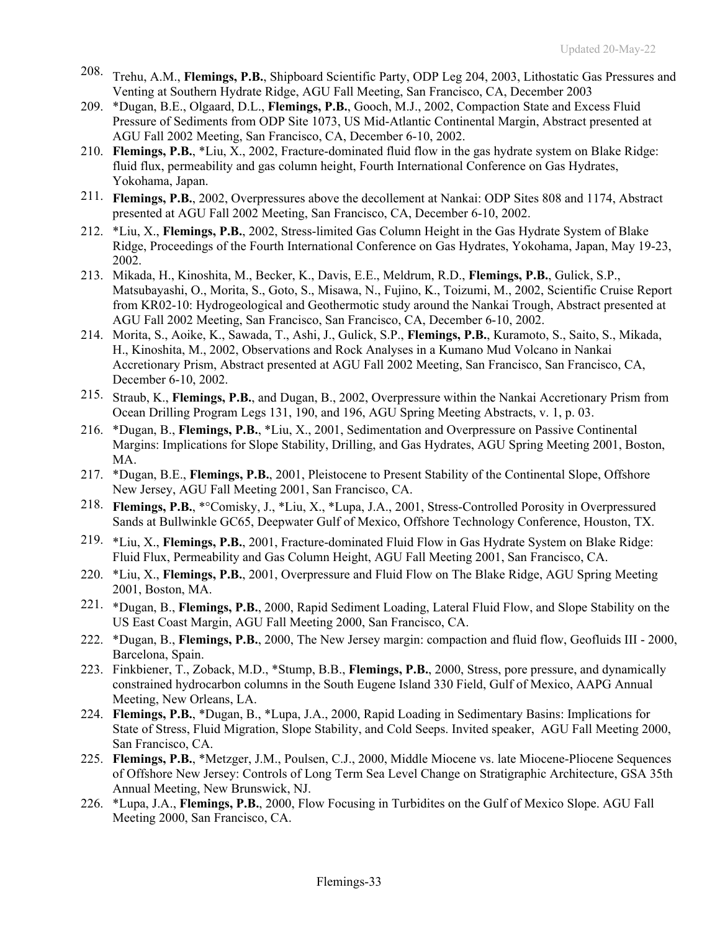- 208. Trehu, A.M., **Flemings, P.B.**, Shipboard Scientific Party, ODP Leg 204, 2003, Lithostatic Gas Pressures and Venting at Southern Hydrate Ridge, AGU Fall Meeting, San Francisco, CA, December 2003
- 209. \*Dugan, B.E., Olgaard, D.L., **Flemings, P.B.**, Gooch, M.J., 2002, Compaction State and Excess Fluid Pressure of Sediments from ODP Site 1073, US Mid-Atlantic Continental Margin, Abstract presented at AGU Fall 2002 Meeting, San Francisco, CA, December 6-10, 2002.
- 210. **Flemings, P.B.**, \*Liu, X., 2002, Fracture-dominated fluid flow in the gas hydrate system on Blake Ridge: fluid flux, permeability and gas column height, Fourth International Conference on Gas Hydrates, Yokohama, Japan.
- 211. **Flemings, P.B.**, 2002, Overpressures above the decollement at Nankai: ODP Sites 808 and 1174, Abstract presented at AGU Fall 2002 Meeting, San Francisco, CA, December 6-10, 2002.
- 212. \*Liu, X., **Flemings, P.B.**, 2002, Stress-limited Gas Column Height in the Gas Hydrate System of Blake Ridge, Proceedings of the Fourth International Conference on Gas Hydrates, Yokohama, Japan, May 19-23, 2002.
- 213. Mikada, H., Kinoshita, M., Becker, K., Davis, E.E., Meldrum, R.D., **Flemings, P.B.**, Gulick, S.P., Matsubayashi, O., Morita, S., Goto, S., Misawa, N., Fujino, K., Toizumi, M., 2002, Scientific Cruise Report from KR02-10: Hydrogeological and Geothermotic study around the Nankai Trough, Abstract presented at AGU Fall 2002 Meeting, San Francisco, San Francisco, CA, December 6-10, 2002.
- 214. Morita, S., Aoike, K., Sawada, T., Ashi, J., Gulick, S.P., **Flemings, P.B.**, Kuramoto, S., Saito, S., Mikada, H., Kinoshita, M., 2002, Observations and Rock Analyses in a Kumano Mud Volcano in Nankai Accretionary Prism, Abstract presented at AGU Fall 2002 Meeting, San Francisco, San Francisco, CA, December 6-10, 2002.
- 215. Straub, K., **Flemings, P.B.**, and Dugan, B., 2002, Overpressure within the Nankai Accretionary Prism from Ocean Drilling Program Legs 131, 190, and 196, AGU Spring Meeting Abstracts, v. 1, p. 03.
- 216. \*Dugan, B., **Flemings, P.B.**, \*Liu, X., 2001, Sedimentation and Overpressure on Passive Continental Margins: Implications for Slope Stability, Drilling, and Gas Hydrates, AGU Spring Meeting 2001, Boston, MA.
- 217. \*Dugan, B.E., **Flemings, P.B.**, 2001, Pleistocene to Present Stability of the Continental Slope, Offshore New Jersey, AGU Fall Meeting 2001, San Francisco, CA.
- 218. **Flemings, P.B.**, \*°Comisky, J., \*Liu, X., \*Lupa, J.A., 2001, Stress-Controlled Porosity in Overpressured Sands at Bullwinkle GC65, Deepwater Gulf of Mexico, Offshore Technology Conference, Houston, TX.
- 219. \*Liu, X., **Flemings, P.B.**, 2001, Fracture-dominated Fluid Flow in Gas Hydrate System on Blake Ridge: Fluid Flux, Permeability and Gas Column Height, AGU Fall Meeting 2001, San Francisco, CA.
- 220. \*Liu, X., **Flemings, P.B.**, 2001, Overpressure and Fluid Flow on The Blake Ridge, AGU Spring Meeting 2001, Boston, MA.
- 221. \*Dugan, B., **Flemings, P.B.**, 2000, Rapid Sediment Loading, Lateral Fluid Flow, and Slope Stability on the US East Coast Margin, AGU Fall Meeting 2000, San Francisco, CA.
- 222. \*Dugan, B., **Flemings, P.B.**, 2000, The New Jersey margin: compaction and fluid flow, Geofluids III 2000, Barcelona, Spain.
- 223. Finkbiener, T., Zoback, M.D., \*Stump, B.B., **Flemings, P.B.**, 2000, Stress, pore pressure, and dynamically constrained hydrocarbon columns in the South Eugene Island 330 Field, Gulf of Mexico, AAPG Annual Meeting, New Orleans, LA.
- 224. **Flemings, P.B.**, \*Dugan, B., \*Lupa, J.A., 2000, Rapid Loading in Sedimentary Basins: Implications for State of Stress, Fluid Migration, Slope Stability, and Cold Seeps. Invited speaker, AGU Fall Meeting 2000, San Francisco, CA.
- 225. **Flemings, P.B.**, \*Metzger, J.M., Poulsen, C.J., 2000, Middle Miocene vs. late Miocene-Pliocene Sequences of Offshore New Jersey: Controls of Long Term Sea Level Change on Stratigraphic Architecture, GSA 35th Annual Meeting, New Brunswick, NJ.
- 226. \*Lupa, J.A., **Flemings, P.B.**, 2000, Flow Focusing in Turbidites on the Gulf of Mexico Slope. AGU Fall Meeting 2000, San Francisco, CA.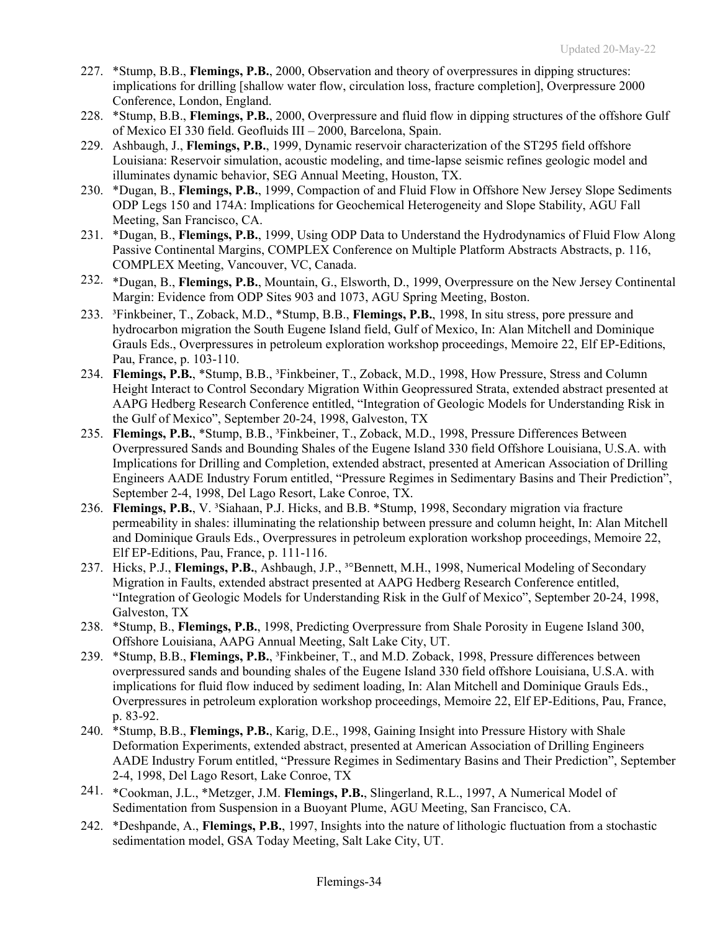- 227. \*Stump, B.B., **Flemings, P.B.**, 2000, Observation and theory of overpressures in dipping structures: implications for drilling [shallow water flow, circulation loss, fracture completion], Overpressure 2000 Conference, London, England.
- 228. \*Stump, B.B., **Flemings, P.B.**, 2000, Overpressure and fluid flow in dipping structures of the offshore Gulf of Mexico EI 330 field. Geofluids III – 2000, Barcelona, Spain.
- 229. Ashbaugh, J., **Flemings, P.B.**, 1999, Dynamic reservoir characterization of the ST295 field offshore Louisiana: Reservoir simulation, acoustic modeling, and time-lapse seismic refines geologic model and illuminates dynamic behavior, SEG Annual Meeting, Houston, TX.
- 230. \*Dugan, B., **Flemings, P.B.**, 1999, Compaction of and Fluid Flow in Offshore New Jersey Slope Sediments ODP Legs 150 and 174A: Implications for Geochemical Heterogeneity and Slope Stability, AGU Fall Meeting, San Francisco, CA.
- 231. \*Dugan, B., **Flemings, P.B.**, 1999, Using ODP Data to Understand the Hydrodynamics of Fluid Flow Along Passive Continental Margins, COMPLEX Conference on Multiple Platform Abstracts Abstracts, p. 116, COMPLEX Meeting, Vancouver, VC, Canada.
- 232. \*Dugan, B., **Flemings, P.B.**, Mountain, G., Elsworth, D., 1999, Overpressure on the New Jersey Continental Margin: Evidence from ODP Sites 903 and 1073, AGU Spring Meeting, Boston.
- 233. ³Finkbeiner, T., Zoback, M.D., \*Stump, B.B., **Flemings, P.B.**, 1998, In situ stress, pore pressure and hydrocarbon migration the South Eugene Island field, Gulf of Mexico, In: Alan Mitchell and Dominique Grauls Eds., Overpressures in petroleum exploration workshop proceedings, Memoire 22, Elf EP-Editions, Pau, France, p. 103-110.
- 234. **Flemings, P.B.**, \*Stump, B.B., <sup>3</sup>Finkbeiner, T., Zoback, M.D., 1998, How Pressure, Stress and Column Height Interact to Control Secondary Migration Within Geopressured Strata, extended abstract presented at AAPG Hedberg Research Conference entitled, "Integration of Geologic Models for Understanding Risk in the Gulf of Mexico", September 20-24, 1998, Galveston, TX
- 235. **Flemings, P.B.**, \*Stump, B.B., ³Finkbeiner, T., Zoback, M.D., 1998, Pressure Differences Between Overpressured Sands and Bounding Shales of the Eugene Island 330 field Offshore Louisiana, U.S.A. with Implications for Drilling and Completion, extended abstract, presented at American Association of Drilling Engineers AADE Industry Forum entitled, "Pressure Regimes in Sedimentary Basins and Their Prediction", September 2-4, 1998, Del Lago Resort, Lake Conroe, TX.
- 236. **Flemings, P.B.**, V. ³Siahaan, P.J. Hicks, and B.B. \*Stump, 1998, Secondary migration via fracture permeability in shales: illuminating the relationship between pressure and column height, In: Alan Mitchell and Dominique Grauls Eds., Overpressures in petroleum exploration workshop proceedings, Memoire 22, Elf EP-Editions, Pau, France, p. 111-116.
- 237. Hicks, P.J., **Flemings, P.B.**, Ashbaugh, J.P., ³°Bennett, M.H., 1998, Numerical Modeling of Secondary Migration in Faults, extended abstract presented at AAPG Hedberg Research Conference entitled, "Integration of Geologic Models for Understanding Risk in the Gulf of Mexico", September 20-24, 1998, Galveston, TX
- 238. \*Stump, B., **Flemings, P.B.**, 1998, Predicting Overpressure from Shale Porosity in Eugene Island 300, Offshore Louisiana, AAPG Annual Meeting, Salt Lake City, UT.
- 239. \*Stump, B.B., **Flemings, P.B.**, ³Finkbeiner, T., and M.D. Zoback, 1998, Pressure differences between overpressured sands and bounding shales of the Eugene Island 330 field offshore Louisiana, U.S.A. with implications for fluid flow induced by sediment loading, In: Alan Mitchell and Dominique Grauls Eds., Overpressures in petroleum exploration workshop proceedings, Memoire 22, Elf EP-Editions, Pau, France, p. 83-92.
- 240. \*Stump, B.B., **Flemings, P.B.**, Karig, D.E., 1998, Gaining Insight into Pressure History with Shale Deformation Experiments, extended abstract, presented at American Association of Drilling Engineers AADE Industry Forum entitled, "Pressure Regimes in Sedimentary Basins and Their Prediction", September 2-4, 1998, Del Lago Resort, Lake Conroe, TX
- 241. \*Cookman, J.L., \*Metzger, J.M. **Flemings, P.B.**, Slingerland, R.L., 1997, A Numerical Model of Sedimentation from Suspension in a Buoyant Plume, AGU Meeting, San Francisco, CA.
- 242. \*Deshpande, A., **Flemings, P.B.**, 1997, Insights into the nature of lithologic fluctuation from a stochastic sedimentation model, GSA Today Meeting, Salt Lake City, UT.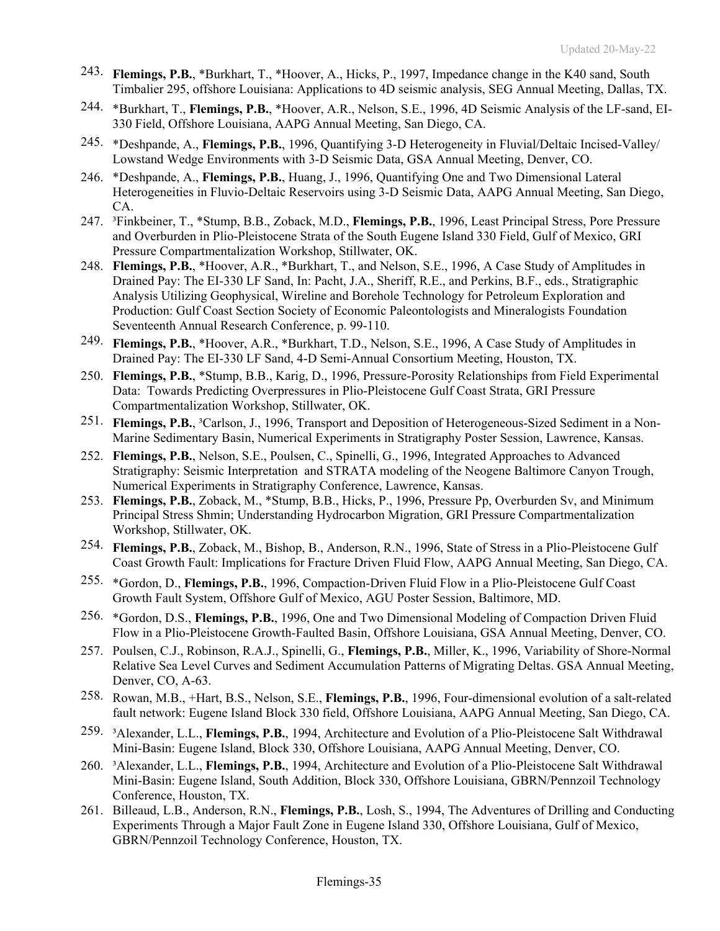- 243. **Flemings, P.B.**, \*Burkhart, T., \*Hoover, A., Hicks, P., 1997, Impedance change in the K40 sand, South Timbalier 295, offshore Louisiana: Applications to 4D seismic analysis, SEG Annual Meeting, Dallas, TX.
- 244. \*Burkhart, T., **Flemings, P.B.**, \*Hoover, A.R., Nelson, S.E., 1996, 4D Seismic Analysis of the LF-sand, EI-330 Field, Offshore Louisiana, AAPG Annual Meeting, San Diego, CA.
- 245. \*Deshpande, A., **Flemings, P.B.**, 1996, Quantifying 3-D Heterogeneity in Fluvial/Deltaic Incised-Valley/ Lowstand Wedge Environments with 3-D Seismic Data, GSA Annual Meeting, Denver, CO.
- 246. \*Deshpande, A., **Flemings, P.B.**, Huang, J., 1996, Quantifying One and Two Dimensional Lateral Heterogeneities in Fluvio-Deltaic Reservoirs using 3-D Seismic Data, AAPG Annual Meeting, San Diego, CA.
- 247. ³Finkbeiner, T., \*Stump, B.B., Zoback, M.D., **Flemings, P.B.**, 1996, Least Principal Stress, Pore Pressure and Overburden in Plio-Pleistocene Strata of the South Eugene Island 330 Field, Gulf of Mexico, GRI Pressure Compartmentalization Workshop, Stillwater, OK.
- 248. **Flemings, P.B.**, \*Hoover, A.R., \*Burkhart, T., and Nelson, S.E., 1996, A Case Study of Amplitudes in Drained Pay: The EI-330 LF Sand, In: Pacht, J.A., Sheriff, R.E., and Perkins, B.F., eds., Stratigraphic Analysis Utilizing Geophysical, Wireline and Borehole Technology for Petroleum Exploration and Production: Gulf Coast Section Society of Economic Paleontologists and Mineralogists Foundation Seventeenth Annual Research Conference, p. 99-110.
- 249. **Flemings, P.B.**, \*Hoover, A.R., \*Burkhart, T.D., Nelson, S.E., 1996, A Case Study of Amplitudes in Drained Pay: The EI-330 LF Sand, 4-D Semi-Annual Consortium Meeting, Houston, TX.
- 250. **Flemings, P.B.**, \*Stump, B.B., Karig, D., 1996, Pressure-Porosity Relationships from Field Experimental Data: Towards Predicting Overpressures in Plio-Pleistocene Gulf Coast Strata, GRI Pressure Compartmentalization Workshop, Stillwater, OK.
- 251. **Flemings, P.B.**, <sup>3</sup>Carlson, J., 1996, Transport and Deposition of Heterogeneous-Sized Sediment in a Non-Marine Sedimentary Basin, Numerical Experiments in Stratigraphy Poster Session, Lawrence, Kansas.
- 252. **Flemings, P.B.**, Nelson, S.E., Poulsen, C., Spinelli, G., 1996, Integrated Approaches to Advanced Stratigraphy: Seismic Interpretation and STRATA modeling of the Neogene Baltimore Canyon Trough, Numerical Experiments in Stratigraphy Conference, Lawrence, Kansas.
- 253. **Flemings, P.B.**, Zoback, M., \*Stump, B.B., Hicks, P., 1996, Pressure Pp, Overburden Sv, and Minimum Principal Stress Shmin; Understanding Hydrocarbon Migration, GRI Pressure Compartmentalization Workshop, Stillwater, OK.
- 254. **Flemings, P.B.**, Zoback, M., Bishop, B., Anderson, R.N., 1996, State of Stress in a Plio-Pleistocene Gulf Coast Growth Fault: Implications for Fracture Driven Fluid Flow, AAPG Annual Meeting, San Diego, CA.
- 255. \*Gordon, D., **Flemings, P.B.**, 1996, Compaction-Driven Fluid Flow in a Plio-Pleistocene Gulf Coast Growth Fault System, Offshore Gulf of Mexico, AGU Poster Session, Baltimore, MD.
- 256. \*Gordon, D.S., **Flemings, P.B.**, 1996, One and Two Dimensional Modeling of Compaction Driven Fluid Flow in a Plio-Pleistocene Growth-Faulted Basin, Offshore Louisiana, GSA Annual Meeting, Denver, CO.
- 257. Poulsen, C.J., Robinson, R.A.J., Spinelli, G., **Flemings, P.B.**, Miller, K., 1996, Variability of Shore-Normal Relative Sea Level Curves and Sediment Accumulation Patterns of Migrating Deltas. GSA Annual Meeting, Denver, CO, A-63.
- 258. Rowan, M.B., +Hart, B.S., Nelson, S.E., **Flemings, P.B.**, 1996, Four-dimensional evolution of a salt-related fault network: Eugene Island Block 330 field, Offshore Louisiana, AAPG Annual Meeting, San Diego, CA.
- 259. ³Alexander, L.L., **Flemings, P.B.**, 1994, Architecture and Evolution of a Plio-Pleistocene Salt Withdrawal Mini-Basin: Eugene Island, Block 330, Offshore Louisiana, AAPG Annual Meeting, Denver, CO.
- 260. ³Alexander, L.L., **Flemings, P.B.**, 1994, Architecture and Evolution of a Plio-Pleistocene Salt Withdrawal Mini-Basin: Eugene Island, South Addition, Block 330, Offshore Louisiana, GBRN/Pennzoil Technology Conference, Houston, TX.
- 261. Billeaud, L.B., Anderson, R.N., **Flemings, P.B.**, Losh, S., 1994, The Adventures of Drilling and Conducting Experiments Through a Major Fault Zone in Eugene Island 330, Offshore Louisiana, Gulf of Mexico, GBRN/Pennzoil Technology Conference, Houston, TX.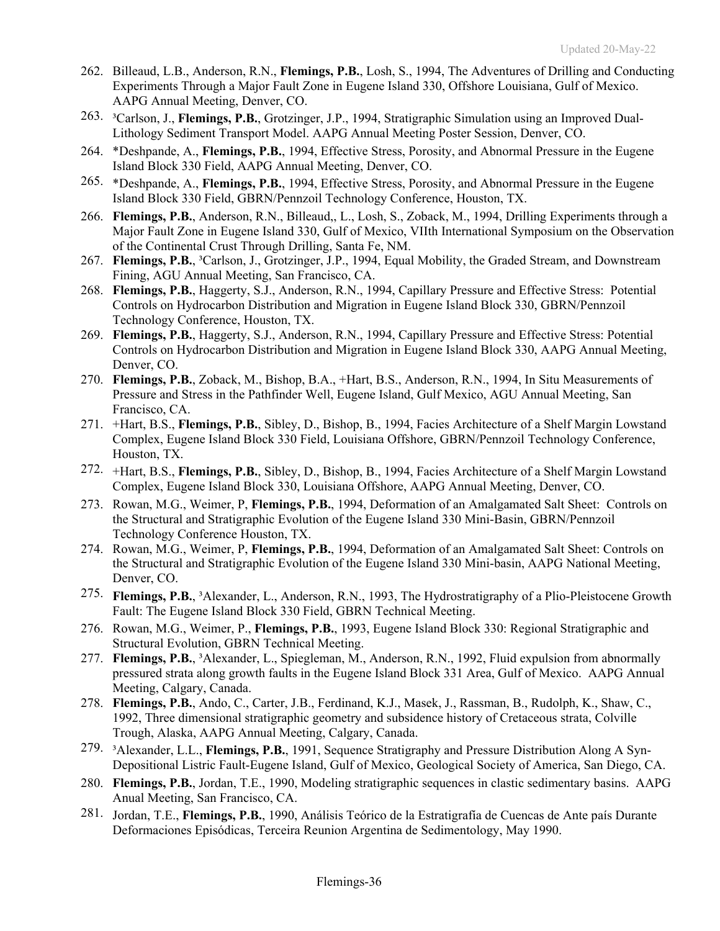- 262. Billeaud, L.B., Anderson, R.N., **Flemings, P.B.**, Losh, S., 1994, The Adventures of Drilling and Conducting Experiments Through a Major Fault Zone in Eugene Island 330, Offshore Louisiana, Gulf of Mexico. AAPG Annual Meeting, Denver, CO.
- 263. ³Carlson, J., **Flemings, P.B.**, Grotzinger, J.P., 1994, Stratigraphic Simulation using an Improved Dual-Lithology Sediment Transport Model. AAPG Annual Meeting Poster Session, Denver, CO.
- 264. \*Deshpande, A., **Flemings, P.B.**, 1994, Effective Stress, Porosity, and Abnormal Pressure in the Eugene Island Block 330 Field, AAPG Annual Meeting, Denver, CO.
- 265. \*Deshpande, A., **Flemings, P.B.**, 1994, Effective Stress, Porosity, and Abnormal Pressure in the Eugene Island Block 330 Field, GBRN/Pennzoil Technology Conference, Houston, TX.
- 266. **Flemings, P.B.**, Anderson, R.N., Billeaud,, L., Losh, S., Zoback, M., 1994, Drilling Experiments through a Major Fault Zone in Eugene Island 330, Gulf of Mexico, VIIth International Symposium on the Observation of the Continental Crust Through Drilling, Santa Fe, NM.
- 267. **Flemings, P.B.**, ³Carlson, J., Grotzinger, J.P., 1994, Equal Mobility, the Graded Stream, and Downstream Fining, AGU Annual Meeting, San Francisco, CA.
- 268. **Flemings, P.B.**, Haggerty, S.J., Anderson, R.N., 1994, Capillary Pressure and Effective Stress: Potential Controls on Hydrocarbon Distribution and Migration in Eugene Island Block 330, GBRN/Pennzoil Technology Conference, Houston, TX.
- 269. **Flemings, P.B.**, Haggerty, S.J., Anderson, R.N., 1994, Capillary Pressure and Effective Stress: Potential Controls on Hydrocarbon Distribution and Migration in Eugene Island Block 330, AAPG Annual Meeting, Denver, CO.
- 270. **Flemings, P.B.**, Zoback, M., Bishop, B.A., +Hart, B.S., Anderson, R.N., 1994, In Situ Measurements of Pressure and Stress in the Pathfinder Well, Eugene Island, Gulf Mexico, AGU Annual Meeting, San Francisco, CA.
- 271. +Hart, B.S., **Flemings, P.B.**, Sibley, D., Bishop, B., 1994, Facies Architecture of a Shelf Margin Lowstand Complex, Eugene Island Block 330 Field, Louisiana Offshore, GBRN/Pennzoil Technology Conference, Houston, TX.
- 272. +Hart, B.S., **Flemings, P.B.**, Sibley, D., Bishop, B., 1994, Facies Architecture of a Shelf Margin Lowstand Complex, Eugene Island Block 330, Louisiana Offshore, AAPG Annual Meeting, Denver, CO.
- 273. Rowan, M.G., Weimer, P, **Flemings, P.B.**, 1994, Deformation of an Amalgamated Salt Sheet: Controls on the Structural and Stratigraphic Evolution of the Eugene Island 330 Mini-Basin, GBRN/Pennzoil Technology Conference Houston, TX.
- 274. Rowan, M.G., Weimer, P, **Flemings, P.B.**, 1994, Deformation of an Amalgamated Salt Sheet: Controls on the Structural and Stratigraphic Evolution of the Eugene Island 330 Mini-basin, AAPG National Meeting, Denver, CO.
- 275. **Flemings, P.B.**, ³Alexander, L., Anderson, R.N., 1993, The Hydrostratigraphy of a Plio-Pleistocene Growth Fault: The Eugene Island Block 330 Field, GBRN Technical Meeting.
- 276. Rowan, M.G., Weimer, P., **Flemings, P.B.**, 1993, Eugene Island Block 330: Regional Stratigraphic and Structural Evolution, GBRN Technical Meeting.
- 277. **Flemings, P.B.**, ³Alexander, L., Spiegleman, M., Anderson, R.N., 1992, Fluid expulsion from abnormally pressured strata along growth faults in the Eugene Island Block 331 Area, Gulf of Mexico. AAPG Annual Meeting, Calgary, Canada.
- 278. **Flemings, P.B.**, Ando, C., Carter, J.B., Ferdinand, K.J., Masek, J., Rassman, B., Rudolph, K., Shaw, C., 1992, Three dimensional stratigraphic geometry and subsidence history of Cretaceous strata, Colville Trough, Alaska, AAPG Annual Meeting, Calgary, Canada.
- 279. ³Alexander, L.L., **Flemings, P.B.**, 1991, Sequence Stratigraphy and Pressure Distribution Along A Syn-Depositional Listric Fault-Eugene Island, Gulf of Mexico, Geological Society of America, San Diego, CA.
- 280. **Flemings, P.B.**, Jordan, T.E., 1990, Modeling stratigraphic sequences in clastic sedimentary basins. AAPG Anual Meeting, San Francisco, CA.
- 281. Jordan, T.E., **Flemings, P.B.**, 1990, Análisis Teórico de la Estratigrafía de Cuencas de Ante país Durante Deformaciones Episódicas, Terceira Reunion Argentina de Sedimentology, May 1990.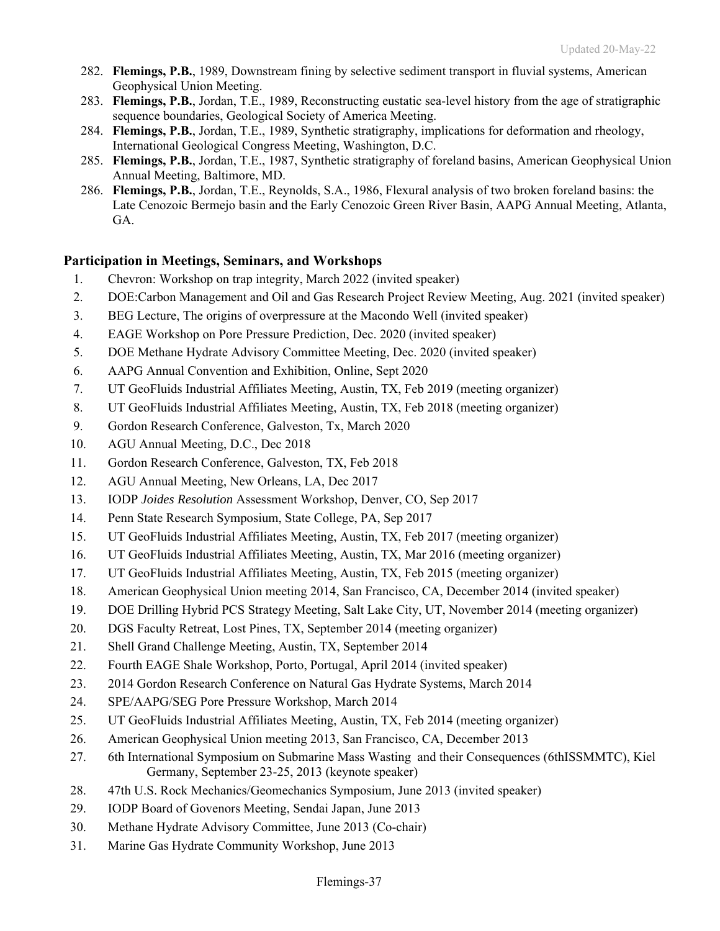- 282. **Flemings, P.B.**, 1989, Downstream fining by selective sediment transport in fluvial systems, American Geophysical Union Meeting.
- 283. **Flemings, P.B.**, Jordan, T.E., 1989, Reconstructing eustatic sea-level history from the age of stratigraphic sequence boundaries, Geological Society of America Meeting.
- 284. **Flemings, P.B.**, Jordan, T.E., 1989, Synthetic stratigraphy, implications for deformation and rheology, International Geological Congress Meeting, Washington, D.C.
- 285. **Flemings, P.B.**, Jordan, T.E., 1987, Synthetic stratigraphy of foreland basins, American Geophysical Union Annual Meeting, Baltimore, MD.
- 286. **Flemings, P.B.**, Jordan, T.E., Reynolds, S.A., 1986, Flexural analysis of two broken foreland basins: the Late Cenozoic Bermejo basin and the Early Cenozoic Green River Basin, AAPG Annual Meeting, Atlanta, GA.

### **Participation in Meetings, Seminars, and Workshops**

- 1. Chevron: Workshop on trap integrity, March 2022 (invited speaker)
- 2. DOE:Carbon Management and Oil and Gas Research Project Review Meeting, Aug. 2021 (invited speaker)
- 3. BEG Lecture, The origins of overpressure at the Macondo Well (invited speaker)
- 4. EAGE Workshop on Pore Pressure Prediction, Dec. 2020 (invited speaker)
- 5. DOE Methane Hydrate Advisory Committee Meeting, Dec. 2020 (invited speaker)
- 6. AAPG Annual Convention and Exhibition, Online, Sept 2020
- 7. UT GeoFluids Industrial Affiliates Meeting, Austin, TX, Feb 2019 (meeting organizer)
- 8. UT GeoFluids Industrial Affiliates Meeting, Austin, TX, Feb 2018 (meeting organizer)
- 9. Gordon Research Conference, Galveston, Tx, March 2020
- 10. AGU Annual Meeting, D.C., Dec 2018
- 11. Gordon Research Conference, Galveston, TX, Feb 2018
- 12. AGU Annual Meeting, New Orleans, LA, Dec 2017
- 13. IODP *Joides Resolution* Assessment Workshop, Denver, CO, Sep 2017
- 14. Penn State Research Symposium, State College, PA, Sep 2017
- 15. UT GeoFluids Industrial Affiliates Meeting, Austin, TX, Feb 2017 (meeting organizer)
- 16. UT GeoFluids Industrial Affiliates Meeting, Austin, TX, Mar 2016 (meeting organizer)
- 17. UT GeoFluids Industrial Affiliates Meeting, Austin, TX, Feb 2015 (meeting organizer)
- 18. American Geophysical Union meeting 2014, San Francisco, CA, December 2014 (invited speaker)
- 19. DOE Drilling Hybrid PCS Strategy Meeting, Salt Lake City, UT, November 2014 (meeting organizer)
- 20. DGS Faculty Retreat, Lost Pines, TX, September 2014 (meeting organizer)
- 21. Shell Grand Challenge Meeting, Austin, TX, September 2014
- 22. Fourth EAGE Shale Workshop, Porto, Portugal, April 2014 (invited speaker)
- 23. 2014 Gordon Research Conference on Natural Gas Hydrate Systems, March 2014
- 24. SPE/AAPG/SEG Pore Pressure Workshop, March 2014
- 25. UT GeoFluids Industrial Affiliates Meeting, Austin, TX, Feb 2014 (meeting organizer)
- 26. American Geophysical Union meeting 2013, San Francisco, CA, December 2013
- 27. 6th International Symposium on Submarine Mass Wasting and their Consequences (6thISSMMTC), Kiel Germany, September 23-25, 2013 (keynote speaker)
- 28. 47th U.S. Rock Mechanics/Geomechanics Symposium, June 2013 (invited speaker)
- 29. IODP Board of Govenors Meeting, Sendai Japan, June 2013
- 30. Methane Hydrate Advisory Committee, June 2013 (Co-chair)
- 31. Marine Gas Hydrate Community Workshop, June 2013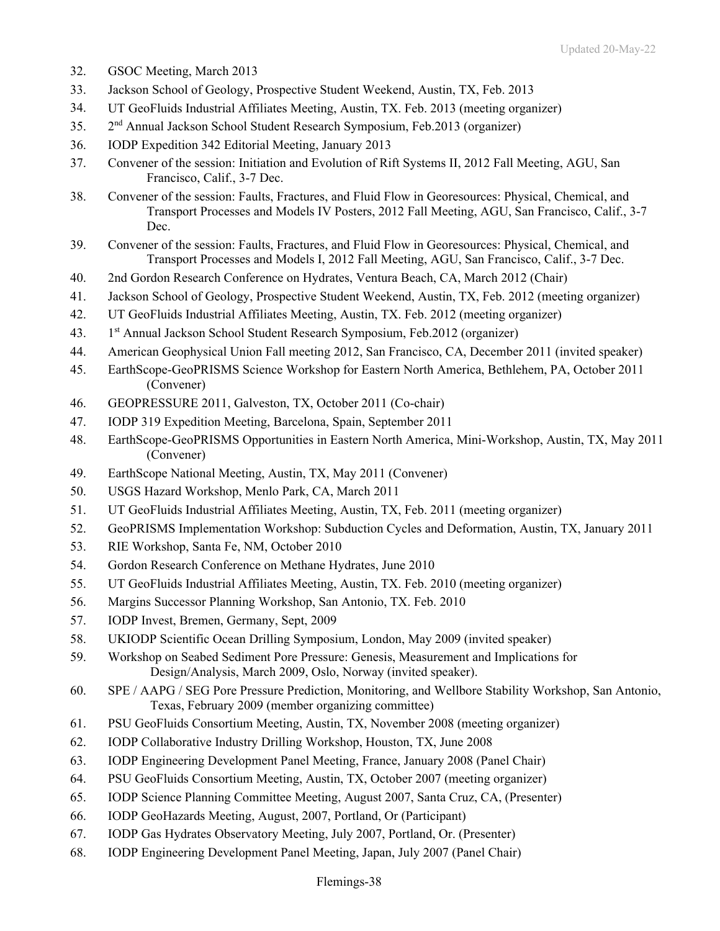- 32. GSOC Meeting, March 2013
- 33. Jackson School of Geology, Prospective Student Weekend, Austin, TX, Feb. 2013
- 34. UT GeoFluids Industrial Affiliates Meeting, Austin, TX. Feb. 2013 (meeting organizer)
- 35. 2nd Annual Jackson School Student Research Symposium, Feb.2013 (organizer)
- 36. IODP Expedition 342 Editorial Meeting, January 2013
- 37. Convener of the session: Initiation and Evolution of Rift Systems II, 2012 Fall Meeting, AGU, San Francisco, Calif., 3-7 Dec.
- 38. Convener of the session: Faults, Fractures, and Fluid Flow in Georesources: Physical, Chemical, and Transport Processes and Models IV Posters, 2012 Fall Meeting, AGU, San Francisco, Calif., 3-7 Dec.
- 39. Convener of the session: Faults, Fractures, and Fluid Flow in Georesources: Physical, Chemical, and Transport Processes and Models I, 2012 Fall Meeting, AGU, San Francisco, Calif., 3-7 Dec.
- 40. 2nd Gordon Research Conference on Hydrates, Ventura Beach, CA, March 2012 (Chair)
- 41. Jackson School of Geology, Prospective Student Weekend, Austin, TX, Feb. 2012 (meeting organizer)
- 42. UT GeoFluids Industrial Affiliates Meeting, Austin, TX. Feb. 2012 (meeting organizer)
- 43. 1st Annual Jackson School Student Research Symposium, Feb.2012 (organizer)
- 44. American Geophysical Union Fall meeting 2012, San Francisco, CA, December 2011 (invited speaker)
- 45. EarthScope-GeoPRISMS Science Workshop for Eastern North America, Bethlehem, PA, October 2011 (Convener)
- 46. GEOPRESSURE 2011, Galveston, TX, October 2011 (Co-chair)
- 47. IODP 319 Expedition Meeting, Barcelona, Spain, September 2011
- 48. EarthScope-GeoPRISMS Opportunities in Eastern North America, Mini-Workshop, Austin, TX, May 2011 (Convener)
- 49. EarthScope National Meeting, Austin, TX, May 2011 (Convener)
- 50. USGS Hazard Workshop, Menlo Park, CA, March 2011
- 51. UT GeoFluids Industrial Affiliates Meeting, Austin, TX, Feb. 2011 (meeting organizer)
- 52. GeoPRISMS Implementation Workshop: Subduction Cycles and Deformation, Austin, TX, January 2011
- 53. RIE Workshop, Santa Fe, NM, October 2010
- 54. Gordon Research Conference on Methane Hydrates, June 2010
- 55. UT GeoFluids Industrial Affiliates Meeting, Austin, TX. Feb. 2010 (meeting organizer)
- 56. Margins Successor Planning Workshop, San Antonio, TX. Feb. 2010
- 57. IODP Invest, Bremen, Germany, Sept, 2009
- 58. UKIODP Scientific Ocean Drilling Symposium, London, May 2009 (invited speaker)
- 59. Workshop on Seabed Sediment Pore Pressure: Genesis, Measurement and Implications for Design/Analysis, March 2009, Oslo, Norway (invited speaker).
- 60. SPE / AAPG / SEG Pore Pressure Prediction, Monitoring, and Wellbore Stability Workshop, San Antonio, Texas, February 2009 (member organizing committee)
- 61. PSU GeoFluids Consortium Meeting, Austin, TX, November 2008 (meeting organizer)
- 62. IODP Collaborative Industry Drilling Workshop, Houston, TX, June 2008
- 63. IODP Engineering Development Panel Meeting, France, January 2008 (Panel Chair)
- 64. PSU GeoFluids Consortium Meeting, Austin, TX, October 2007 (meeting organizer)
- 65. IODP Science Planning Committee Meeting, August 2007, Santa Cruz, CA, (Presenter)
- 66. IODP GeoHazards Meeting, August, 2007, Portland, Or (Participant)
- 67. IODP Gas Hydrates Observatory Meeting, July 2007, Portland, Or. (Presenter)
- 68. IODP Engineering Development Panel Meeting, Japan, July 2007 (Panel Chair)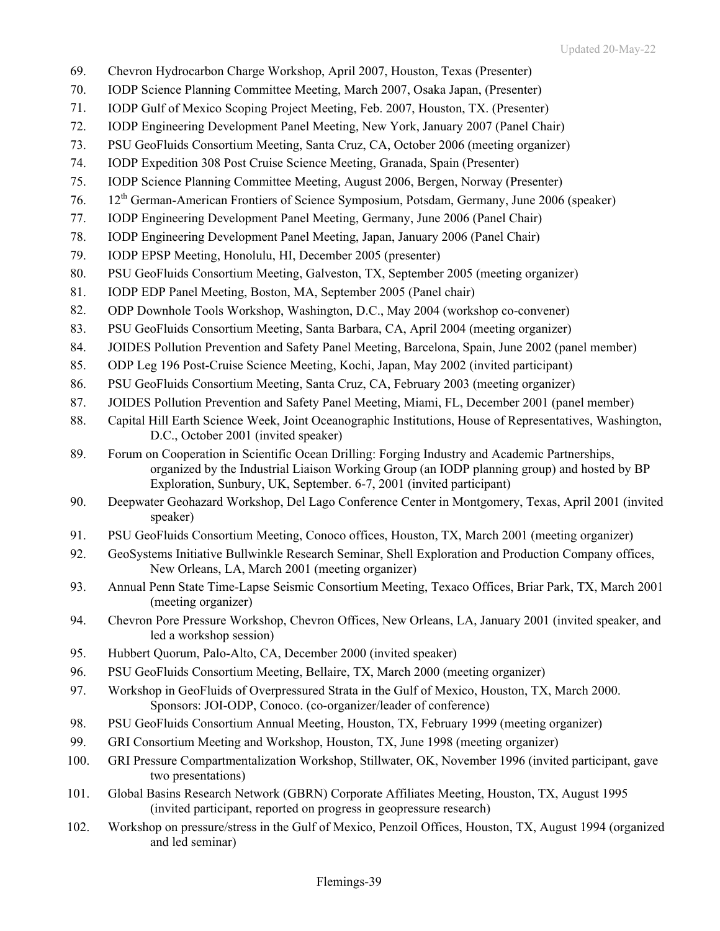- 69. Chevron Hydrocarbon Charge Workshop, April 2007, Houston, Texas (Presenter)
- 70. IODP Science Planning Committee Meeting, March 2007, Osaka Japan, (Presenter)
- 71. IODP Gulf of Mexico Scoping Project Meeting, Feb. 2007, Houston, TX. (Presenter)
- 72. IODP Engineering Development Panel Meeting, New York, January 2007 (Panel Chair)
- 73. PSU GeoFluids Consortium Meeting, Santa Cruz, CA, October 2006 (meeting organizer)
- 74. IODP Expedition 308 Post Cruise Science Meeting, Granada, Spain (Presenter)
- 75. IODP Science Planning Committee Meeting, August 2006, Bergen, Norway (Presenter)
- 76. 12th German-American Frontiers of Science Symposium, Potsdam, Germany, June 2006 (speaker)
- 77. IODP Engineering Development Panel Meeting, Germany, June 2006 (Panel Chair)
- 78. IODP Engineering Development Panel Meeting, Japan, January 2006 (Panel Chair)
- 79. IODP EPSP Meeting, Honolulu, HI, December 2005 (presenter)
- 80. PSU GeoFluids Consortium Meeting, Galveston, TX, September 2005 (meeting organizer)
- 81. IODP EDP Panel Meeting, Boston, MA, September 2005 (Panel chair)
- 82. ODP Downhole Tools Workshop, Washington, D.C., May 2004 (workshop co-convener)
- 83. PSU GeoFluids Consortium Meeting, Santa Barbara, CA, April 2004 (meeting organizer)
- 84. JOIDES Pollution Prevention and Safety Panel Meeting, Barcelona, Spain, June 2002 (panel member)
- 85. ODP Leg 196 Post-Cruise Science Meeting, Kochi, Japan, May 2002 (invited participant)
- 86. PSU GeoFluids Consortium Meeting, Santa Cruz, CA, February 2003 (meeting organizer)
- 87. JOIDES Pollution Prevention and Safety Panel Meeting, Miami, FL, December 2001 (panel member)
- 88. Capital Hill Earth Science Week, Joint Oceanographic Institutions, House of Representatives, Washington, D.C., October 2001 (invited speaker)
- 89. Forum on Cooperation in Scientific Ocean Drilling: Forging Industry and Academic Partnerships, organized by the Industrial Liaison Working Group (an IODP planning group) and hosted by BP Exploration, Sunbury, UK, September. 6-7, 2001 (invited participant)
- 90. Deepwater Geohazard Workshop, Del Lago Conference Center in Montgomery, Texas, April 2001 (invited speaker)
- 91. PSU GeoFluids Consortium Meeting, Conoco offices, Houston, TX, March 2001 (meeting organizer)
- 92. GeoSystems Initiative Bullwinkle Research Seminar, Shell Exploration and Production Company offices, New Orleans, LA, March 2001 (meeting organizer)
- 93. Annual Penn State Time-Lapse Seismic Consortium Meeting, Texaco Offices, Briar Park, TX, March 2001 (meeting organizer)
- 94. Chevron Pore Pressure Workshop, Chevron Offices, New Orleans, LA, January 2001 (invited speaker, and led a workshop session)
- 95. Hubbert Quorum, Palo-Alto, CA, December 2000 (invited speaker)
- 96. PSU GeoFluids Consortium Meeting, Bellaire, TX, March 2000 (meeting organizer)
- 97. Workshop in GeoFluids of Overpressured Strata in the Gulf of Mexico, Houston, TX, March 2000. Sponsors: JOI-ODP, Conoco. (co-organizer/leader of conference)
- 98. PSU GeoFluids Consortium Annual Meeting, Houston, TX, February 1999 (meeting organizer)
- 99. GRI Consortium Meeting and Workshop, Houston, TX, June 1998 (meeting organizer)
- 100. GRI Pressure Compartmentalization Workshop, Stillwater, OK, November 1996 (invited participant, gave two presentations)
- 101. Global Basins Research Network (GBRN) Corporate Affiliates Meeting, Houston, TX, August 1995 (invited participant, reported on progress in geopressure research)
- 102. Workshop on pressure/stress in the Gulf of Mexico, Penzoil Offices, Houston, TX, August 1994 (organized and led seminar)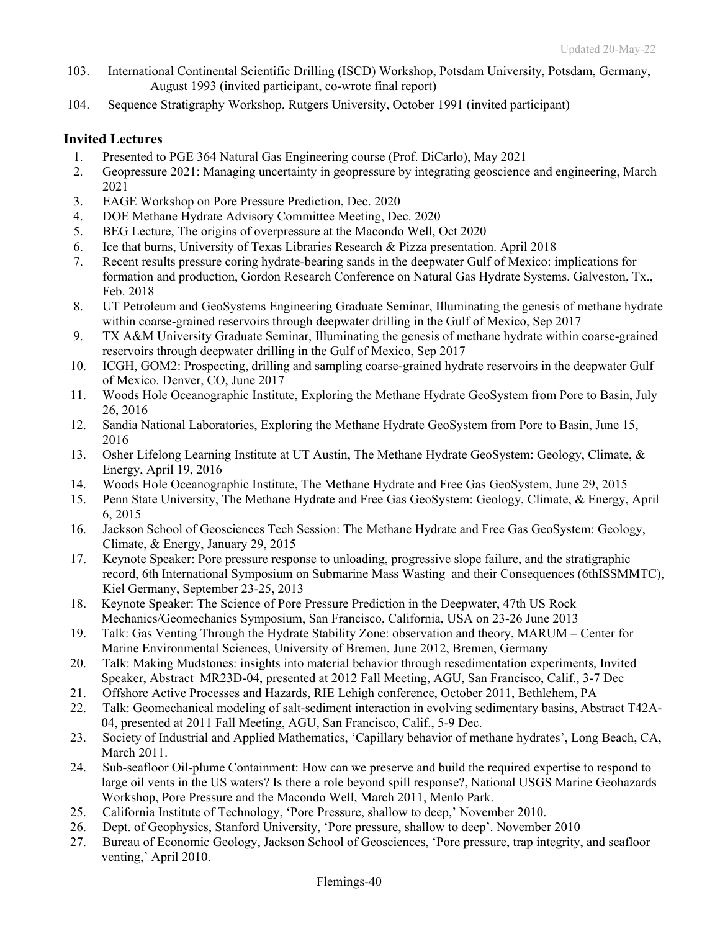- 103. International Continental Scientific Drilling (ISCD) Workshop, Potsdam University, Potsdam, Germany, August 1993 (invited participant, co-wrote final report)
- 104. Sequence Stratigraphy Workshop, Rutgers University, October 1991 (invited participant)

## **Invited Lectures**

- 1. Presented to PGE 364 Natural Gas Engineering course (Prof. DiCarlo), May 2021
- 2. Geopressure 2021: Managing uncertainty in geopressure by integrating geoscience and engineering, March 2021
- 3. EAGE Workshop on Pore Pressure Prediction, Dec. 2020
- 4. DOE Methane Hydrate Advisory Committee Meeting, Dec. 2020
- 5. BEG Lecture, The origins of overpressure at the Macondo Well, Oct 2020
- 6. Ice that burns, University of Texas Libraries Research & Pizza presentation. April 2018
- 7. Recent results pressure coring hydrate-bearing sands in the deepwater Gulf of Mexico: implications for formation and production, Gordon Research Conference on Natural Gas Hydrate Systems. Galveston, Tx., Feb. 2018
- 8. UT Petroleum and GeoSystems Engineering Graduate Seminar, Illuminating the genesis of methane hydrate within coarse-grained reservoirs through deepwater drilling in the Gulf of Mexico, Sep 2017
- 9. TX A&M University Graduate Seminar, Illuminating the genesis of methane hydrate within coarse-grained reservoirs through deepwater drilling in the Gulf of Mexico, Sep 2017
- 10. ICGH, GOM2: Prospecting, drilling and sampling coarse-grained hydrate reservoirs in the deepwater Gulf of Mexico. Denver, CO, June 2017
- 11. Woods Hole Oceanographic Institute, Exploring the Methane Hydrate GeoSystem from Pore to Basin, July 26, 2016
- 12. Sandia National Laboratories, Exploring the Methane Hydrate GeoSystem from Pore to Basin, June 15, 2016
- 13. Osher Lifelong Learning Institute at UT Austin, The Methane Hydrate GeoSystem: Geology, Climate, & Energy, April 19, 2016
- 14. Woods Hole Oceanographic Institute, The Methane Hydrate and Free Gas GeoSystem, June 29, 2015
- 15. Penn State University, The Methane Hydrate and Free Gas GeoSystem: Geology, Climate, & Energy, April 6, 2015
- 16. Jackson School of Geosciences Tech Session: The Methane Hydrate and Free Gas GeoSystem: Geology, Climate, & Energy, January 29, 2015
- 17. Keynote Speaker: Pore pressure response to unloading, progressive slope failure, and the stratigraphic record, 6th International Symposium on Submarine Mass Wasting and their Consequences (6thISSMMTC), Kiel Germany, September 23-25, 2013
- 18. Keynote Speaker: The Science of Pore Pressure Prediction in the Deepwater, 47th US Rock Mechanics/Geomechanics Symposium, San Francisco, California, USA on 23-26 June 2013
- 19. Talk: Gas Venting Through the Hydrate Stability Zone: observation and theory, MARUM Center for Marine Environmental Sciences, University of Bremen, June 2012, Bremen, Germany
- 20. Talk: Making Mudstones: insights into material behavior through resedimentation experiments, Invited Speaker, Abstract MR23D-04, presented at 2012 Fall Meeting, AGU, San Francisco, Calif., 3-7 Dec
- 21. Offshore Active Processes and Hazards, RIE Lehigh conference, October 2011, Bethlehem, PA
- 22. Talk: Geomechanical modeling of salt-sediment interaction in evolving sedimentary basins, Abstract T42A-04, presented at 2011 Fall Meeting, AGU, San Francisco, Calif., 5-9 Dec.
- 23. Society of Industrial and Applied Mathematics, 'Capillary behavior of methane hydrates', Long Beach, CA, March 2011.
- 24. Sub-seafloor Oil-plume Containment: How can we preserve and build the required expertise to respond to large oil vents in the US waters? Is there a role beyond spill response?, National USGS Marine Geohazards Workshop, Pore Pressure and the Macondo Well, March 2011, Menlo Park.
- 25. California Institute of Technology, 'Pore Pressure, shallow to deep,' November 2010.
- 26. Dept. of Geophysics, Stanford University, 'Pore pressure, shallow to deep'. November 2010
- 27. Bureau of Economic Geology, Jackson School of Geosciences, 'Pore pressure, trap integrity, and seafloor venting,' April 2010.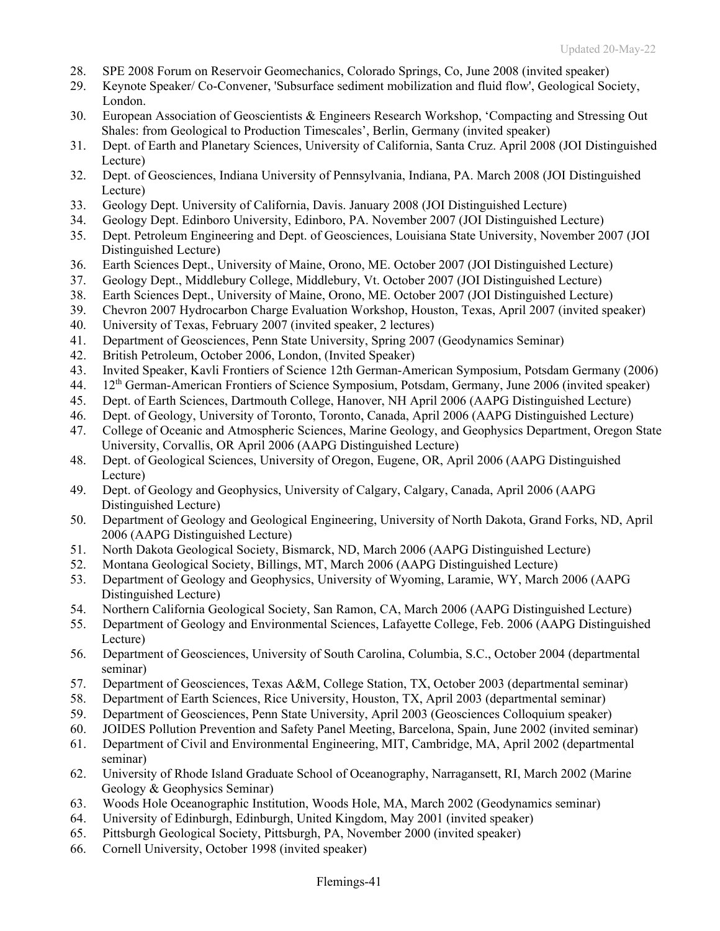- 28. SPE 2008 Forum on Reservoir Geomechanics, Colorado Springs, Co, June 2008 (invited speaker)
- 29. Keynote Speaker/ Co-Convener, 'Subsurface sediment mobilization and fluid flow', Geological Society, London.
- 30. European Association of Geoscientists & Engineers Research Workshop, 'Compacting and Stressing Out Shales: from Geological to Production Timescales', Berlin, Germany (invited speaker)
- 31. Dept. of Earth and Planetary Sciences, University of California, Santa Cruz. April 2008 (JOI Distinguished Lecture)
- 32. Dept. of Geosciences, Indiana University of Pennsylvania, Indiana, PA. March 2008 (JOI Distinguished Lecture)
- 33. Geology Dept. University of California, Davis. January 2008 (JOI Distinguished Lecture)
- 34. Geology Dept. Edinboro University, Edinboro, PA. November 2007 (JOI Distinguished Lecture)
- 35. Dept. Petroleum Engineering and Dept. of Geosciences, Louisiana State University, November 2007 (JOI Distinguished Lecture)
- 36. Earth Sciences Dept., University of Maine, Orono, ME. October 2007 (JOI Distinguished Lecture)
- 37. Geology Dept., Middlebury College, Middlebury, Vt. October 2007 (JOI Distinguished Lecture)
- 38. Earth Sciences Dept., University of Maine, Orono, ME. October 2007 (JOI Distinguished Lecture)
- 39. Chevron 2007 Hydrocarbon Charge Evaluation Workshop, Houston, Texas, April 2007 (invited speaker)
- 40. University of Texas, February 2007 (invited speaker, 2 lectures)
- 41. Department of Geosciences, Penn State University, Spring 2007 (Geodynamics Seminar)
- 42. British Petroleum, October 2006, London, (Invited Speaker)
- 43. Invited Speaker, Kavli Frontiers of Science 12th German-American Symposium, Potsdam Germany (2006)
- 44. 12th German-American Frontiers of Science Symposium, Potsdam, Germany, June 2006 (invited speaker)
- 45. Dept. of Earth Sciences, Dartmouth College, Hanover, NH April 2006 (AAPG Distinguished Lecture)
- 46. Dept. of Geology, University of Toronto, Toronto, Canada, April 2006 (AAPG Distinguished Lecture)
- 47. College of Oceanic and Atmospheric Sciences, Marine Geology, and Geophysics Department, Oregon State University, Corvallis, OR April 2006 (AAPG Distinguished Lecture)
- 48. Dept. of Geological Sciences, University of Oregon, Eugene, OR, April 2006 (AAPG Distinguished Lecture)
- 49. Dept. of Geology and Geophysics, University of Calgary, Calgary, Canada, April 2006 (AAPG Distinguished Lecture)
- 50. Department of Geology and Geological Engineering, University of North Dakota, Grand Forks, ND, April 2006 (AAPG Distinguished Lecture)
- 51. North Dakota Geological Society, Bismarck, ND, March 2006 (AAPG Distinguished Lecture)
- 52. Montana Geological Society, Billings, MT, March 2006 (AAPG Distinguished Lecture)
- 53. Department of Geology and Geophysics, University of Wyoming, Laramie, WY, March 2006 (AAPG Distinguished Lecture)
- 54. Northern California Geological Society, San Ramon, CA, March 2006 (AAPG Distinguished Lecture)
- 55. Department of Geology and Environmental Sciences, Lafayette College, Feb. 2006 (AAPG Distinguished Lecture)
- 56. Department of Geosciences, University of South Carolina, Columbia, S.C., October 2004 (departmental seminar)
- 57. Department of Geosciences, Texas A&M, College Station, TX, October 2003 (departmental seminar)
- 58. Department of Earth Sciences, Rice University, Houston, TX, April 2003 (departmental seminar)
- 59. Department of Geosciences, Penn State University, April 2003 (Geosciences Colloquium speaker)
- 60. JOIDES Pollution Prevention and Safety Panel Meeting, Barcelona, Spain, June 2002 (invited seminar)
- 61. Department of Civil and Environmental Engineering, MIT, Cambridge, MA, April 2002 (departmental seminar)
- 62. University of Rhode Island Graduate School of Oceanography, Narragansett, RI, March 2002 (Marine Geology & Geophysics Seminar)
- 63. Woods Hole Oceanographic Institution, Woods Hole, MA, March 2002 (Geodynamics seminar)
- 64. University of Edinburgh, Edinburgh, United Kingdom, May 2001 (invited speaker)
- 65. Pittsburgh Geological Society, Pittsburgh, PA, November 2000 (invited speaker)
- 66. Cornell University, October 1998 (invited speaker)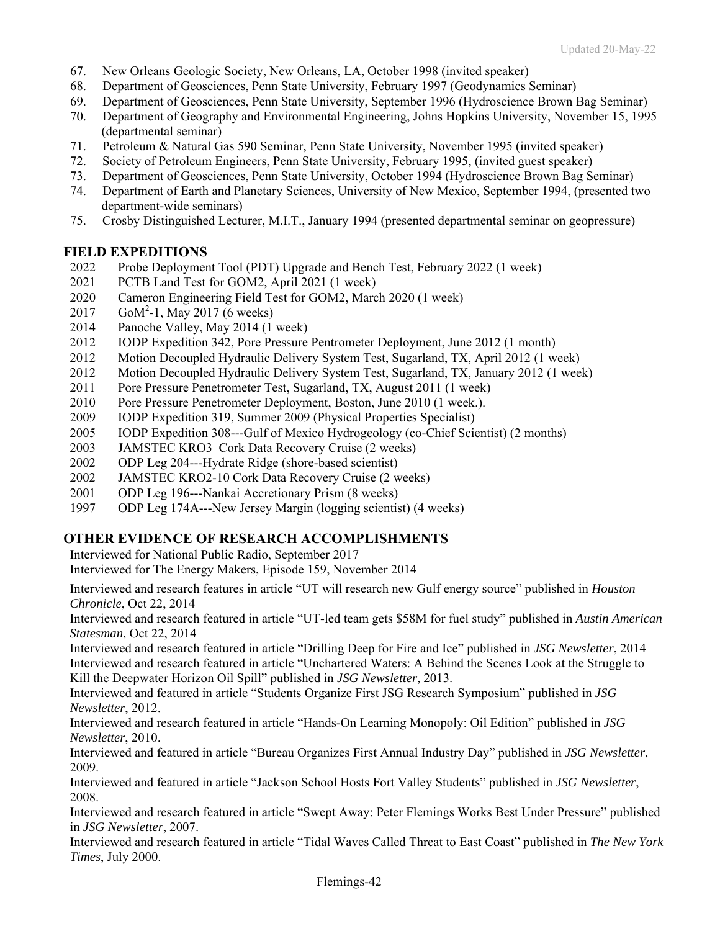- 67. New Orleans Geologic Society, New Orleans, LA, October 1998 (invited speaker)
- 68. Department of Geosciences, Penn State University, February 1997 (Geodynamics Seminar)
- 69. Department of Geosciences, Penn State University, September 1996 (Hydroscience Brown Bag Seminar)
- 70. Department of Geography and Environmental Engineering, Johns Hopkins University, November 15, 1995 (departmental seminar)
- 71. Petroleum & Natural Gas 590 Seminar, Penn State University, November 1995 (invited speaker)
- 72. Society of Petroleum Engineers, Penn State University, February 1995, (invited guest speaker)
- 73. Department of Geosciences, Penn State University, October 1994 (Hydroscience Brown Bag Seminar)
- 74. Department of Earth and Planetary Sciences, University of New Mexico, September 1994, (presented two department-wide seminars)
- 75. Crosby Distinguished Lecturer, M.I.T., January 1994 (presented departmental seminar on geopressure)

### **FIELD EXPEDITIONS**

- 2022 Probe Deployment Tool (PDT) Upgrade and Bench Test, February 2022 (1 week)
- 2021 PCTB Land Test for GOM2, April 2021 (1 week)
- 2020 Cameron Engineering Field Test for GOM2, March 2020 (1 week)
- 2017 GoM<sup>2</sup>-1, May 2017 (6 weeks)
- 2014 Panoche Valley, May 2014 (1 week)
- 2012 IODP Expedition 342, Pore Pressure Pentrometer Deployment, June 2012 (1 month)
- 2012 Motion Decoupled Hydraulic Delivery System Test, Sugarland, TX, April 2012 (1 week)
- 2012 Motion Decoupled Hydraulic Delivery System Test, Sugarland, TX, January 2012 (1 week)
- 2011 Pore Pressure Penetrometer Test, Sugarland, TX, August 2011 (1 week)
- 2010 Pore Pressure Penetrometer Deployment, Boston, June 2010 (1 week.).
- 2009 IODP Expedition 319, Summer 2009 (Physical Properties Specialist)
- 2005 IODP Expedition 308---Gulf of Mexico Hydrogeology (co-Chief Scientist) (2 months)
- 2003 JAMSTEC KRO3 Cork Data Recovery Cruise (2 weeks)
- 2002 ODP Leg 204---Hydrate Ridge (shore-based scientist)
- 2002 JAMSTEC KRO2-10 Cork Data Recovery Cruise (2 weeks)
- 2001 ODP Leg 196---Nankai Accretionary Prism (8 weeks)
- 1997 ODP Leg 174A---New Jersey Margin (logging scientist) (4 weeks)

## **OTHER EVIDENCE OF RESEARCH ACCOMPLISHMENTS**

Interviewed for National Public Radio, September 2017

Interviewed for The Energy Makers, Episode 159, November 2014

Interviewed and research features in article "UT will research new Gulf energy source" published in *Houston Chronicle*, Oct 22, 2014

Interviewed and research featured in article "UT-led team gets \$58M for fuel study" published in *Austin American Statesman*, Oct 22, 2014

Interviewed and research featured in article "Drilling Deep for Fire and Ice" published in *JSG Newsletter*, 2014 Interviewed and research featured in article "Unchartered Waters: A Behind the Scenes Look at the Struggle to Kill the Deepwater Horizon Oil Spill" published in *JSG Newsletter*, 2013.

Interviewed and featured in article "Students Organize First JSG Research Symposium" published in *JSG Newsletter*, 2012.

Interviewed and research featured in article "Hands-On Learning Monopoly: Oil Edition" published in *JSG Newsletter*, 2010.

Interviewed and featured in article "Bureau Organizes First Annual Industry Day" published in *JSG Newsletter*, 2009.

Interviewed and featured in article "Jackson School Hosts Fort Valley Students" published in *JSG Newsletter*, 2008.

Interviewed and research featured in article "Swept Away: Peter Flemings Works Best Under Pressure" published in *JSG Newsletter*, 2007.

Interviewed and research featured in article "Tidal Waves Called Threat to East Coast" published in *The New York Times*, July 2000.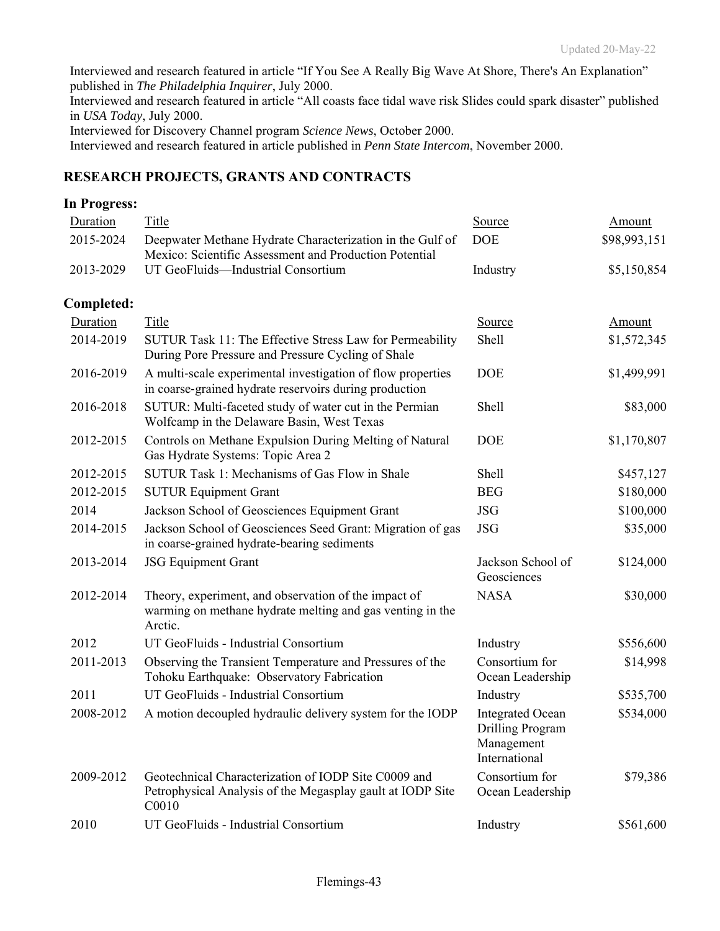Interviewed and research featured in article "If You See A Really Big Wave At Shore, There's An Explanation" published in *The Philadelphia Inquirer*, July 2000.

Interviewed and research featured in article "All coasts face tidal wave risk Slides could spark disaster" published in *USA Today*, July 2000.

Interviewed for Discovery Channel program *Science News*, October 2000.

Interviewed and research featured in article published in *Penn State Intercom*, November 2000.

## **RESEARCH PROJECTS, GRANTS AND CONTRACTS**

### **In Progress:**

| Duration   | Title                                                                                                                        | Source                                                                            | Amount        |
|------------|------------------------------------------------------------------------------------------------------------------------------|-----------------------------------------------------------------------------------|---------------|
| 2015-2024  | Deepwater Methane Hydrate Characterization in the Gulf of<br>Mexico: Scientific Assessment and Production Potential          | <b>DOE</b>                                                                        | \$98,993,151  |
| 2013-2029  | UT GeoFluids-Industrial Consortium                                                                                           | Industry                                                                          | \$5,150,854   |
| Completed: |                                                                                                                              |                                                                                   |               |
| Duration   | Title                                                                                                                        | <b>Source</b>                                                                     | <b>Amount</b> |
| 2014-2019  | SUTUR Task 11: The Effective Stress Law for Permeability<br>During Pore Pressure and Pressure Cycling of Shale               | Shell                                                                             | \$1,572,345   |
| 2016-2019  | A multi-scale experimental investigation of flow properties<br>in coarse-grained hydrate reservoirs during production        | <b>DOE</b>                                                                        | \$1,499,991   |
| 2016-2018  | SUTUR: Multi-faceted study of water cut in the Permian<br>Wolfcamp in the Delaware Basin, West Texas                         | Shell                                                                             | \$83,000      |
| 2012-2015  | Controls on Methane Expulsion During Melting of Natural<br>Gas Hydrate Systems: Topic Area 2                                 | <b>DOE</b>                                                                        | \$1,170,807   |
| 2012-2015  | SUTUR Task 1: Mechanisms of Gas Flow in Shale                                                                                | Shell                                                                             | \$457,127     |
| 2012-2015  | <b>SUTUR Equipment Grant</b>                                                                                                 | <b>BEG</b>                                                                        | \$180,000     |
| 2014       | Jackson School of Geosciences Equipment Grant                                                                                | <b>JSG</b>                                                                        | \$100,000     |
| 2014-2015  | Jackson School of Geosciences Seed Grant: Migration of gas<br>in coarse-grained hydrate-bearing sediments                    | <b>JSG</b>                                                                        | \$35,000      |
| 2013-2014  | <b>JSG Equipment Grant</b>                                                                                                   | Jackson School of<br>Geosciences                                                  | \$124,000     |
| 2012-2014  | Theory, experiment, and observation of the impact of<br>warming on methane hydrate melting and gas venting in the<br>Arctic. | <b>NASA</b>                                                                       | \$30,000      |
| 2012       | UT GeoFluids - Industrial Consortium                                                                                         | Industry                                                                          | \$556,600     |
| 2011-2013  | Observing the Transient Temperature and Pressures of the<br>Tohoku Earthquake: Observatory Fabrication                       | Consortium for<br>Ocean Leadership                                                | \$14,998      |
| 2011       | UT GeoFluids - Industrial Consortium                                                                                         | Industry                                                                          | \$535,700     |
| 2008-2012  | A motion decoupled hydraulic delivery system for the IODP                                                                    | <b>Integrated Ocean</b><br><b>Drilling Program</b><br>Management<br>International | \$534,000     |
| 2009-2012  | Geotechnical Characterization of IODP Site C0009 and<br>Petrophysical Analysis of the Megasplay gault at IODP Site<br>C0010  | Consortium for<br>Ocean Leadership                                                | \$79,386      |
| 2010       | UT GeoFluids - Industrial Consortium                                                                                         | Industry                                                                          | \$561,600     |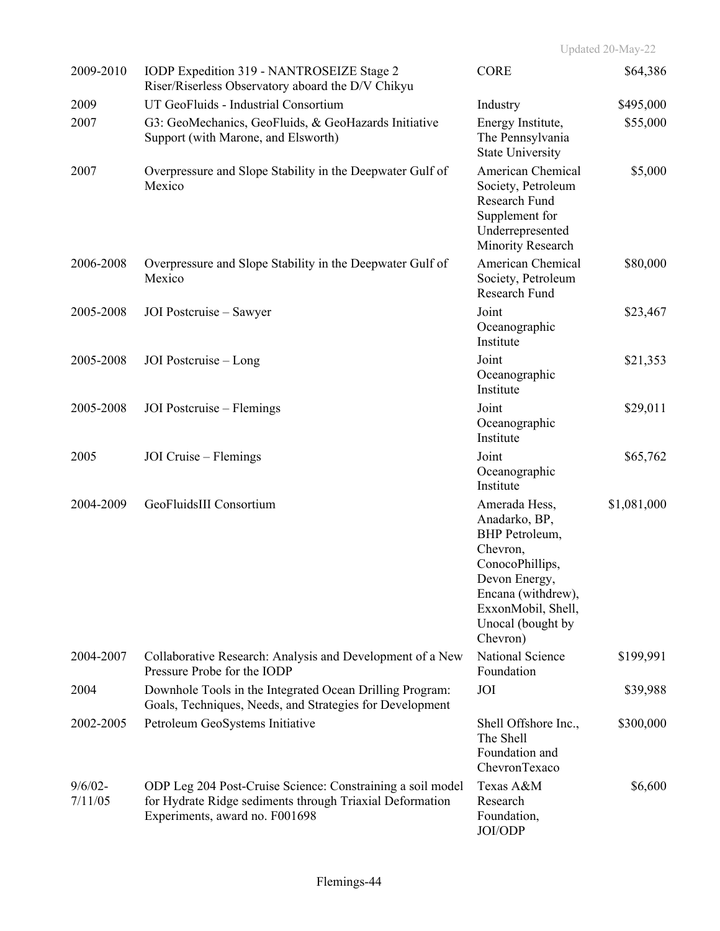| 2009-2010             | IODP Expedition 319 - NANTROSEIZE Stage 2<br>Riser/Riserless Observatory aboard the D/V Chikyu                                                           | <b>CORE</b>                                                                                                                                                                   | \$64,386    |
|-----------------------|----------------------------------------------------------------------------------------------------------------------------------------------------------|-------------------------------------------------------------------------------------------------------------------------------------------------------------------------------|-------------|
| 2009                  | UT GeoFluids - Industrial Consortium                                                                                                                     | Industry                                                                                                                                                                      | \$495,000   |
| 2007                  | G3: GeoMechanics, GeoFluids, & GeoHazards Initiative<br>Support (with Marone, and Elsworth)                                                              | Energy Institute,<br>The Pennsylvania<br><b>State University</b>                                                                                                              | \$55,000    |
| 2007                  | Overpressure and Slope Stability in the Deepwater Gulf of<br>Mexico                                                                                      | American Chemical<br>Society, Petroleum<br>Research Fund<br>Supplement for<br>Underrepresented<br>Minority Research                                                           | \$5,000     |
| 2006-2008             | Overpressure and Slope Stability in the Deepwater Gulf of<br>Mexico                                                                                      | American Chemical<br>Society, Petroleum<br>Research Fund                                                                                                                      | \$80,000    |
| 2005-2008             | JOI Postcruise – Sawyer                                                                                                                                  | Joint<br>Oceanographic<br>Institute                                                                                                                                           | \$23,467    |
| 2005-2008             | JOI Postcruise - Long                                                                                                                                    | Joint<br>Oceanographic<br>Institute                                                                                                                                           | \$21,353    |
| 2005-2008             | JOI Postcruise – Flemings                                                                                                                                | Joint<br>Oceanographic<br>Institute                                                                                                                                           | \$29,011    |
| 2005                  | JOI Cruise – Flemings                                                                                                                                    | Joint<br>Oceanographic<br>Institute                                                                                                                                           | \$65,762    |
| 2004-2009             | GeoFluidsIII Consortium                                                                                                                                  | Amerada Hess,<br>Anadarko, BP,<br>BHP Petroleum,<br>Chevron,<br>ConocoPhillips,<br>Devon Energy,<br>Encana (withdrew),<br>ExxonMobil, Shell,<br>Unocal (bought by<br>Chevron) | \$1,081,000 |
| 2004-2007             | Collaborative Research: Analysis and Development of a New<br>Pressure Probe for the IODP                                                                 | National Science<br>Foundation                                                                                                                                                | \$199,991   |
| 2004                  | Downhole Tools in the Integrated Ocean Drilling Program:<br>Goals, Techniques, Needs, and Strategies for Development                                     | JOI                                                                                                                                                                           | \$39,988    |
| 2002-2005             | Petroleum GeoSystems Initiative                                                                                                                          | Shell Offshore Inc.,<br>The Shell<br>Foundation and<br>ChevronTexaco                                                                                                          | \$300,000   |
| $9/6/02 -$<br>7/11/05 | ODP Leg 204 Post-Cruise Science: Constraining a soil model<br>for Hydrate Ridge sediments through Triaxial Deformation<br>Experiments, award no. F001698 | Texas A&M<br>Research<br>Foundation,<br>JOI/ODP                                                                                                                               | \$6,600     |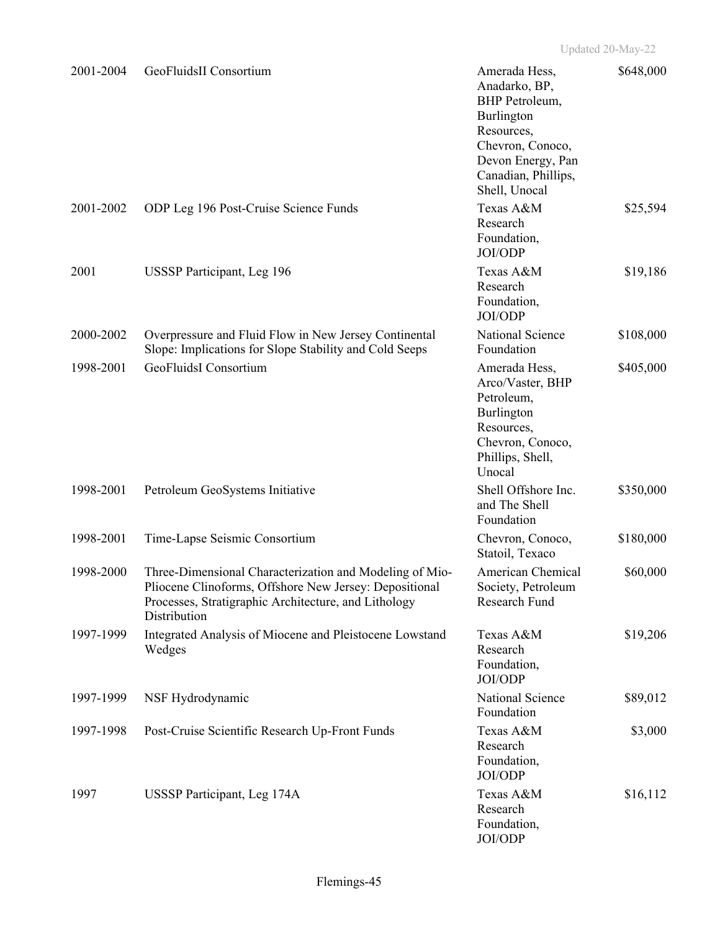| 2001-2004 | GeoFluidsII Consortium                                                                                                                                                                    | Amerada Hess,<br>Anadarko, BP,<br><b>BHP</b> Petroleum,<br>Burlington<br>Resources,<br>Chevron, Conoco,<br>Devon Energy, Pan<br>Canadian, Phillips,<br>Shell, Unocal | \$648,000 |
|-----------|-------------------------------------------------------------------------------------------------------------------------------------------------------------------------------------------|----------------------------------------------------------------------------------------------------------------------------------------------------------------------|-----------|
| 2001-2002 | ODP Leg 196 Post-Cruise Science Funds                                                                                                                                                     | Texas A&M<br>Research<br>Foundation,<br>JOI/ODP                                                                                                                      | \$25,594  |
| 2001      | <b>USSSP Participant, Leg 196</b>                                                                                                                                                         | Texas A&M<br>Research<br>Foundation,<br>JOI/ODP                                                                                                                      | \$19,186  |
| 2000-2002 | Overpressure and Fluid Flow in New Jersey Continental<br>Slope: Implications for Slope Stability and Cold Seeps                                                                           | National Science<br>Foundation                                                                                                                                       | \$108,000 |
| 1998-2001 | GeoFluidsI Consortium                                                                                                                                                                     | Amerada Hess,<br>Arco/Vaster, BHP<br>Petroleum,<br>Burlington<br>Resources,<br>Chevron, Conoco,<br>Phillips, Shell,<br>Unocal                                        | \$405,000 |
| 1998-2001 | Petroleum GeoSystems Initiative                                                                                                                                                           | Shell Offshore Inc.<br>and The Shell<br>Foundation                                                                                                                   | \$350,000 |
| 1998-2001 | Time-Lapse Seismic Consortium                                                                                                                                                             | Chevron, Conoco,<br>Statoil, Texaco                                                                                                                                  | \$180,000 |
| 1998-2000 | Three-Dimensional Characterization and Modeling of Mio-<br>Pliocene Clinoforms, Offshore New Jersey: Depositional<br>Processes, Stratigraphic Architecture, and Lithology<br>Distribution | American Chemical<br>Society, Petroleum<br>Research Fund                                                                                                             | \$60,000  |
| 1997-1999 | Integrated Analysis of Miocene and Pleistocene Lowstand<br>Wedges                                                                                                                         | Texas A&M<br>Research<br>Foundation,<br>JOI/ODP                                                                                                                      | \$19,206  |
| 1997-1999 | NSF Hydrodynamic                                                                                                                                                                          | National Science<br>Foundation                                                                                                                                       | \$89,012  |
| 1997-1998 | Post-Cruise Scientific Research Up-Front Funds                                                                                                                                            | Texas A&M<br>Research<br>Foundation,<br>JOI/ODP                                                                                                                      | \$3,000   |
| 1997      | USSSP Participant, Leg 174A                                                                                                                                                               | Texas A&M<br>Research<br>Foundation,<br>JOI/ODP                                                                                                                      | \$16,112  |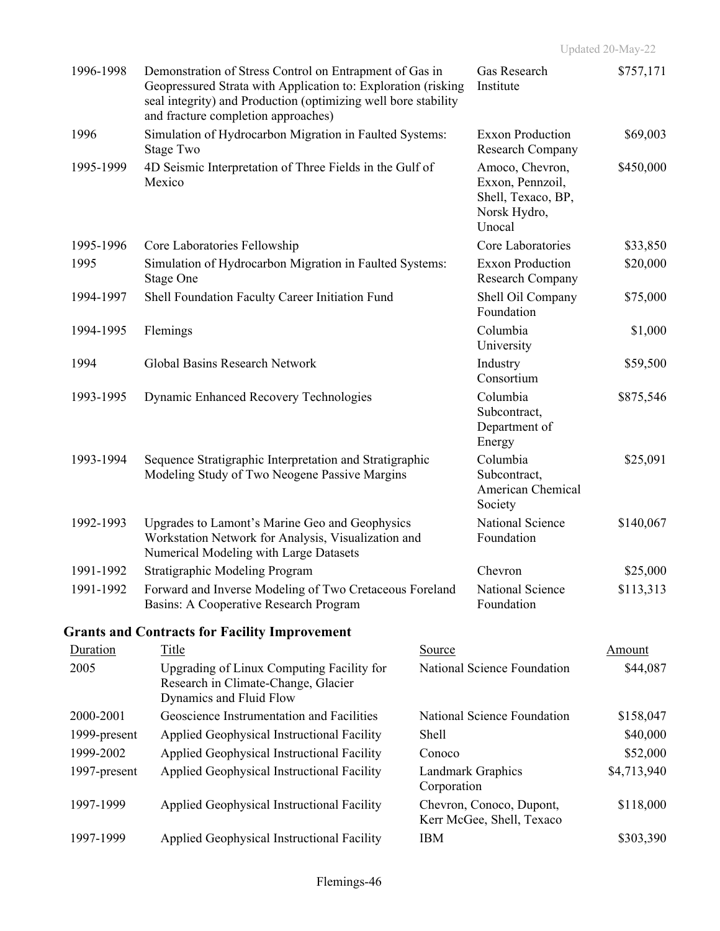| 1996-1998    | Demonstration of Stress Control on Entrapment of Gas in<br>Geopressured Strata with Application to: Exploration (risking<br>seal integrity) and Production (optimizing well bore stability<br>and fracture completion approaches) |             | Gas Research<br>Institute                                                           | \$757,171   |
|--------------|-----------------------------------------------------------------------------------------------------------------------------------------------------------------------------------------------------------------------------------|-------------|-------------------------------------------------------------------------------------|-------------|
| 1996         | Simulation of Hydrocarbon Migration in Faulted Systems:<br>Stage Two                                                                                                                                                              |             | <b>Exxon Production</b><br>Research Company                                         | \$69,003    |
| 1995-1999    | 4D Seismic Interpretation of Three Fields in the Gulf of<br>Mexico                                                                                                                                                                |             | Amoco, Chevron,<br>Exxon, Pennzoil,<br>Shell, Texaco, BP,<br>Norsk Hydro,<br>Unocal | \$450,000   |
| 1995-1996    | Core Laboratories Fellowship                                                                                                                                                                                                      |             | Core Laboratories                                                                   | \$33,850    |
| 1995         | Simulation of Hydrocarbon Migration in Faulted Systems:<br>Stage One                                                                                                                                                              |             | <b>Exxon Production</b><br>Research Company                                         | \$20,000    |
| 1994-1997    | Shell Foundation Faculty Career Initiation Fund                                                                                                                                                                                   |             | Shell Oil Company<br>Foundation                                                     | \$75,000    |
| 1994-1995    | Flemings                                                                                                                                                                                                                          |             | Columbia<br>University                                                              | \$1,000     |
| 1994         | Global Basins Research Network                                                                                                                                                                                                    |             | Industry<br>Consortium                                                              | \$59,500    |
| 1993-1995    | <b>Dynamic Enhanced Recovery Technologies</b>                                                                                                                                                                                     |             | Columbia<br>Subcontract,<br>Department of<br>Energy                                 | \$875,546   |
| 1993-1994    | Sequence Stratigraphic Interpretation and Stratigraphic<br>Modeling Study of Two Neogene Passive Margins                                                                                                                          |             | Columbia<br>Subcontract,<br>American Chemical<br>Society                            | \$25,091    |
| 1992-1993    | Upgrades to Lamont's Marine Geo and Geophysics<br>Workstation Network for Analysis, Visualization and<br>Numerical Modeling with Large Datasets                                                                                   |             | National Science<br>Foundation                                                      | \$140,067   |
| 1991-1992    | <b>Stratigraphic Modeling Program</b>                                                                                                                                                                                             |             | Chevron                                                                             | \$25,000    |
| 1991-1992    | Forward and Inverse Modeling of Two Cretaceous Foreland<br>Basins: A Cooperative Research Program                                                                                                                                 |             | National Science<br>Foundation                                                      | \$113,313   |
|              | <b>Grants and Contracts for Facility Improvement</b>                                                                                                                                                                              |             |                                                                                     |             |
| Duration     | <b>Title</b>                                                                                                                                                                                                                      | Source      |                                                                                     | Amount      |
| 2005         | Upgrading of Linux Computing Facility for<br>Research in Climate-Change, Glacier<br>Dynamics and Fluid Flow                                                                                                                       |             | National Science Foundation                                                         | \$44,087    |
| 2000-2001    | Geoscience Instrumentation and Facilities                                                                                                                                                                                         |             | National Science Foundation                                                         | \$158,047   |
| 1999-present | Applied Geophysical Instructional Facility                                                                                                                                                                                        | Shell       |                                                                                     | \$40,000    |
| 1999-2002    | Applied Geophysical Instructional Facility                                                                                                                                                                                        | Conoco      |                                                                                     | \$52,000    |
| 1997-present | Applied Geophysical Instructional Facility                                                                                                                                                                                        | Corporation | Landmark Graphics                                                                   | \$4,713,940 |
| 1997-1999    | Applied Geophysical Instructional Facility                                                                                                                                                                                        |             | Chevron, Conoco, Dupont,<br>Kerr McGee, Shell, Texaco                               | \$118,000   |
| 1997-1999    | Applied Geophysical Instructional Facility                                                                                                                                                                                        | <b>IBM</b>  |                                                                                     | \$303,390   |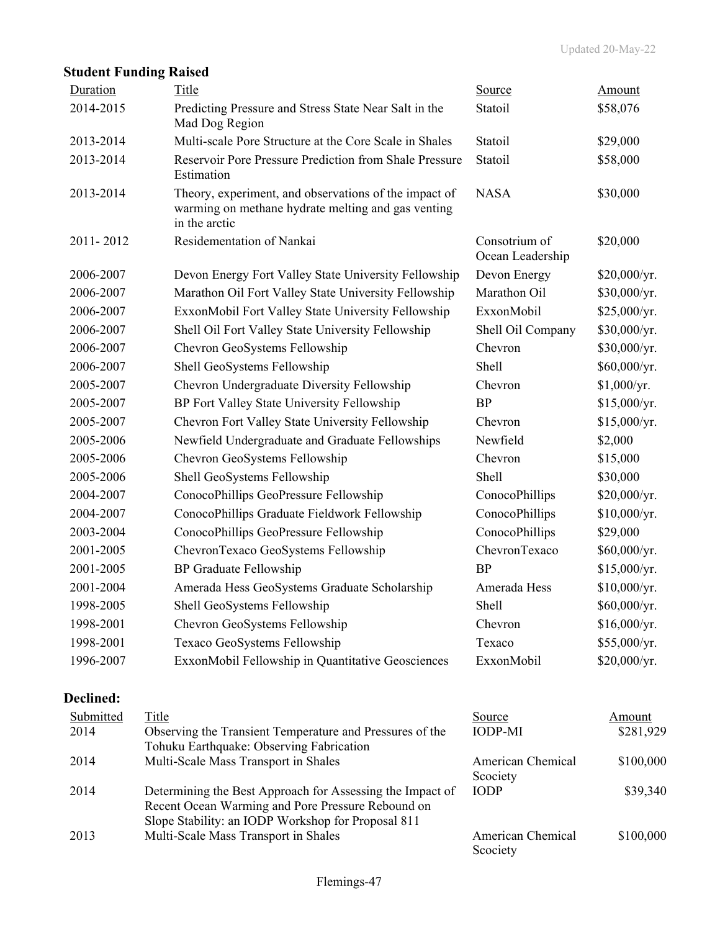|           | <b>Student Funding Raised</b>                                                                                                |                                   |               |
|-----------|------------------------------------------------------------------------------------------------------------------------------|-----------------------------------|---------------|
| Duration  | Title                                                                                                                        | Source                            | <b>Amount</b> |
| 2014-2015 | Predicting Pressure and Stress State Near Salt in the<br>Mad Dog Region                                                      | Statoil                           | \$58,076      |
| 2013-2014 | Multi-scale Pore Structure at the Core Scale in Shales                                                                       | Statoil                           | \$29,000      |
| 2013-2014 | Reservoir Pore Pressure Prediction from Shale Pressure<br>Estimation                                                         | Statoil                           | \$58,000      |
| 2013-2014 | Theory, experiment, and observations of the impact of<br>warming on methane hydrate melting and gas venting<br>in the arctic | <b>NASA</b>                       | \$30,000      |
| 2011-2012 | Residementation of Nankai                                                                                                    | Consotrium of<br>Ocean Leadership | \$20,000      |
| 2006-2007 | Devon Energy Fort Valley State University Fellowship                                                                         | Devon Energy                      | \$20,000/yr.  |
| 2006-2007 | Marathon Oil Fort Valley State University Fellowship                                                                         | Marathon Oil                      | \$30,000/yr.  |
| 2006-2007 | ExxonMobil Fort Valley State University Fellowship                                                                           | ExxonMobil                        | \$25,000/yr.  |
| 2006-2007 | Shell Oil Fort Valley State University Fellowship                                                                            | Shell Oil Company                 | \$30,000/yr.  |
| 2006-2007 | Chevron GeoSystems Fellowship                                                                                                | Chevron                           | \$30,000/yr.  |
| 2006-2007 | Shell GeoSystems Fellowship                                                                                                  | Shell                             | \$60,000/yr.  |
| 2005-2007 | Chevron Undergraduate Diversity Fellowship                                                                                   | Chevron                           | \$1,000/yr.   |
| 2005-2007 | BP Fort Valley State University Fellowship                                                                                   | <b>BP</b>                         | \$15,000/yr.  |
| 2005-2007 | Chevron Fort Valley State University Fellowship                                                                              | Chevron                           | \$15,000/yr.  |
| 2005-2006 | Newfield Undergraduate and Graduate Fellowships                                                                              | Newfield                          | \$2,000       |
| 2005-2006 | Chevron GeoSystems Fellowship                                                                                                | Chevron                           | \$15,000      |
| 2005-2006 | Shell GeoSystems Fellowship                                                                                                  | Shell                             | \$30,000      |
| 2004-2007 | ConocoPhillips GeoPressure Fellowship                                                                                        | ConocoPhillips                    | \$20,000/yr.  |
| 2004-2007 | ConocoPhillips Graduate Fieldwork Fellowship                                                                                 | ConocoPhillips                    | \$10,000/yr.  |
| 2003-2004 | ConocoPhillips GeoPressure Fellowship                                                                                        | ConocoPhillips                    | \$29,000      |
| 2001-2005 | ChevronTexaco GeoSystems Fellowship                                                                                          | ChevronTexaco                     | \$60,000/yr.  |
| 2001-2005 | <b>BP</b> Graduate Fellowship                                                                                                | <b>BP</b>                         | \$15,000/yr.  |
| 2001-2004 | Amerada Hess GeoSystems Graduate Scholarship                                                                                 | Amerada Hess                      | \$10,000/yr.  |
| 1998-2005 | Shell GeoSystems Fellowship                                                                                                  | Shell                             | \$60,000/yr.  |
| 1998-2001 | Chevron GeoSystems Fellowship                                                                                                | Chevron                           | \$16,000/yr.  |
| 1998-2001 | Texaco GeoSystems Fellowship                                                                                                 | Texaco                            | \$55,000/yr.  |
| 1996-2007 | ExxonMobil Fellowship in Quantitative Geosciences                                                                            | ExxonMobil                        | \$20,000/yr.  |
| Declined: |                                                                                                                              |                                   |               |
| Submitted | Title                                                                                                                        | Source                            | <b>Amount</b> |
| 2014      | Observing the Transient Temperature and Pressures of the<br>Tohuku Earthquake: Observing Fabrication                         | <b>IODP-MI</b>                    | \$281,929     |
| 2014      | Multi-Scale Mass Transport in Shales                                                                                         | American Chemical<br>Scociety     | \$100,000     |
| 2014      | Determining the Best Approach for Assessing the Impact of                                                                    | <b>IODP</b>                       | \$39,340      |

### Recent Ocean Warming and Pore Pressure Rebound on Slope Stability: an IODP Workshop for Proposal 811 IODP \$39,340 2013 Multi-Scale Mass Transport in Shales American Chemical Scociety \$100,000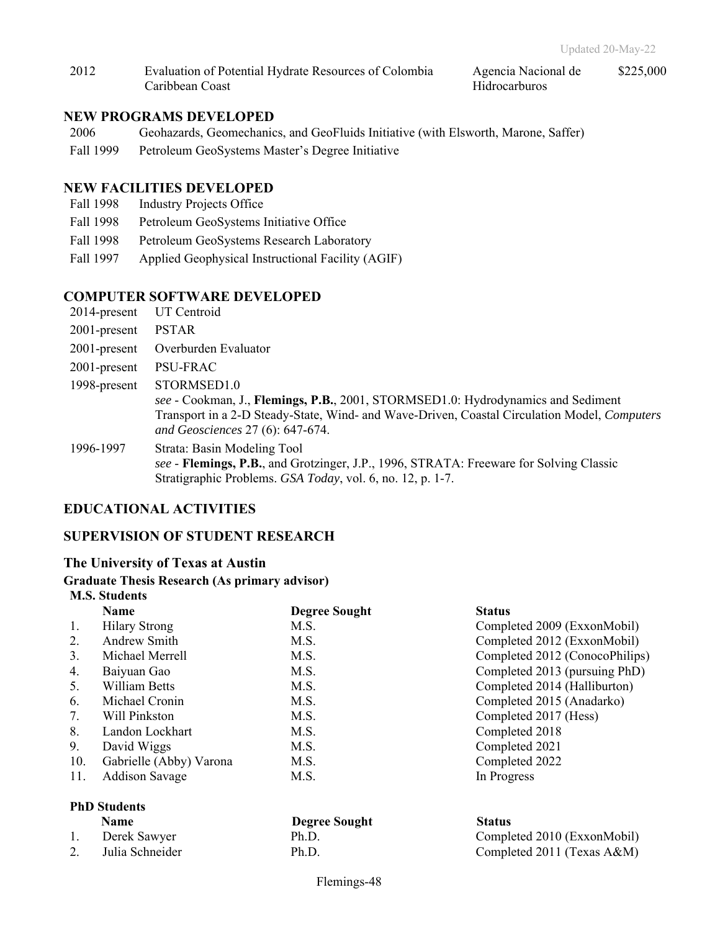2012 Evaluation of Potential Hydrate Resources of Colombia Caribbean Coast Agencia Nacional de Hidrocarburos

\$225,000

### **NEW PROGRAMS DEVELOPED**

- 2006 Geohazards, Geomechanics, and GeoFluids Initiative (with Elsworth, Marone, Saffer)
- Fall 1999 Petroleum GeoSystems Master's Degree Initiative

### **NEW FACILITIES DEVELOPED**

- Fall 1998 Industry Projects Office
- Fall 1998 Petroleum GeoSystems Initiative Office
- Fall 1998 Petroleum GeoSystems Research Laboratory
- Fall 1997 Applied Geophysical Instructional Facility (AGIF)

### **COMPUTER SOFTWARE DEVELOPED**

- 2014-present UT Centroid
- 2001-present PSTAR
- 2001-present Overburden Evaluator
- 2001-present PSU-FRAC
- 1998-present STORMSED1.0
	- *see* Cookman, J., **Flemings, P.B.**, 2001, STORMSED1.0: Hydrodynamics and Sediment Transport in a 2-D Steady-State, Wind- and Wave-Driven, Coastal Circulation Model, *Computers and Geosciences* 27 (6): 647-674.
- 1996-1997 Strata: Basin Modeling Tool *see* - **Flemings, P.B.**, and Grotzinger, J.P., 1996, STRATA: Freeware for Solving Classic Stratigraphic Problems. *GSA Today*, vol. 6, no. 12, p. 1-7.

### **EDUCATIONAL ACTIVITIES**

### **SUPERVISION OF STUDENT RESEARCH**

### **The University of Texas at Austin**

### **Graduate Thesis Research (As primary advisor) M.S. Students**

|     | <u>was a wa</u>         |                      |                                |
|-----|-------------------------|----------------------|--------------------------------|
|     | <b>Name</b>             | <b>Degree Sought</b> | <b>Status</b>                  |
| 1.  | <b>Hilary Strong</b>    | M.S.                 | Completed 2009 (ExxonMobil)    |
| 2.  | Andrew Smith            | M.S.                 | Completed 2012 (ExxonMobil)    |
| 3.  | Michael Merrell         | M.S.                 | Completed 2012 (ConocoPhilips) |
| 4.  | Baiyuan Gao             | M.S.                 | Completed 2013 (pursuing PhD)  |
| 5.  | William Betts           | M.S.                 | Completed 2014 (Halliburton)   |
| 6.  | Michael Cronin          | M.S.                 | Completed 2015 (Anadarko)      |
| 7.  | Will Pinkston           | M.S.                 | Completed 2017 (Hess)          |
| 8.  | Landon Lockhart         | M.S.                 | Completed 2018                 |
| 9.  | David Wiggs             | M.S.                 | Completed 2021                 |
| 10. | Gabrielle (Abby) Varona | M.S.                 | Completed 2022                 |
| 11. | <b>Addison Savage</b>   | M.S.                 | In Progress                    |
|     |                         |                      |                                |

### **PhD Students**

| <b>Name</b>     | <b>Degree Sought</b> | <b>Status</b>               |
|-----------------|----------------------|-----------------------------|
| Derek Sawyer    | Ph.D.                | Completed 2010 (ExxonMobil) |
| Julia Schneider | Ph.D.                | Completed 2011 (Texas A&M)  |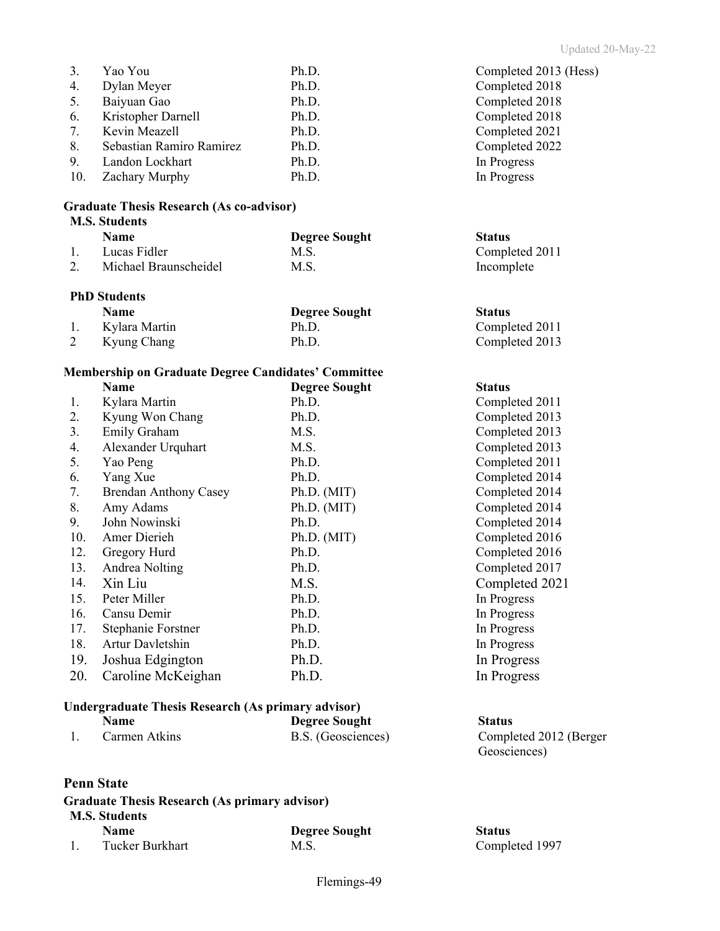| 3.  | Yao You                  | Ph.D. | Completed 2013 (Hess) |
|-----|--------------------------|-------|-----------------------|
| 4.  | Dylan Meyer              | Ph.D. | Completed 2018        |
| 5.  | Baiyuan Gao              | Ph.D. | Completed 2018        |
| 6.  | Kristopher Darnell       | Ph.D. | Completed 2018        |
| 7.  | Kevin Meazell            | Ph.D. | Completed 2021        |
| 8.  | Sebastian Ramiro Ramirez | Ph.D. | Completed 2022        |
| 9.  | Landon Lockhart          | Ph.D. | In Progress           |
| 10. | Zachary Murphy           | Ph.D. | In Progress           |

## **Graduate Thesis Research (As co-advisor)**

## **M.S. Students**

| <b>Name</b>           | <b>Degree Sought</b> | <b>Status</b>  |
|-----------------------|----------------------|----------------|
| Lucas Fidler          | M.S.                 | Completed 2011 |
| Michael Braunscheidel | M.S.                 | Incomplete     |

### **PhD Students**

|   | <b>Name</b>      | <b>Degree Sought</b> | <b>Status</b> |
|---|------------------|----------------------|---------------|
|   | 1. Kylara Martin | Ph.D.                | Comple        |
| 2 | Kyung Chang      | Ph.D.                | Comple        |

### **Membership on Graduate Degree Candidates' Committee**

|     | <b>Name</b>                  | <b>Degree Sought</b> | <b>Status</b>  |
|-----|------------------------------|----------------------|----------------|
| 1.  | Kylara Martin                | Ph.D.                | Completed 2011 |
| 2.  | Kyung Won Chang              | Ph.D.                | Completed 2013 |
| 3.  | Emily Graham                 | M.S.                 | Completed 2013 |
| 4.  | Alexander Urquhart           | M.S.                 | Completed 2013 |
| 5.  | Yao Peng                     | Ph.D.                | Completed 2011 |
| 6.  | Yang Xue                     | Ph.D.                | Completed 2014 |
| 7.  | <b>Brendan Anthony Casey</b> | Ph.D. (MIT)          | Completed 2014 |
| 8.  | Amy Adams                    | Ph.D. (MIT)          | Completed 2014 |
| 9.  | John Nowinski                | Ph.D.                | Completed 2014 |
| 10. | Amer Dierieh                 | Ph.D. (MIT)          | Completed 2016 |
| 12. | Gregory Hurd                 | Ph.D.                | Completed 2016 |
| 13. | Andrea Nolting               | Ph.D.                | Completed 2017 |
| 14. | Xin Liu                      | M.S.                 | Completed 2021 |
| 15. | Peter Miller                 | Ph.D.                | In Progress    |
| 16. | Cansu Demir                  | Ph.D.                | In Progress    |
| 17. | Stephanie Forstner           | Ph.D.                | In Progress    |
| 18. | Artur Davletshin             | Ph.D.                | In Progress    |
| 19. | Joshua Edgington             | Ph.D.                | In Progress    |
| 20. | Caroline McKeighan           | Ph.D.                | In Progress    |

## **Undergraduate Thesis Research (As primary advisor)**

| <b>Name</b>   | <b>Degree Sought</b> | <b>Status</b> |
|---------------|----------------------|---------------|
| Carmen Atkins | B.S. (Geosciences)   | Comple        |

### **Penn State**

### **Graduate Thesis Research (As primary advisor) M.S. Students Name Degree Sought Status**<br>
Tucker Burkhart M.S. M.S. Comple 1. Tucker Burkhart M.S. Completed 1997

| Completed 2013 (Hes |
|---------------------|
| Completed 2018      |
| Completed 2018      |
| Completed 2018      |
| Completed 2021      |
| Completed 2022      |
| In Progress         |
| In Progress         |

Completed 2011 Completed 2013

| Completed 2011 |
|----------------|
| Completed 2013 |
| Completed 2013 |
| Completed 2013 |
| Completed 2011 |
| Completed 2014 |
| Completed 2014 |
| Completed 2014 |
| Completed 2014 |
| Completed 2016 |
| Completed 2016 |
| Completed 2017 |
| Completed 2021 |
| In Progress    |
| In Progress    |
| In Progress    |
| In Progress    |
| In Progress    |
| In Progress    |

# Completed 2012 (Berger Geosciences)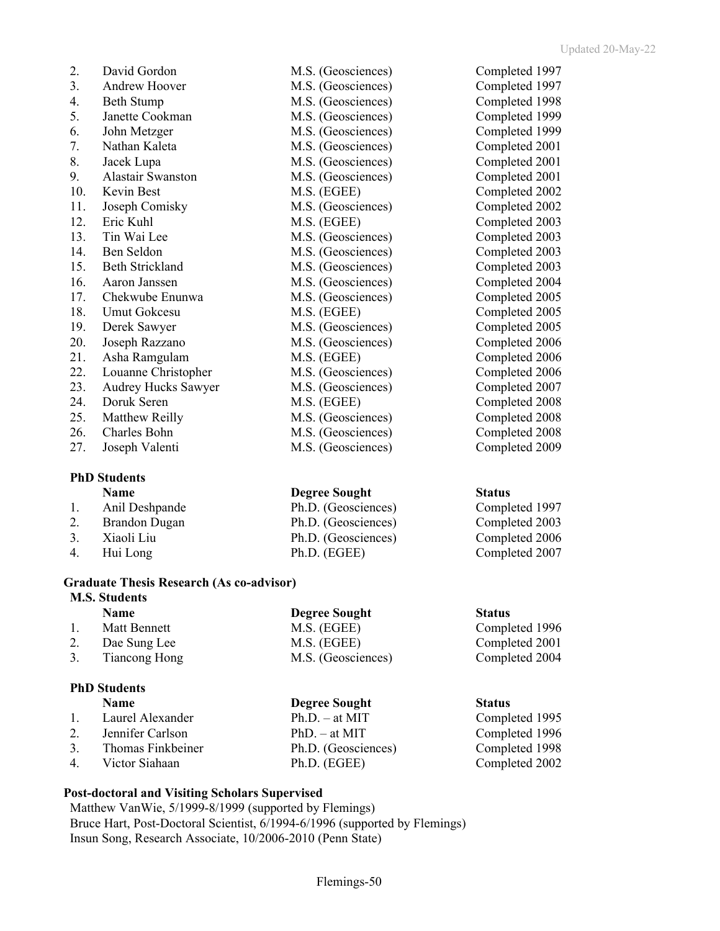| 2.  | David Gordon                          |
|-----|---------------------------------------|
| 3.  | Andrew Hoover                         |
| 4.  | <b>Beth Stump</b>                     |
| 5.  | Janette Cookman                       |
| 6.  | John Metzger                          |
| 7.  | Nathan Kaleta                         |
| 8.  | Jacek Lupa                            |
| 9.  | Alastair Swanston                     |
| 10. | Kevin Best                            |
| 11. | Joseph Comisky                        |
| 12. | Eric Kuhl                             |
| 13. | Tin Wai Lee                           |
| 14. | Ben Seldon                            |
| 15. | <b>Beth Strickland</b>                |
| 16. | Aaron Janssen                         |
| 17. | Chekwube Enunwa                       |
| 18. | Umut Gokcesu                          |
| 19. | Derek Sawyer                          |
| 20. | Joseph Razzano                        |
| 21. | Asha Ramgulam                         |
| 22. | Louanne Christopher                   |
| 23. | Audrey Hucks Sawyer                   |
| 24. | Doruk Seren                           |
| 25. | Matthew Reilly                        |
| 26. | Charles Bohn                          |
| ົາ  | $I_{\text{max}}$ 1. $VI_{\text{max}}$ |

## **PhD Students**

1. Anil Deshpande Ph.D. (Geosciences) Completed 1997 2. Brandon Dugan Ph.D. (Geosciences) Completed 2003 3. Xiaoli Liu Ph.D. (Geosciences) Completed 2006 4. Hui Long Ph.D. (EGEE) Completed 2007

### **Graduate Thesis Research (As co-advisor) M.S. Students**

|    | <b>Name</b>   | <b>Degree Sought</b> | <b>Status</b>  |
|----|---------------|----------------------|----------------|
|    | Matt Bennett  | M.S. (EGEE)          | Completed 1996 |
| 2. | Dae Sung Lee  | M.S. (EGEE)          | Completed 2001 |
| 3. | Tiancong Hong | M.S. (Geosciences)   | Completed 2004 |
|    |               |                      |                |

## **PhD Students**

|    | <b>Name</b>       | <b>Degree Sought</b> | <b>Status</b> |
|----|-------------------|----------------------|---------------|
|    | Laurel Alexander  | $Ph.D. - at MIT$     | Comple        |
|    | Jennifer Carlson  | $PhD. - at MIT$      | Comple        |
| 3. | Thomas Finkbeiner | Ph.D. (Geosciences)  | Comple        |
|    | Victor Siahaan    | Ph.D. (EGEE)         | Comple        |
|    |                   |                      |               |

# **Post-doctoral and Visiting Scholars Supervised**

Matthew VanWie, 5/1999-8/1999 (supported by Flemings) Bruce Hart, Post-Doctoral Scientist, 6/1994-6/1996 (supported by Flemings) Insun Song, Research Associate, 10/2006-2010 (Penn State)

M.S. (Geosciences) Completed 1997 M.S. (Geosciences) Completed 1997 M.S. (Geosciences) Completed 1998 M.S. (Geosciences) Completed 1999 M.S. (Geosciences) Completed 1999 M.S. (Geosciences) Completed 2001 M.S. (Geosciences) Completed 2001 M.S. (Geosciences) Completed 2001 M.S. (EGEE) Completed 2002 M.S. (Geosciences) Completed 2002 M.S. (EGEE) Completed 2003 M.S. (Geosciences) Completed 2003 M.S. (Geosciences) Completed 2003 M.S. (Geosciences) Completed 2003 M.S. (Geosciences) Completed 2004 M.S. (Geosciences) Completed 2005 M.S. (EGEE) Completed 2005 M.S. (Geosciences) Completed 2005 M.S. (Geosciences) Completed 2006 M.S. (EGEE) Completed 2006 M.S. (Geosciences) Completed 2006 M.S. (Geosciences) Completed 2007 M.S. (EGEE) Completed 2008 M.S. (Geosciences) Completed 2008 M.S. (Geosciences) Completed 2008 27. Joseph Valenti M.S. (Geosciences) Completed 2009

# **Name** Degree Sought Status

Completed 1995 Completed 1996 Completed 1998 Completed 2002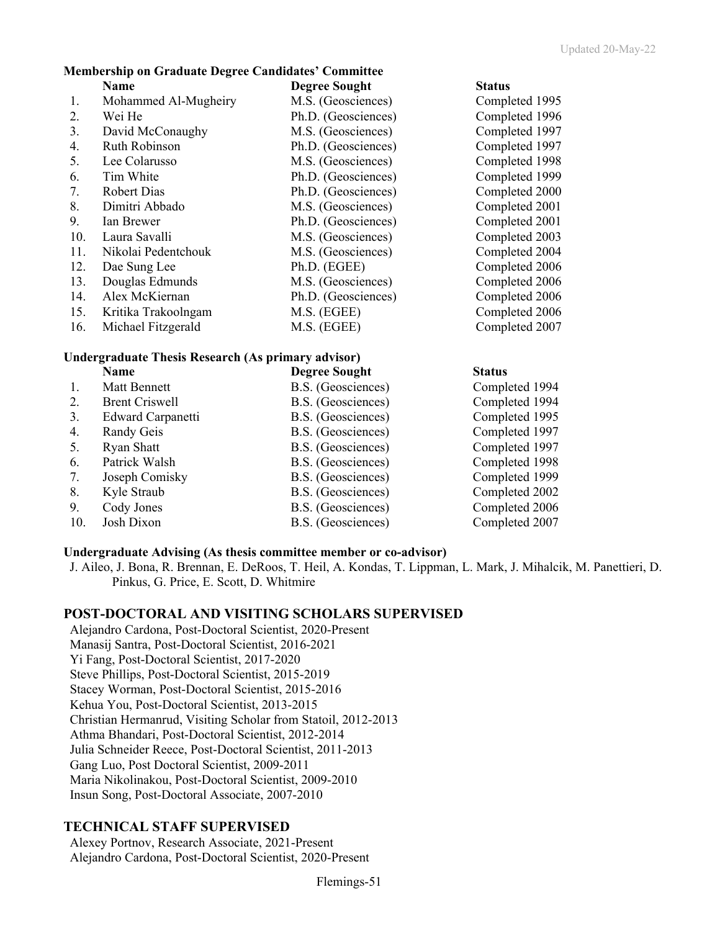### **Membership on Graduate Degree Candidates' Committee**

|     | Name                 | <b>Degree Sought</b> | <b>Status</b>  |
|-----|----------------------|----------------------|----------------|
| 1.  | Mohammed Al-Mugheiry | M.S. (Geosciences)   | Completed 1995 |
| 2.  | Wei He               | Ph.D. (Geosciences)  | Completed 1996 |
| 3.  | David McConaughy     | M.S. (Geosciences)   | Completed 1997 |
| 4.  | Ruth Robinson        | Ph.D. (Geosciences)  | Completed 1997 |
| 5.  | Lee Colarusso        | M.S. (Geosciences)   | Completed 1998 |
| 6.  | Tim White            | Ph.D. (Geosciences)  | Completed 1999 |
| 7.  | <b>Robert Dias</b>   | Ph.D. (Geosciences)  | Completed 2000 |
| 8.  | Dimitri Abbado       | M.S. (Geosciences)   | Completed 2001 |
| 9.  | Ian Brewer           | Ph.D. (Geosciences)  | Completed 2001 |
| 10. | Laura Savalli        | M.S. (Geosciences)   | Completed 2003 |
| 11. | Nikolai Pedentchouk  | M.S. (Geosciences)   | Completed 2004 |
| 12. | Dae Sung Lee         | Ph.D. (EGEE)         | Completed 2006 |
| 13. | Douglas Edmunds      | M.S. (Geosciences)   | Completed 2006 |
| 14. | Alex McKiernan       | Ph.D. (Geosciences)  | Completed 2006 |
| 15. | Kritika Trakoolngam  | M.S. (EGEE)          | Completed 2006 |
| 16. | Michael Fitzgerald   | M.S. (EGEE)          | Completed 2007 |

## **Undergraduate Thesis Research (As primary advisor)**

|     | Name                  | <b>Degree Sought</b> | <b>Status</b>  |
|-----|-----------------------|----------------------|----------------|
|     | Matt Bennett          | B.S. (Geosciences)   | Completed 1994 |
| 2.  | <b>Brent Criswell</b> | B.S. (Geosciences)   | Completed 1994 |
| 3.  | Edward Carpanetti     | B.S. (Geosciences)   | Completed 1995 |
| 4.  | Randy Geis            | B.S. (Geosciences)   | Completed 1997 |
| 5.  | Ryan Shatt            | B.S. (Geosciences)   | Completed 1997 |
| 6.  | Patrick Walsh         | B.S. (Geosciences)   | Completed 1998 |
| 7.  | Joseph Comisky        | B.S. (Geosciences)   | Completed 1999 |
| 8.  | Kyle Straub           | B.S. (Geosciences)   | Completed 2002 |
| 9.  | Cody Jones            | B.S. (Geosciences)   | Completed 2006 |
| 10. | Josh Dixon            | B.S. (Geosciences)   | Completed 2007 |

### **Undergraduate Advising (As thesis committee member or co-advisor)**

J. Aileo, J. Bona, R. Brennan, E. DeRoos, T. Heil, A. Kondas, T. Lippman, L. Mark, J. Mihalcik, M. Panettieri, D. Pinkus, G. Price, E. Scott, D. Whitmire

### **POST-DOCTORAL AND VISITING SCHOLARS SUPERVISED**

Alejandro Cardona, Post-Doctoral Scientist, 2020-Present Manasij Santra, Post-Doctoral Scientist, 2016-2021 Yi Fang, Post-Doctoral Scientist, 2017-2020 Steve Phillips, Post-Doctoral Scientist, 2015-2019 Stacey Worman, Post-Doctoral Scientist, 2015-2016 Kehua You, Post-Doctoral Scientist, 2013-2015 Christian Hermanrud, Visiting Scholar from Statoil, 2012-2013 Athma Bhandari, Post-Doctoral Scientist, 2012-2014 Julia Schneider Reece, Post-Doctoral Scientist, 2011-2013 Gang Luo, Post Doctoral Scientist, 2009-2011 Maria Nikolinakou, Post-Doctoral Scientist, 2009-2010 Insun Song, Post-Doctoral Associate, 2007-2010

### **TECHNICAL STAFF SUPERVISED**

Alexey Portnov, Research Associate, 2021-Present Alejandro Cardona, Post-Doctoral Scientist, 2020-Present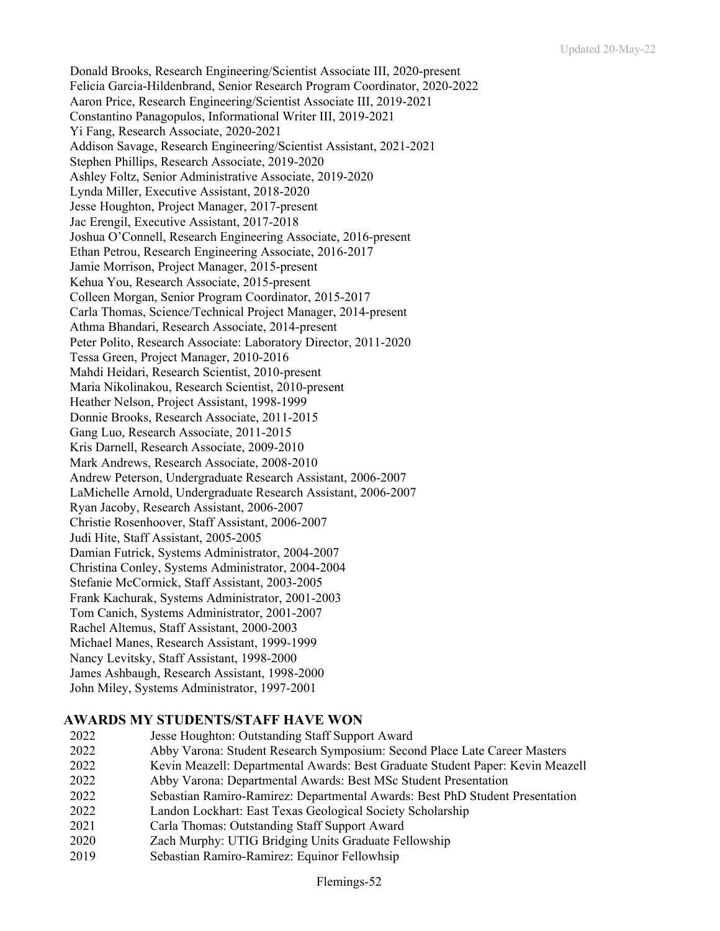Donald Brooks, Research Engineering/Scientist Associate III, 2020-present Felicia Garcia-Hildenbrand, Senior Research Program Coordinator, 2020-2022 Aaron Price, Research Engineering/Scientist Associate III, 2019-2021 Constantino Panagopulos, Informational Writer III, 2019-2021 Yi Fang, Research Associate, 2020-2021 Addison Savage, Research Engineering/Scientist Assistant, 2021-2021 Stephen Phillips, Research Associate, 2019-2020 Ashley Foltz, Senior Administrative Associate, 2019-2020 Lynda Miller, Executive Assistant, 2018-2020 Jesse Houghton, Project Manager, 2017-present Jac Erengil, Executive Assistant, 2017-2018 Joshua O'Connell, Research Engineering Associate, 2016-present Ethan Petrou, Research Engineering Associate, 2016-2017 Jamie Morrison, Project Manager, 2015-present Kehua You, Research Associate, 2015-present Colleen Morgan, Senior Program Coordinator, 2015-2017 Carla Thomas, Science/Technical Project Manager, 2014-present Athma Bhandari, Research Associate, 2014-present Peter Polito, Research Associate: Laboratory Director, 2011-2020 Tessa Green, Project Manager, 2010-2016 Mahdi Heidari, Research Scientist, 2010-present Maria Nikolinakou, Research Scientist, 2010-present Heather Nelson, Project Assistant, 1998-1999 Donnie Brooks, Research Associate, 2011-2015 Gang Luo, Research Associate, 2011-2015 Kris Darnell, Research Associate, 2009-2010 Mark Andrews, Research Associate, 2008-2010 Andrew Peterson, Undergraduate Research Assistant, 2006-2007 LaMichelle Arnold, Undergraduate Research Assistant, 2006-2007 Ryan Jacoby, Research Assistant, 2006-2007 Christie Rosenhoover, Staff Assistant, 2006-2007 Judi Hite, Staff Assistant, 2005-2005 Damian Futrick, Systems Administrator, 2004-2007 Christina Conley, Systems Administrator, 2004-2004 Stefanie McCormick, Staff Assistant, 2003-2005 Frank Kachurak, Systems Administrator, 2001-2003 Tom Canich, Systems Administrator, 2001-2007 Rachel Altemus, Staff Assistant, 2000-2003 Michael Manes, Research Assistant, 1999-1999 Nancy Levitsky, Staff Assistant, 1998-2000 James Ashbaugh, Research Assistant, 1998-2000 John Miley, Systems Administrator, 1997-2001

## **AWARDS MY STUDENTS/STAFF HAVE WON**

- 2022 Jesse Houghton: Outstanding Staff Support Award
- 2022 Abby Varona: Student Research Symposium: Second Place Late Career Masters
- 2022 Kevin Meazell: Departmental Awards: Best Graduate Student Paper: Kevin Meazell
- 2022 Abby Varona: Departmental Awards: Best MSc Student Presentation
- 2022 Sebastian Ramiro-Ramirez: Departmental Awards: Best PhD Student Presentation
- 2022 Landon Lockhart: East Texas Geological Society Scholarship
- 2021 Carla Thomas: Outstanding Staff Support Award
- 2020 Zach Murphy: UTIG Bridging Units Graduate Fellowship
- 2019 Sebastian Ramiro-Ramirez: Equinor Fellowhsip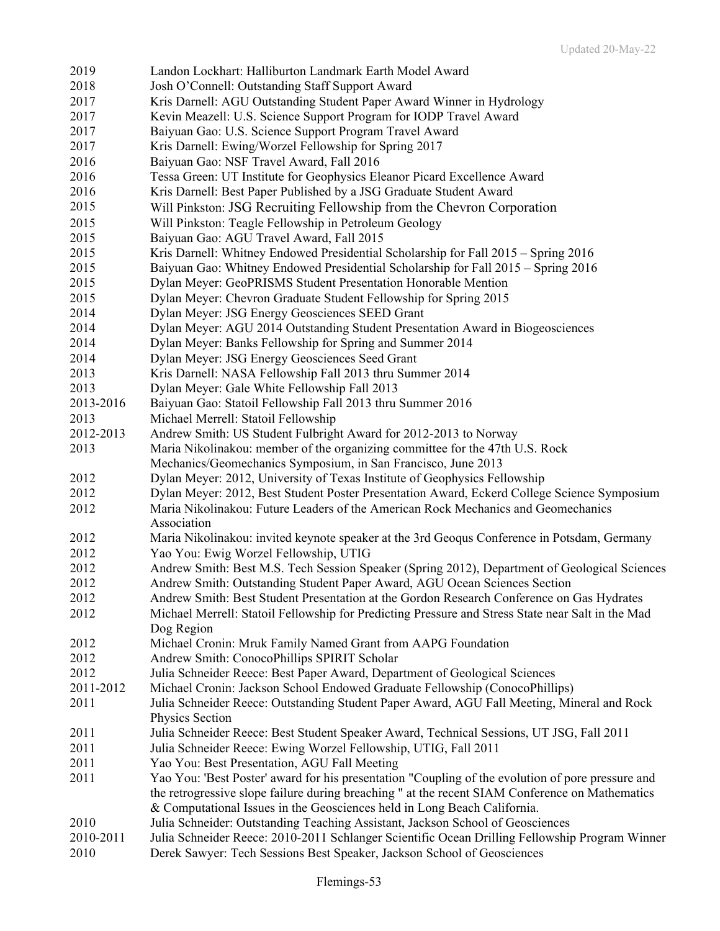| 2019      | Landon Lockhart: Halliburton Landmark Earth Model Award                                           |
|-----------|---------------------------------------------------------------------------------------------------|
| 2018      | Josh O'Connell: Outstanding Staff Support Award                                                   |
| 2017      | Kris Darnell: AGU Outstanding Student Paper Award Winner in Hydrology                             |
| 2017      | Kevin Meazell: U.S. Science Support Program for IODP Travel Award                                 |
| 2017      | Baiyuan Gao: U.S. Science Support Program Travel Award                                            |
| 2017      | Kris Darnell: Ewing/Worzel Fellowship for Spring 2017                                             |
| 2016      | Baiyuan Gao: NSF Travel Award, Fall 2016                                                          |
| 2016      | Tessa Green: UT Institute for Geophysics Eleanor Picard Excellence Award                          |
| 2016      | Kris Darnell: Best Paper Published by a JSG Graduate Student Award                                |
|           |                                                                                                   |
| 2015      | Will Pinkston: JSG Recruiting Fellowship from the Chevron Corporation                             |
| 2015      | Will Pinkston: Teagle Fellowship in Petroleum Geology                                             |
| 2015      | Baiyuan Gao: AGU Travel Award, Fall 2015                                                          |
| 2015      | Kris Darnell: Whitney Endowed Presidential Scholarship for Fall 2015 – Spring 2016                |
| 2015      | Baiyuan Gao: Whitney Endowed Presidential Scholarship for Fall 2015 – Spring 2016                 |
| 2015      | Dylan Meyer: GeoPRISMS Student Presentation Honorable Mention                                     |
| 2015      | Dylan Meyer: Chevron Graduate Student Fellowship for Spring 2015                                  |
| 2014      | Dylan Meyer: JSG Energy Geosciences SEED Grant                                                    |
| 2014      | Dylan Meyer: AGU 2014 Outstanding Student Presentation Award in Biogeosciences                    |
| 2014      | Dylan Meyer: Banks Fellowship for Spring and Summer 2014                                          |
| 2014      | Dylan Meyer: JSG Energy Geosciences Seed Grant                                                    |
| 2013      | Kris Darnell: NASA Fellowship Fall 2013 thru Summer 2014                                          |
| 2013      | Dylan Meyer: Gale White Fellowship Fall 2013                                                      |
| 2013-2016 | Baiyuan Gao: Statoil Fellowship Fall 2013 thru Summer 2016                                        |
| 2013      | Michael Merrell: Statoil Fellowship                                                               |
| 2012-2013 | Andrew Smith: US Student Fulbright Award for 2012-2013 to Norway                                  |
| 2013      | Maria Nikolinakou: member of the organizing committee for the 47th U.S. Rock                      |
|           | Mechanics/Geomechanics Symposium, in San Francisco, June 2013                                     |
| 2012      | Dylan Meyer: 2012, University of Texas Institute of Geophysics Fellowship                         |
| 2012      | Dylan Meyer: 2012, Best Student Poster Presentation Award, Eckerd College Science Symposium       |
| 2012      | Maria Nikolinakou: Future Leaders of the American Rock Mechanics and Geomechanics                 |
|           | Association                                                                                       |
| 2012      | Maria Nikolinakou: invited keynote speaker at the 3rd Geoqus Conference in Potsdam, Germany       |
| 2012      | Yao You: Ewig Worzel Fellowship, UTIG                                                             |
| 2012      | Andrew Smith: Best M.S. Tech Session Speaker (Spring 2012), Department of Geological Sciences     |
| 2012      | Andrew Smith: Outstanding Student Paper Award, AGU Ocean Sciences Section                         |
| 2012      | Andrew Smith: Best Student Presentation at the Gordon Research Conference on Gas Hydrates         |
| 2012      | Michael Merrell: Statoil Fellowship for Predicting Pressure and Stress State near Salt in the Mad |
|           | Dog Region                                                                                        |
| 2012      | Michael Cronin: Mruk Family Named Grant from AAPG Foundation                                      |
| 2012      | Andrew Smith: ConocoPhillips SPIRIT Scholar                                                       |
| 2012      | Julia Schneider Reece: Best Paper Award, Department of Geological Sciences                        |
| 2011-2012 | Michael Cronin: Jackson School Endowed Graduate Fellowship (ConocoPhillips)                       |
| 2011      | Julia Schneider Reece: Outstanding Student Paper Award, AGU Fall Meeting, Mineral and Rock        |
|           | Physics Section                                                                                   |
| 2011      | Julia Schneider Reece: Best Student Speaker Award, Technical Sessions, UT JSG, Fall 2011          |
| 2011      | Julia Schneider Reece: Ewing Worzel Fellowship, UTIG, Fall 2011                                   |
| 2011      | Yao You: Best Presentation, AGU Fall Meeting                                                      |
| 2011      | Yao You: 'Best Poster' award for his presentation "Coupling of the evolution of pore pressure and |
|           | the retrogressive slope failure during breaching " at the recent SIAM Conference on Mathematics   |
|           | & Computational Issues in the Geosciences held in Long Beach California.                          |
| 2010      | Julia Schneider: Outstanding Teaching Assistant, Jackson School of Geosciences                    |
| 2010-2011 | Julia Schneider Reece: 2010-2011 Schlanger Scientific Ocean Drilling Fellowship Program Winner    |
| 2010      | Derek Sawyer: Tech Sessions Best Speaker, Jackson School of Geosciences                           |
|           |                                                                                                   |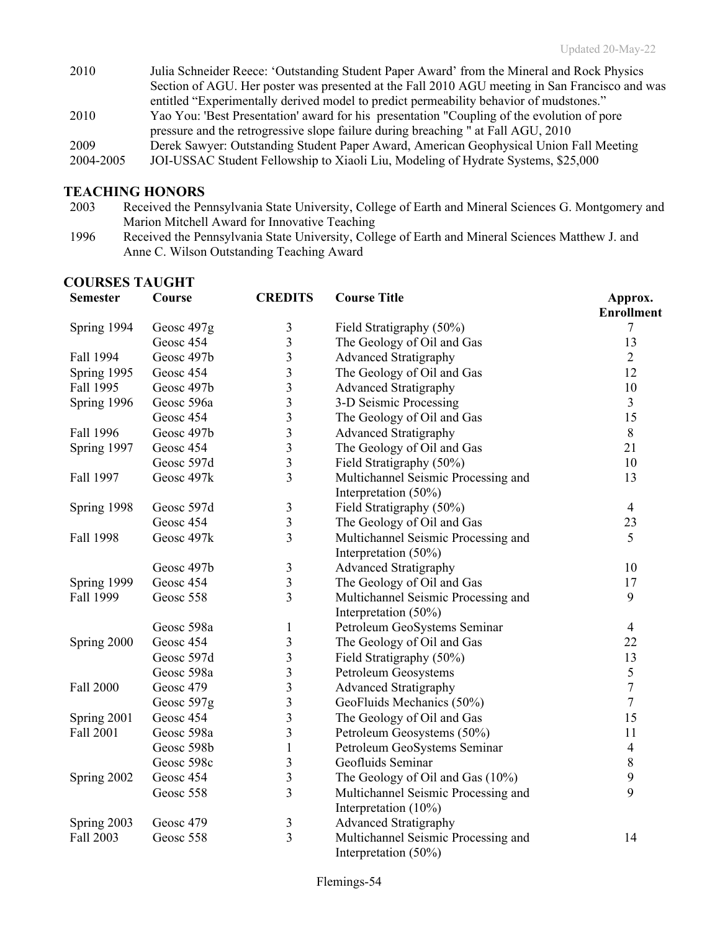| Julia Schneider Reece: 'Outstanding Student Paper Award' from the Mineral and Rock Physics     |
|------------------------------------------------------------------------------------------------|
| Section of AGU. Her poster was presented at the Fall 2010 AGU meeting in San Francisco and was |
| entitled "Experimentally derived model to predict permeability behavior of mudstones."         |
| Yao You: 'Best Presentation' award for his presentation "Coupling of the evolution of pore     |
| pressure and the retrogressive slope failure during breaching " at Fall AGU, 2010              |
| Derek Sawyer: Outstanding Student Paper Award, American Geophysical Union Fall Meeting         |
| JOI-USSAC Student Fellowship to Xiaoli Liu, Modeling of Hydrate Systems, \$25,000              |
|                                                                                                |

### **TEACHING HONORS**

- 2003 Received the Pennsylvania State University, College of Earth and Mineral Sciences G. Montgomery and Marion Mitchell Award for Innovative Teaching
- 1996 Received the Pennsylvania State University, College of Earth and Mineral Sciences Matthew J. and Anne C. Wilson Outstanding Teaching Award

|                 | <b>COURSES TAUGHT</b> |                         |                                     |                              |  |  |
|-----------------|-----------------------|-------------------------|-------------------------------------|------------------------------|--|--|
| <b>Semester</b> | Course                | <b>CREDITS</b>          | <b>Course Title</b>                 | Approx.<br><b>Enrollment</b> |  |  |
| Spring 1994     | Geosc 497g            | $\mathfrak{Z}$          | Field Stratigraphy (50%)            | 7                            |  |  |
|                 | Geosc 454             | 3                       | The Geology of Oil and Gas          | 13                           |  |  |
| Fall 1994       | Geosc 497b            | 3                       | <b>Advanced Stratigraphy</b>        | $\overline{2}$               |  |  |
| Spring 1995     | Geosc 454             | 3                       | The Geology of Oil and Gas          | 12                           |  |  |
| Fall 1995       | Geosc 497b            | 3                       | <b>Advanced Stratigraphy</b>        | 10                           |  |  |
| Spring 1996     | Geosc 596a            | $\overline{\mathbf{3}}$ | 3-D Seismic Processing              | 3                            |  |  |
|                 | Geosc 454             | $\overline{\mathbf{3}}$ | The Geology of Oil and Gas          | 15                           |  |  |
| Fall 1996       | Geosc 497b            | $\overline{\mathbf{3}}$ | <b>Advanced Stratigraphy</b>        | $\,8\,$                      |  |  |
| Spring 1997     | Geosc 454             | $\overline{\mathbf{3}}$ | The Geology of Oil and Gas          | 21                           |  |  |
|                 | Geosc 597d            | $\overline{3}$          | Field Stratigraphy (50%)            | 10                           |  |  |
| Fall 1997       | Geosc 497k            | 3                       | Multichannel Seismic Processing and | 13                           |  |  |
|                 |                       |                         | Interpretation (50%)                |                              |  |  |
| Spring 1998     | Geosc 597d            | $\mathfrak{Z}$          | Field Stratigraphy (50%)            | $\overline{4}$               |  |  |
|                 | Geosc 454             | $\overline{\mathbf{3}}$ | The Geology of Oil and Gas          | 23                           |  |  |
| Fall 1998       | Geosc 497k            | 3                       | Multichannel Seismic Processing and | 5                            |  |  |
|                 |                       |                         | Interpretation (50%)                |                              |  |  |
|                 | Geosc 497b            | $\mathfrak{Z}$          | <b>Advanced Stratigraphy</b>        | 10                           |  |  |
| Spring 1999     | Geosc 454             | $\mathfrak{Z}$          | The Geology of Oil and Gas          | 17                           |  |  |
| Fall 1999       | Geosc 558             | 3                       | Multichannel Seismic Processing and | $\boldsymbol{9}$             |  |  |
|                 |                       |                         | Interpretation $(50\%)$             |                              |  |  |
|                 | Geosc 598a            | $\mathbf{1}$            | Petroleum GeoSystems Seminar        | $\overline{4}$               |  |  |
| Spring 2000     | Geosc 454             | $\overline{\mathbf{3}}$ | The Geology of Oil and Gas          | 22                           |  |  |
|                 | Geosc 597d            | $\overline{\mathbf{3}}$ | Field Stratigraphy (50%)            | 13                           |  |  |
|                 | Geosc 598a            | $\overline{\mathbf{3}}$ | Petroleum Geosystems                | 5                            |  |  |
| Fall 2000       | Geosc 479             | $\overline{\mathbf{3}}$ | <b>Advanced Stratigraphy</b>        | $\boldsymbol{7}$             |  |  |
|                 | Geosc 597g            | $\overline{\mathbf{3}}$ | GeoFluids Mechanics (50%)           | $\tau$                       |  |  |
| Spring 2001     | Geosc 454             | 3                       | The Geology of Oil and Gas          | 15                           |  |  |
| Fall 2001       | Geosc 598a            | 3                       | Petroleum Geosystems (50%)          | 11                           |  |  |
|                 | Geosc 598b            | $\mathbf{1}$            | Petroleum GeoSystems Seminar        | $\overline{4}$               |  |  |
|                 | Geosc 598c            | $\mathfrak{Z}$          | Geofluids Seminar                   | $\,8\,$                      |  |  |
| Spring 2002     | Geosc 454             | $\overline{\mathbf{3}}$ | The Geology of Oil and Gas $(10\%)$ | $\boldsymbol{9}$             |  |  |
|                 | Geosc 558             | $\overline{3}$          | Multichannel Seismic Processing and | 9                            |  |  |
|                 |                       |                         | Interpretation $(10\%)$             |                              |  |  |
| Spring 2003     | Geosc 479             | $\mathfrak{Z}$          | <b>Advanced Stratigraphy</b>        |                              |  |  |
| Fall 2003       | Geosc 558             | $\overline{3}$          | Multichannel Seismic Processing and | 14                           |  |  |
|                 |                       |                         | Interpretation (50%)                |                              |  |  |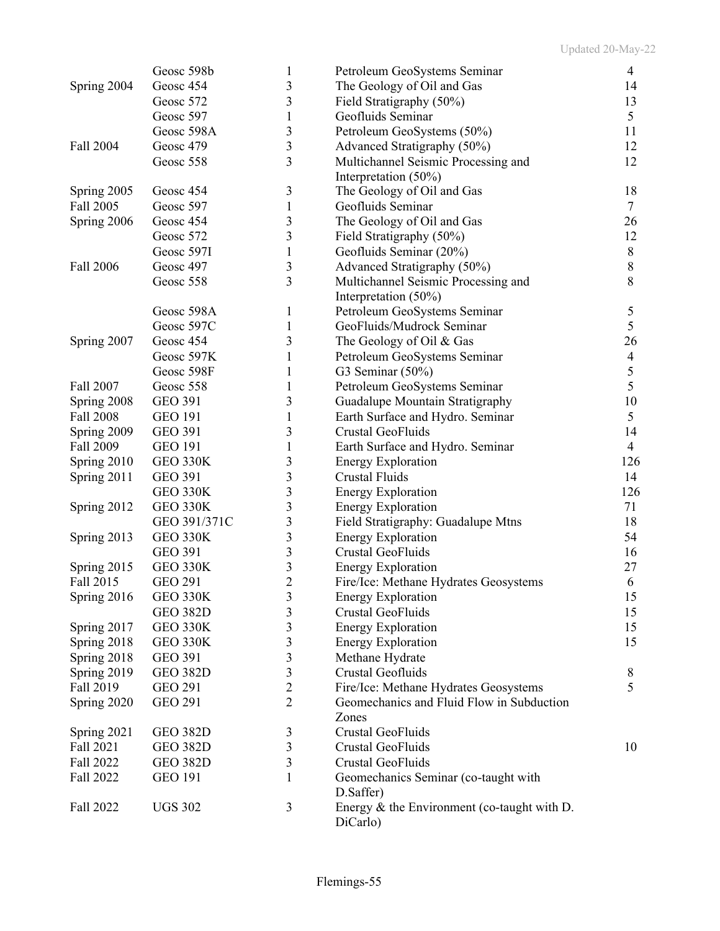|             | Geosc 598b                      | 1                   | Petroleum GeoSystems Seminar                              | 4              |
|-------------|---------------------------------|---------------------|-----------------------------------------------------------|----------------|
| Spring 2004 | Geosc 454                       | 3                   | The Geology of Oil and Gas                                | 14             |
|             | Geosc 572                       | 3                   | Field Stratigraphy (50%)                                  | 13             |
|             | Geosc 597                       | 1                   | Geofluids Seminar                                         | 5              |
|             | Geosc 598A                      | 3                   | Petroleum GeoSystems (50%)                                | 11             |
| Fall 2004   | Geosc 479                       | 3                   | Advanced Stratigraphy (50%)                               | 12             |
|             | Geosc 558                       | 3                   | Multichannel Seismic Processing and                       | 12             |
|             |                                 |                     | Interpretation (50%)                                      |                |
| Spring 2005 | Geosc 454                       | 3                   | The Geology of Oil and Gas                                | 18             |
| Fall 2005   | Geosc 597                       | 1                   | Geofluids Seminar                                         | $\tau$         |
| Spring 2006 | Geosc 454                       | 3                   | The Geology of Oil and Gas                                | 26             |
|             | Geosc 572                       | 3                   | Field Stratigraphy (50%)                                  | 12             |
|             | Geosc 597I                      | $\mathbf{1}$        | Geofluids Seminar (20%)                                   | $\,8\,$        |
| Fall 2006   | Geosc 497                       | 3                   | Advanced Stratigraphy (50%)                               | $8\,$          |
|             | Geosc 558                       | 3                   | Multichannel Seismic Processing and                       | 8              |
|             |                                 |                     | Interpretation (50%)                                      |                |
|             | Geosc 598A                      | 1                   | Petroleum GeoSystems Seminar                              | 5              |
|             | Geosc 597C                      | 1                   | GeoFluids/Mudrock Seminar                                 | 5              |
| Spring 2007 | Geosc 454                       | 3                   | The Geology of Oil & Gas                                  | 26             |
|             | Geosc 597K                      | $\mathbf{1}$        | Petroleum GeoSystems Seminar                              | $\overline{4}$ |
|             | Geosc 598F                      | 1                   | G3 Seminar (50%)                                          | $\sqrt{5}$     |
| Fall 2007   | Geosc 558                       |                     | Petroleum GeoSystems Seminar                              | 5              |
| Spring 2008 | <b>GEO 391</b>                  | 3                   | Guadalupe Mountain Stratigraphy                           | 10             |
| Fall 2008   | <b>GEO 191</b>                  | 1                   | Earth Surface and Hydro. Seminar                          | 5              |
| Spring 2009 | <b>GEO 391</b>                  | 3                   | Crustal GeoFluids                                         | 14             |
| Fall 2009   | <b>GEO 191</b>                  |                     | Earth Surface and Hydro. Seminar                          | $\overline{4}$ |
| Spring 2010 | <b>GEO 330K</b>                 | 3                   | <b>Energy Exploration</b>                                 | 126            |
| Spring 2011 | <b>GEO 391</b>                  | 3                   | <b>Crustal Fluids</b>                                     | 14             |
|             | <b>GEO 330K</b>                 | 3                   |                                                           | 126            |
|             |                                 | 3                   | <b>Energy Exploration</b>                                 | 71             |
| Spring 2012 | <b>GEO 330K</b><br>GEO 391/371C | 3                   | <b>Energy Exploration</b>                                 | 18             |
|             | <b>GEO 330K</b>                 | 3                   | Field Stratigraphy: Guadalupe Mtns                        | 54             |
| Spring 2013 | <b>GEO 391</b>                  | 3                   | <b>Energy Exploration</b><br>Crustal GeoFluids            |                |
|             |                                 |                     |                                                           | 16<br>27       |
| Spring 2015 | <b>GEO 330K</b>                 | 3<br>$\overline{2}$ | <b>Energy Exploration</b>                                 |                |
| Fall 2015   | <b>GEO 291</b>                  |                     | Fire/Ice: Methane Hydrates Geosystems                     | 6              |
| Spring 2016 | <b>GEO 330K</b>                 | 3                   | <b>Energy Exploration</b>                                 | 15             |
|             | <b>GEO 382D</b>                 | 3                   | Crustal GeoFluids                                         | 15             |
| Spring 2017 | <b>GEO 330K</b>                 | 3                   | <b>Energy Exploration</b>                                 | 15             |
| Spring 2018 | <b>GEO 330K</b>                 | 3                   | <b>Energy Exploration</b>                                 | 15             |
| Spring 2018 | <b>GEO 391</b>                  | 3                   | Methane Hydrate                                           |                |
| Spring 2019 | <b>GEO 382D</b>                 | 3                   | Crustal Geofluids                                         | 8<br>5         |
| Fall 2019   | <b>GEO 291</b>                  | $\overline{c}$      | Fire/Ice: Methane Hydrates Geosystems                     |                |
| Spring 2020 | <b>GEO 291</b>                  | $\overline{2}$      | Geomechanics and Fluid Flow in Subduction                 |                |
|             |                                 |                     | Zones                                                     |                |
| Spring 2021 | <b>GEO 382D</b>                 | 3                   | Crustal GeoFluids                                         |                |
| Fall 2021   | <b>GEO 382D</b>                 | 3                   | Crustal GeoFluids                                         | 10             |
| Fall 2022   | <b>GEO 382D</b>                 | 3                   | Crustal GeoFluids                                         |                |
| Fall 2022   | <b>GEO 191</b>                  | $\mathbf{1}$        | Geomechanics Seminar (co-taught with<br>D.Saffer)         |                |
| Fall 2022   | <b>UGS 302</b>                  | 3                   | Energy $&$ the Environment (co-taught with D.<br>DiCarlo) |                |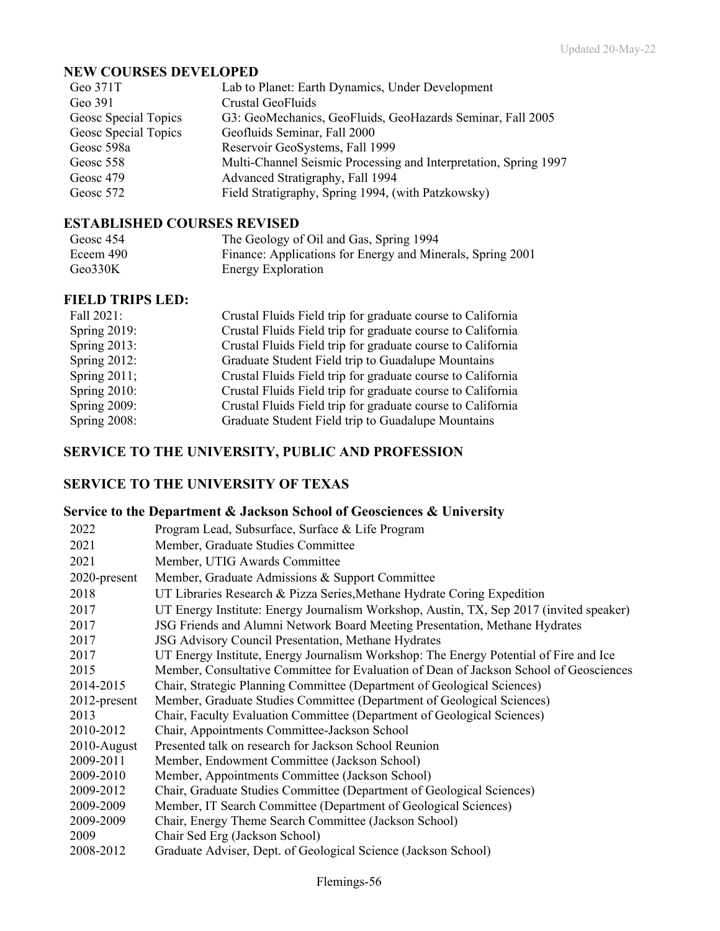### **NEW COURSES DEVELOPED**

| Geo 371T             | Lab to Planet: Earth Dynamics, Under Development                 |
|----------------------|------------------------------------------------------------------|
| Geo 391              | Crustal GeoFluids                                                |
| Geosc Special Topics | G3: GeoMechanics, GeoFluids, GeoHazards Seminar, Fall 2005       |
| Geosc Special Topics | Geofluids Seminar, Fall 2000                                     |
| Geosc 598a           | Reservoir GeoSystems, Fall 1999                                  |
| Geosc 558            | Multi-Channel Seismic Processing and Interpretation, Spring 1997 |
| Geosc 479            | Advanced Stratigraphy, Fall 1994                                 |
| Geosc 572            | Field Stratigraphy, Spring 1994, (with Patzkowsky)               |
|                      |                                                                  |

### **ESTABLISHED COURSES REVISED**

| Geosc 454 | The Geology of Oil and Gas, Spring 1994                    |
|-----------|------------------------------------------------------------|
| Eceem 490 | Finance: Applications for Energy and Minerals, Spring 2001 |
| Geo330K   | <b>Energy Exploration</b>                                  |

### **FIELD TRIPS LED:**

| Fall 2021:      | Crustal Fluids Field trip for graduate course to California |
|-----------------|-------------------------------------------------------------|
| Spring $2019$ : | Crustal Fluids Field trip for graduate course to California |
| Spring $2013$ : | Crustal Fluids Field trip for graduate course to California |
| Spring 2012:    | Graduate Student Field trip to Guadalupe Mountains          |
| Spring $2011$ ; | Crustal Fluids Field trip for graduate course to California |
| Spring $2010$ : | Crustal Fluids Field trip for graduate course to California |
| Spring 2009:    | Crustal Fluids Field trip for graduate course to California |
| Spring 2008:    | Graduate Student Field trip to Guadalupe Mountains          |

# **SERVICE TO THE UNIVERSITY, PUBLIC AND PROFESSION**

## **SERVICE TO THE UNIVERSITY OF TEXAS**

### **Service to the Department & Jackson School of Geosciences & University**

| 2022           | Program Lead, Subsurface, Surface & Life Program                                        |
|----------------|-----------------------------------------------------------------------------------------|
| 2021           | Member, Graduate Studies Committee                                                      |
| 2021           | Member, UTIG Awards Committee                                                           |
| 2020-present   | Member, Graduate Admissions & Support Committee                                         |
| 2018           | UT Libraries Research & Pizza Series, Methane Hydrate Coring Expedition                 |
| 2017           | UT Energy Institute: Energy Journalism Workshop, Austin, TX, Sep 2017 (invited speaker) |
| 2017           | JSG Friends and Alumni Network Board Meeting Presentation, Methane Hydrates             |
| 2017           | JSG Advisory Council Presentation, Methane Hydrates                                     |
| 2017           | UT Energy Institute, Energy Journalism Workshop: The Energy Potential of Fire and Ice   |
| 2015           | Member, Consultative Committee for Evaluation of Dean of Jackson School of Geosciences  |
| 2014-2015      | Chair, Strategic Planning Committee (Department of Geological Sciences)                 |
| 2012-present   | Member, Graduate Studies Committee (Department of Geological Sciences)                  |
| 2013           | Chair, Faculty Evaluation Committee (Department of Geological Sciences)                 |
| 2010-2012      | Chair, Appointments Committee-Jackson School                                            |
| $2010$ -August | Presented talk on research for Jackson School Reunion                                   |
| 2009-2011      | Member, Endowment Committee (Jackson School)                                            |
| 2009-2010      | Member, Appointments Committee (Jackson School)                                         |
| 2009-2012      | Chair, Graduate Studies Committee (Department of Geological Sciences)                   |
| 2009-2009      | Member, IT Search Committee (Department of Geological Sciences)                         |
| 2009-2009      | Chair, Energy Theme Search Committee (Jackson School)                                   |
| 2009           | Chair Sed Erg (Jackson School)                                                          |
| 2008-2012      | Graduate Adviser, Dept. of Geological Science (Jackson School)                          |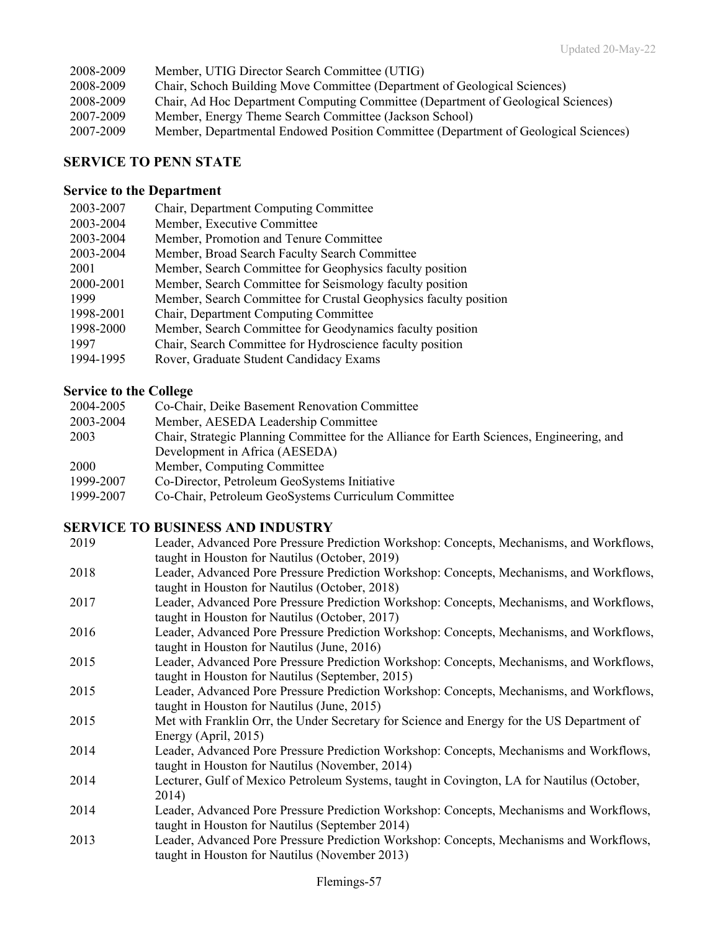| 2008-2009 | Member, UTIG Director Search Committee (UTIG)                                       |
|-----------|-------------------------------------------------------------------------------------|
| 2008-2009 | Chair, Schoch Building Move Committee (Department of Geological Sciences)           |
| 2008-2009 | Chair, Ad Hoc Department Computing Committee (Department of Geological Sciences)    |
| 2007-2009 | Member, Energy Theme Search Committee (Jackson School)                              |
| 2007-2009 | Member, Departmental Endowed Position Committee (Department of Geological Sciences) |

# **SERVICE TO PENN STATE**

### **Service to the Department**

| 2003-2007 | Chair, Department Computing Committee                            |
|-----------|------------------------------------------------------------------|
| 2003-2004 | Member, Executive Committee                                      |
| 2003-2004 | Member, Promotion and Tenure Committee                           |
| 2003-2004 | Member, Broad Search Faculty Search Committee                    |
| 2001      | Member, Search Committee for Geophysics faculty position         |
| 2000-2001 | Member, Search Committee for Seismology faculty position         |
| 1999      | Member, Search Committee for Crustal Geophysics faculty position |
| 1998-2001 | Chair, Department Computing Committee                            |
| 1998-2000 | Member, Search Committee for Geodynamics faculty position        |
| 1997      | Chair, Search Committee for Hydroscience faculty position        |
| 1994-1995 | Rover, Graduate Student Candidacy Exams                          |
|           |                                                                  |

# **Service to the College**

| 2004-2005   | Co-Chair, Deike Basement Renovation Committee                                             |
|-------------|-------------------------------------------------------------------------------------------|
| 2003-2004   | Member, AESEDA Leadership Committee                                                       |
| 2003        | Chair, Strategic Planning Committee for the Alliance for Earth Sciences, Engineering, and |
|             | Development in Africa (AESEDA)                                                            |
| <b>2000</b> | Member, Computing Committee                                                               |
| 1999-2007   | Co-Director, Petroleum GeoSystems Initiative                                              |
| 1999-2007   | Co-Chair, Petroleum GeoSystems Curriculum Committee                                       |

### **SERVICE TO BUSINESS AND INDUSTRY**

| 2019 | Leader, Advanced Pore Pressure Prediction Workshop: Concepts, Mechanisms, and Workflows,<br>taught in Houston for Nautilus (October, 2019)   |
|------|----------------------------------------------------------------------------------------------------------------------------------------------|
| 2018 | Leader, Advanced Pore Pressure Prediction Workshop: Concepts, Mechanisms, and Workflows,<br>taught in Houston for Nautilus (October, 2018)   |
| 2017 | Leader, Advanced Pore Pressure Prediction Workshop: Concepts, Mechanisms, and Workflows,<br>taught in Houston for Nautilus (October, 2017)   |
| 2016 | Leader, Advanced Pore Pressure Prediction Workshop: Concepts, Mechanisms, and Workflows,<br>taught in Houston for Nautilus (June, 2016)      |
| 2015 | Leader, Advanced Pore Pressure Prediction Workshop: Concepts, Mechanisms, and Workflows,<br>taught in Houston for Nautilus (September, 2015) |
| 2015 | Leader, Advanced Pore Pressure Prediction Workshop: Concepts, Mechanisms, and Workflows,<br>taught in Houston for Nautilus (June, 2015)      |
| 2015 | Met with Franklin Orr, the Under Secretary for Science and Energy for the US Department of<br>Energy (April, 2015)                           |
| 2014 | Leader, Advanced Pore Pressure Prediction Workshop: Concepts, Mechanisms and Workflows,<br>taught in Houston for Nautilus (November, 2014)   |
| 2014 | Lecturer, Gulf of Mexico Petroleum Systems, taught in Covington, LA for Nautilus (October,<br>2014)                                          |
| 2014 | Leader, Advanced Pore Pressure Prediction Workshop: Concepts, Mechanisms and Workflows,<br>taught in Houston for Nautilus (September 2014)   |
| 2013 | Leader, Advanced Pore Pressure Prediction Workshop: Concepts, Mechanisms and Workflows,<br>taught in Houston for Nautilus (November 2013)    |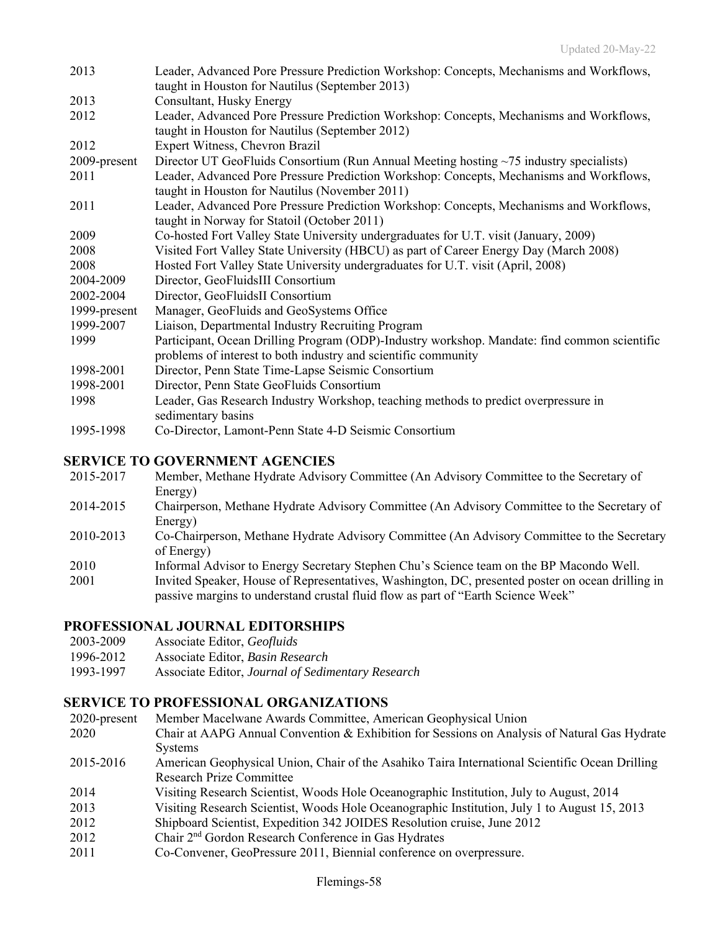| 2013         | Leader, Advanced Pore Pressure Prediction Workshop: Concepts, Mechanisms and Workflows,                                                    |
|--------------|--------------------------------------------------------------------------------------------------------------------------------------------|
|              | taught in Houston for Nautilus (September 2013)                                                                                            |
| 2013         | Consultant, Husky Energy                                                                                                                   |
| 2012         | Leader, Advanced Pore Pressure Prediction Workshop: Concepts, Mechanisms and Workflows,<br>taught in Houston for Nautilus (September 2012) |
| 2012         | Expert Witness, Chevron Brazil                                                                                                             |
| 2009-present | Director UT GeoFluids Consortium (Run Annual Meeting hosting $\sim$ 75 industry specialists)                                               |
| 2011         | Leader, Advanced Pore Pressure Prediction Workshop: Concepts, Mechanisms and Workflows,<br>taught in Houston for Nautilus (November 2011)  |
| 2011         | Leader, Advanced Pore Pressure Prediction Workshop: Concepts, Mechanisms and Workflows,                                                    |
|              | taught in Norway for Statoil (October 2011)                                                                                                |
| 2009         | Co-hosted Fort Valley State University undergraduates for U.T. visit (January, 2009)                                                       |
| 2008         | Visited Fort Valley State University (HBCU) as part of Career Energy Day (March 2008)                                                      |
| 2008         | Hosted Fort Valley State University undergraduates for U.T. visit (April, 2008)                                                            |
| 2004-2009    | Director, GeoFluidsIII Consortium                                                                                                          |
| 2002-2004    | Director, GeoFluidsII Consortium                                                                                                           |
| 1999-present | Manager, GeoFluids and GeoSystems Office                                                                                                   |
| 1999-2007    | Liaison, Departmental Industry Recruiting Program                                                                                          |
| 1999         | Participant, Ocean Drilling Program (ODP)-Industry workshop. Mandate: find common scientific                                               |
|              | problems of interest to both industry and scientific community                                                                             |
| 1998-2001    | Director, Penn State Time-Lapse Seismic Consortium                                                                                         |
| 1998-2001    | Director, Penn State GeoFluids Consortium                                                                                                  |
| 1998         | Leader, Gas Research Industry Workshop, teaching methods to predict overpressure in<br>sedimentary basins                                  |
| 1995-1998    | Co-Director, Lamont-Penn State 4-D Seismic Consortium                                                                                      |

### **SERVICE TO GOVERNMENT AGENCIES**

- 2015-2017 Member, Methane Hydrate Advisory Committee (An Advisory Committee to the Secretary of Energy)
- 2014-2015 Chairperson, Methane Hydrate Advisory Committee (An Advisory Committee to the Secretary of Energy)
- 2010-2013 Co-Chairperson, Methane Hydrate Advisory Committee (An Advisory Committee to the Secretary of Energy)
- 2010 Informal Advisor to Energy Secretary Stephen Chu's Science team on the BP Macondo Well.
- 2001 Invited Speaker, House of Representatives, Washington, DC, presented poster on ocean drilling in passive margins to understand crustal fluid flow as part of "Earth Science Week"

## **PROFESSIONAL JOURNAL EDITORSHIPS**

- 2003-2009 Associate Editor, *Geofluids*
- 1996-2012 Associate Editor, *Basin Research*
- 1993-1997 Associate Editor, *Journal of Sedimentary Research*

### **SERVICE TO PROFESSIONAL ORGANIZATIONS**

- 2020-present Member Macelwane Awards Committee, American Geophysical Union
- 2020 Chair at AAPG Annual Convention & Exhibition for Sessions on Analysis of Natural Gas Hydrate **Systems**
- 2015-2016 American Geophysical Union, Chair of the Asahiko Taira International Scientific Ocean Drilling Research Prize Committee
- 2014 Visiting Research Scientist, Woods Hole Oceanographic Institution, July to August, 2014
- 2013 Visiting Research Scientist, Woods Hole Oceanographic Institution, July 1 to August 15, 2013
- 2012 Shipboard Scientist, Expedition 342 JOIDES Resolution cruise, June 2012
- 2012 Chair 2<sup>nd</sup> Gordon Research Conference in Gas Hydrates
- 2011 Co-Convener, GeoPressure 2011, Biennial conference on overpressure.